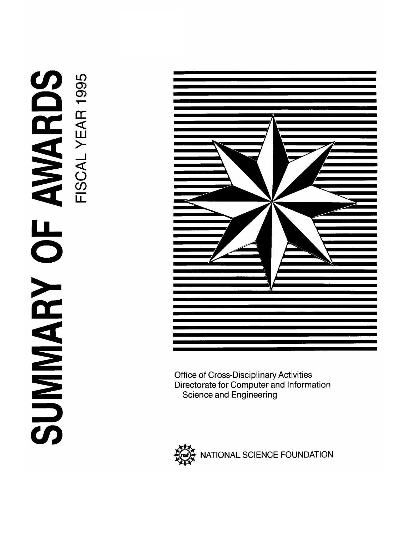# SUMMARY OF AWARDS



**Office of Cross-Disciplinary Activities** Directorate for Computer and Information **Science and Engineering** 

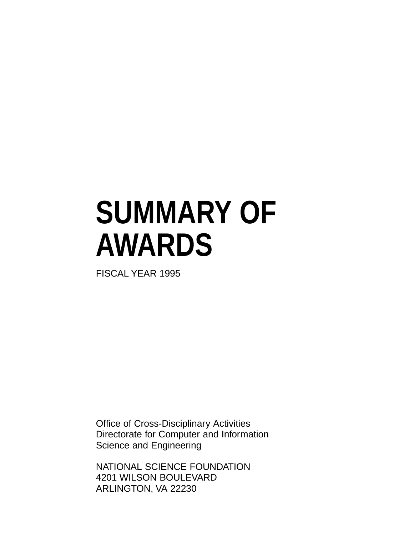# **SUMMARY OF AWARDS**

FISCAL YEAR 1995

Office of Cross-Disciplinary Activities Directorate for Computer and Information Science and Engineering

NATIONAL SCIENCE FOUNDATION 4201 WILSON BOULEVARD ARLINGTON, VA 22230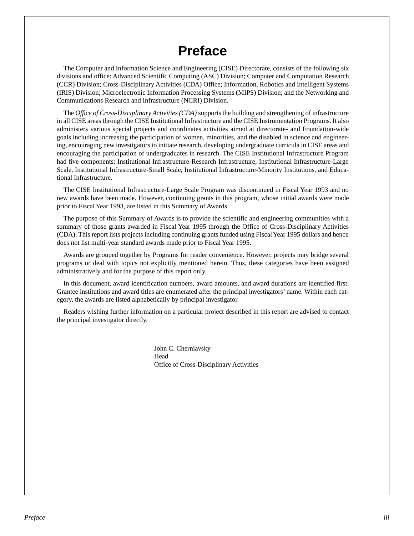# **Preface**

<span id="page-3-0"></span>The Computer and Information Science and Engineering (CISE) Directorate, consists of the following six divisions and office: Advanced Scientific Computing (ASC) Division; Computer and Computation Research (CCR) Division; Cross-Disciplinary Activities (CDA) Office; Information, Robotics and Intelligent Systems (IRIS) Division; Microelectronic Information Processing Systems (MIPS) Division; and the Networking and Communications Research and Infrastructure (NCRI) Division.

The *Office of Cross-Disciplinary Activities (CDA)* supports the building and strengthening of infrastructure in all CISE areas through the CISE Institutional Infrastructure and the CISE Instrumentation Programs. It also administers various special projects and coordinates activities aimed at directorate- and Foundation-wide goals including increasing the participation of women, minorities, and the disabled in science and engineering, encouraging new investigators to initiate research, developing undergraduate curricula in CISE areas and encouraging the participation of undergraduates in research. The CISE Institutional Infrastructure Program had five components: Institutional Infrastructure-Research Infrastructure, Institutional Infrastructure-Large Scale, Institutional Infrastructure-Small Scale, Institutional Infrastructure-Minority Institutions, and Educational Infrastructure.

The CISE Institutional Infrastructure-Large Scale Program was discontinued in Fiscal Year 1993 and no new awards have been made. However, continuing grants in this program, whose initial awards were made prior to Fiscal Year 1993, are listed in this Summary of Awards.

The purpose of this Summary of Awards is to provide the scientific and engineering communities with a summary of those grants awarded in Fiscal Year 1995 through the Office of Cross-Disciplinary Activities (CDA). This report lists projects including continuing grants funded using Fiscal Year 1995 dollars and hence does not list multi-year standard awards made prior to Fiscal Year 1995.

Awards are grouped together by Programs for reader convenience. However, projects may bridge several programs or deal with topics not explicitly mentioned herein. Thus, these categories have been assigned administratively and for the purpose of this report only.

In this document, award identification numbers, award amounts, and award durations are identified first. Grantee institutions and award titles are enumerated after the principal investigators' name. Within each category, the awards are listed alphabetically by principal investigator.

Readers wishing further information on a particular project described in this report are advised to contact the principal investigator directly.

> John C. Cherniavsky Head Office of Cross-Disciplinary Activities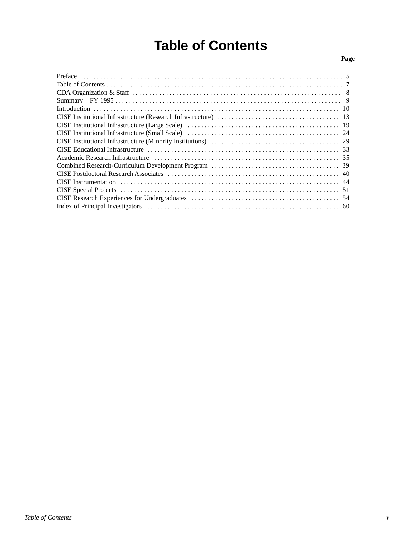# **Table of Contents**

### **Page**

| CISE Postdoctoral Research Associates (etc.) (a) and the control of the second section of the second section of the second section of the section of the section of the section of the section of the section of the section o |
|--------------------------------------------------------------------------------------------------------------------------------------------------------------------------------------------------------------------------------|
|                                                                                                                                                                                                                                |
|                                                                                                                                                                                                                                |
|                                                                                                                                                                                                                                |
|                                                                                                                                                                                                                                |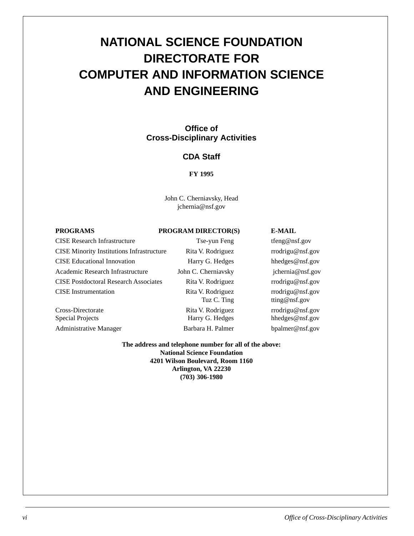# <span id="page-6-0"></span>**NATIONAL SCIENCE FOUNDATION DIRECTORATE FOR COMPUTER AND INFORMATION SCIENCE AND ENGINEERING**

### **Office of Cross-Disciplinary Activities**

### **CDA Staff**

### **FY 1995**

John C. Cherniavsky, Head jchernia@nsf.gov

### **PROGRAMS PROGRAM DIRECTOR(S) E-MAIL**

CISE Research Infrastructure Tse-yun Feng tfeng@nsf.gov CISE Minority Institutions Infrastructure Rita V. Rodriguez rrodrigu@nsf.gov CISE Educational Innovation **Harry G. Hedges** hhedges hhedges hhedges hhedges hhedges hhedges hhedges help and the metal of the metal of the metal of the metal of the metal of the metal of the metal of the metal of the met Academic Research Infrastructure John C. Cherniavsky ichernia@nsf.gov CISE Postdoctoral Research Associates Rita V. Rodriguez rrodrigu@nsf.gov CISE Instrumentation Rita V. Rodriguez rrodrigu@nsf.gov

Cross-Directorate Rita V. Rodriguez rrodrigu@nsf.gov Special Projects **Harry G. Hedges** hhedges hhedges hhedges hhedges hhedges hhedges hhedges have help and the Harry G. Hedges have help and the Harry G. Hedges have help and the Harry G. Hedges  $\omega$  has been allowed the Har Administrative Manager Barbara H. Palmer bpalmer@nsf.gov

Tuz C. Ting tting@nsf.gov

**The address and telephone number for all of the above: National Science Foundation 4201 Wilson Boulevard, Room 1160 Arlington, VA 22230 (703) 306-1980**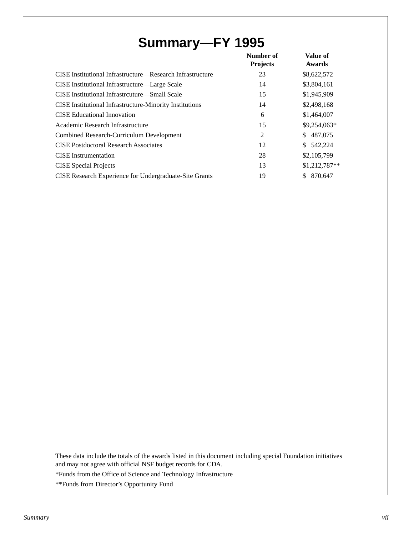# **Summary—FY 1995**

<span id="page-7-0"></span>

|                                                                | Number of<br><b>Projects</b> | <b>Value of</b><br><b>Awards</b> |
|----------------------------------------------------------------|------------------------------|----------------------------------|
| CISE Institutional Infrastructure—Research Infrastructure      | 23                           | \$8,622,572                      |
| CISE Institutional Infrastructure—Large Scale                  | 14                           | \$3,804,161                      |
| CISE Institutional Infrastrouture—Small Scale                  | 15                           | \$1,945,909                      |
| <b>CISE</b> Institutional Infrastructure-Minority Institutions | 14                           | \$2,498,168                      |
| <b>CISE</b> Educational Innovation                             | 6                            | \$1,464,007                      |
| Academic Research Infrastructure                               | 15                           | \$9,254,063*                     |
| Combined Research-Curriculum Development                       | 2                            | \$487,075                        |
| <b>CISE Postdoctoral Research Associates</b>                   | 12                           | \$542,224                        |
| <b>CISE</b> Instrumentation                                    | 28                           | \$2,105,799                      |
| <b>CISE</b> Special Projects                                   | 13                           | \$1,212,787**                    |
| CISE Research Experience for Undergraduate-Site Grants         | 19                           | 870.647<br>S                     |

These data include the totals of the awards listed in this document including special Foundation initiatives and may not agree with official NSF budget records for CDA.

\*Funds from the Office of Science and Technology Infrastructure

\*\*Funds from Director's Opportunity Fund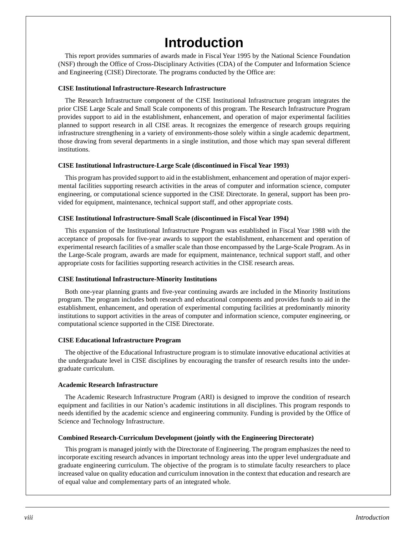# **Introduction**

<span id="page-8-0"></span>This report provides summaries of awards made in Fiscal Year 1995 by the National Science Foundation (NSF) through the Office of Cross-Disciplinary Activities (CDA) of the Computer and Information Science and Engineering (CISE) Directorate. The programs conducted by the Office are:

### **CISE Institutional Infrastructure-Research Infrastructure**

The Research Infrastructure component of the CISE Institutional Infrastructure program integrates the prior CISE Large Scale and Small Scale components of this program. The Research Infrastructure Program provides support to aid in the establishment, enhancement, and operation of major experimental facilities planned to support research in all CISE areas. It recognizes the emergence of research groups requiring infrastructure strengthening in a variety of environments-those solely within a single academic department, those drawing from several departments in a single institution, and those which may span several different institutions.

### **CISE Institutional Infrastructure-Large Scale (discontinued in Fiscal Year 1993)**

This program has provided support to aid in the establishment, enhancement and operation of major experimental facilities supporting research activities in the areas of computer and information science, computer engineering, or computational science supported in the CISE Directorate. In general, support has been provided for equipment, maintenance, technical support staff, and other appropriate costs.

### **CISE Institutional Infrastructure-Small Scale (discontinued in Fiscal Year 1994)**

This expansion of the Institutional Infrastructure Program was established in Fiscal Year 1988 with the acceptance of proposals for five-year awards to support the establishment, enhancement and operation of experimental research facilities of a smaller scale than those encompassed by the Large-Scale Program. As in the Large-Scale program, awards are made for equipment, maintenance, technical support staff, and other appropriate costs for facilities supporting research activities in the CISE research areas.

### **CISE Institutional Infrastructure-Minority Institutions**

Both one-year planning grants and five-year continuing awards are included in the Minority Institutions program. The program includes both research and educational components and provides funds to aid in the establishment, enhancement, and operation of experimental computing facilities at predominantly minority institutions to support activities in the areas of computer and information science, computer engineering, or computational science supported in the CISE Directorate.

### **CISE Educational Infrastructure Program**

The objective of the Educational Infrastructure program is to stimulate innovative educational activities at the undergraduate level in CISE disciplines by encouraging the transfer of research results into the undergraduate curriculum.

### **Academic Research Infrastructure**

The Academic Research Infrastructure Program (ARI) is designed to improve the condition of research equipment and facilities in our Nation's academic institutions in all disciplines. This program responds to needs identified by the academic science and engineering community. Funding is provided by the Office of Science and Technology Infrastructure.

### **Combined Research-Curriculum Development (jointly with the Engineering Directorate)**

This program is managed jointly with the Directorate of Engineering. The program emphasizes the need to incorporate exciting research advances in important technology areas into the upper level undergraduate and graduate engineering curriculum. The objective of the program is to stimulate faculty researchers to place increased value on quality education and curriculum innovation in the context that education and research are of equal value and complementary parts of an integrated whole.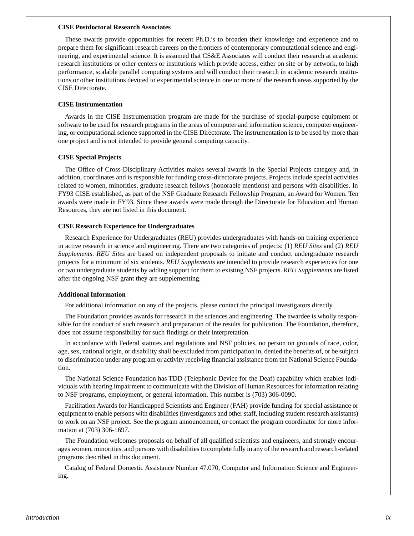### **CISE Postdoctoral Research Associates**

These awards provide opportunities for recent Ph.D.'s to broaden their knowledge and experience and to prepare them for significant research careers on the frontiers of contemporary computational science and engineering, and experimental science. It is assumed that CS&E Associates will conduct their research at academic research institutions or other centers or institutions which provide access, either on site or by network, to high performance, scalable parallel computing systems and will conduct their research in academic research institutions or other institutions devoted to experimental science in one or more of the research areas supported by the CISE Directorate.

### **CISE Instrumentation**

Awards in the CISE Instrumentation program are made for the purchase of special-purpose equipment or software to be used for research programs in the areas of computer and information science, computer engineering, or computational science supported in the CISE Directorate. The instrumentation is to be used by more than one project and is not intended to provide general computing capacity.

### **CISE Special Projects**

The Office of Cross-Disciplinary Activities makes several awards in the Special Projects category and, in addition, coordinates and is responsible for funding cross-directorate projects. Projects include special activities related to women, minorities, graduate research fellows (honorable mentions) and persons with disabilities. In FY93 CISE established, as part of the NSF Graduate Research Fellowship Program, an Award for Women. Ten awards were made in FY93. Since these awards were made through the Directorate for Education and Human Resources, they are not listed in this document.

### **CISE Research Experience for Undergraduates**

Research Experience for Undergraduates (REU) provides undergraduates with hands-on training experience in active research in science and engineering. There are two categories of projects: (1) *REU Sites* and (2) *REU Supplements*. *REU Sites* are based on independent proposals to initiate and conduct undergraduate research projects for a minimum of six students. *REU Supplements* are intended to provide research experiences for one or two undergraduate students by adding support for them to existing NSF projects. *REU Supplements* are listed after the ongoing NSF grant they are supplementing.

### **Additional Information**

For additional information on any of the projects, please contact the principal investigators directly.

The Foundation provides awards for research in the sciences and engineering. The awardee is wholly responsible for the conduct of such research and preparation of the results for publication. The Foundation, therefore, does not assume responsibility for such findings or their interpretation.

In accordance with Federal statutes and regulations and NSF policies, no person on grounds of race, color, age, sex, national origin, or disability shall be excluded from participation in, denied the benefits of, or be subject to discrimination under any program or activity receiving financial assistance from the National Science Foundation.

The National Science Foundation has TDD (Telephonic Device for the Deaf) capability which enables individuals with hearing impairment to communicate with the Division of Human Resources for information relating to NSF programs, employment, or general information. This number is (703) 306-0090.

Facilitation Awards for Handicapped Scientists and Engineer (FAH) provide funding for special assistance or equipment to enable persons with disabilities (investigators and other staff, including student research assistants) to work on an NSF project. See the program announcement, or contact the program coordinator for more information at (703) 306-1697.

The Foundation welcomes proposals on behalf of all qualified scientists and engineers, and strongly encourages women, minorities, and persons with disabilities to complete fully in any of the research and research-related programs described in this document.

Catalog of Federal Domestic Assistance Number 47.070, Computer and Information Science and Engineering.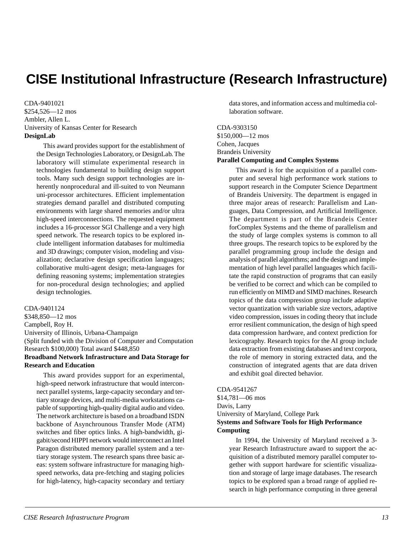# <span id="page-11-0"></span>**CISE Institutional Infrastructure (Research Infrastructure)**

CDA-9401021 \$254,526—12 mos Ambler, Allen L. University of Kansas Center for Research **DesignLab**

> This award provides support for the establishment of the Design Technologies Laboratory, or DesignLab. The laboratory will stimulate experimental research in technologies fundamental to building design support tools. Many such design support technologies are inherently nonprocedural and ill-suited to von Neumann uni-processor architectures. Efficient implementation strategies demand parallel and distributed computing environments with large shared memories and/or ultra high-speed interconnections. The requested equipment includes a 16-processor SGI Challenge and a very high speed network. The research topics to be explored include intelligent information databases for multimedia and 3D drawings; computer vision, modeling and visualization; declarative design specification languages; collaborative multi-agent design; meta-languages for defining reasoning systems; implementation strategies for non-procedural design technologies; and applied design technologies.

CDA-9401124 \$348,850—12 mos Campbell, Roy H. University of Illinois, Urbana-Champaign (Split funded with the Division of Computer and Computation Research \$100,000) Total award \$448,850 **Broadband Network Infrastructure and Data Storage for Research and Education**

This award provides support for an experimental, high-speed network infrastructure that would interconnect parallel systems, large-capacity secondary and tertiary storage devices, and multi-media workstations capable of supporting high-quality digital audio and video. The network architecture is based on a broadband ISDN backbone of Asynchrounous Transfer Mode (ATM) switches and fiber optics links. A high-bandwidth, gigabit/second HIPPI network would interconnect an Intel Paragon distributed memory parallel system and a tertiary storage system. The research spans three basic areas: system software infrastructure for managing highspeed networks, data pre-fetching and staging policies for high-latency, high-capacity secondary and tertiary data stores, and information access and multimedia collaboration software.

### CDA-9303150 \$150,000—12 mos

### Cohen, Jacques Brandeis University **Parallel Computing and Complex Systems**

This award is for the acquisition of a parallel computer and several high performance work stations to support research in the Computer Science Department of Brandeis University. The department is engaged in three major areas of research: Parallelism and Languages, Data Compression, and Artificial Intelligence. The department is part of the Brandeis Center forComplex Systems and the theme of parallelism and the study of large complex systems is common to all three groups. The research topics to be explored by the parallel programming group include the design and analysis of parallel algorithms; and the design and implementation of high level parallel languages which facilitate the rapid construction of programs that can easily be verified to be correct and which can be compiled to run efficiently on MIMD and SIMD machines. Research topics of the data compression group include adaptive vector quantization with variable size vectors, adaptive video compression, issues in coding theory that include error resilient communication, the design of high speed data compression hardware, and context prediction for lexicography. Research topics for the AI group include data extraction from existing databases and text corpora, the role of memory in storing extracted data, and the construction of integrated agents that are data driven and exhibit goal directed behavior.

CDA-9541267 \$14,781—06 mos Davis, Larry University of Maryland, College Park **Systems and Software Tools for High Performance Computing**

In 1994, the University of Maryland received a 3 year Research Infrastructure award to support the acquisition of a distributed memory parallel computer together with support hardware for scientific visualization and storage of large image databases. The research topics to be explored span a broad range of applied research in high performance computing in three general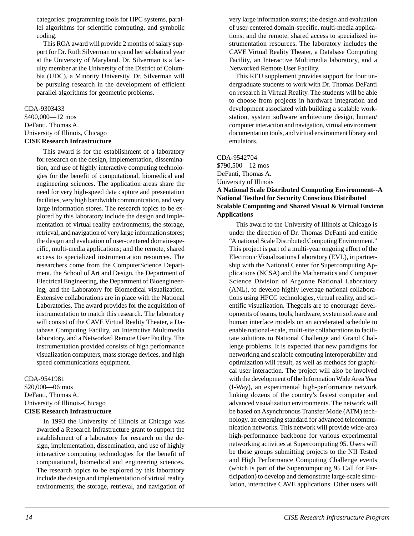<span id="page-12-0"></span>categories: programming tools for HPC systems, parallel algorithms for scientific computing, and symbolic coding.

This ROA award will provide 2 months of salary support for Dr. Ruth Silverman to spend her sabbatical year at the University of Maryland. Dr. Silverman is a faculty member at the University of the District of Columbia (UDC), a Minority University. Dr. Silverman will be pursuing research in the development of efficient parallel algorithms for geometric problems.

### CDA-9303433

\$400,000—12 mos DeFanti, Thomas A. University of Illinois, Chicago **CISE Research Infrastructure**

> This award is for the establishment of a laboratory for research on the design, implementation, dissemination, and use of highly interactive computing technologies for the benefit of computational, biomedical and engineering sciences. The application areas share the need for very high-speed data capture and presentation facilities, very high bandwidth communication, and very large information stores. The research topics to be explored by this laboratory include the design and implementation of virtual reality environments; the storage, retrieval, and navigation of very large information stores; the design and evaluation of user-centered domain-specific, multi-media applications; and the remote, shared access to specialized instrumentation resources. The researchers come from the ComputerScience Department, the School of Art and Design, the Department of Electrical Engineering, the Department of Bioengineering, and the Laboratory for Biomedical visualization. Extensive collaborations are in place with the National Laboratories. The award provides for the acquisition of instrumentation to match this research. The laboratory will consist of the CAVE Virtual Reality Theater, a Database Computing Facility, an Interactive Multimedia laboratory, and a Networked Remote User Facility. The instrumentation provided consists of high performance visualization computers, mass storage devices, and high speed communications equipment.

CDA-9541981

\$20,000—06 mos DeFanti, Thomas A. University of Illinois-Chicago **CISE Research Infrastructure**

> In 1993 the University of Illinois at Chicago was awarded a Research Infrastructure grant to support the establishment of a laboratory for research on the design, implementation, dissemination, and use of highly interactive computing technologies for the benefit of computational, biomedical and engineering sciences. The research topics to be explored by this laboratory include the design and implementation of virtual reality environments; the storage, retrieval, and navigation of

very large information stores; the design and evaluation of user-centered domain-specific, multi-media applications; and the remote, shared access to specialized instrumentation resources. The laboratory includes the CAVE Virtual Reality Theater, a Database Computing Facility, an Interactive Multimedia laboratory, and a Networked Remote User Facility.

This REU supplement provides support for four undergraduate students to work with Dr. Thomas DeFanti on research in Virtual Reality. The students will be able to choose from projects in hardware integration and development associated with building a scalable workstation, system software architecture design, human/ computer interaction and navigation, virtual environment documentation tools, and virtual environment library and emulators.

### CDA-9542704

\$790,500—12 mos

DeFanti, Thomas A. University of Illinois

**A National Scale Distributed Computing Environment--A National Testbed for Security Conscious Distributed Scalable Computing and Shared Visual & Virtual Environ Applications**

This award to the University of Illinois at Chicago is under the direction of Dr. Thomas DeFanti and entitle "A national Scale Distributed Computing Environment." This project is part of a multi-year ongoing effort of the Electronic Visualizations Laboratory (EVL), in partnership with the National Center for Supercomputing Applications (NCSA) and the Mathematics and Computer Science Division of Argonne National Laboratory (ANL), to develop highly leverage national collaborations using HPCC technologies, virtual reality, and scientific visualization. Thegoals are to encourage developments of teams, tools, hardware, system software and human interface models on an accelerated schedule to enable national-scale, multi-site collaborations to facilitate solutions to National Challenge and Grand Challenge problems. It is expected that new paradigms for networking and scalable computing interoperability and optimization will result, as well as methods for graphical user interaction. The project will also be involved with the development of the Information Wide Area Year (I-Way), an experimental high-performance network linking dozens of the country's fastest computer and advanced visualization environments. The network will be based on Asynchronous Transfer Mode (ATM) technology, an emerging standard for advanced telecommunication networks. This network will provide wide-area high-performance backbone for various experimental networking activities at Supercomputing 95. Users will be those groups submitting projects to the NII Tested and High Performance Computing Challenge events (which is part of the Supercomputing 95 Call for Participation) to develop and demonstrate large-scale simulation, interactive CAVE applications. Other users will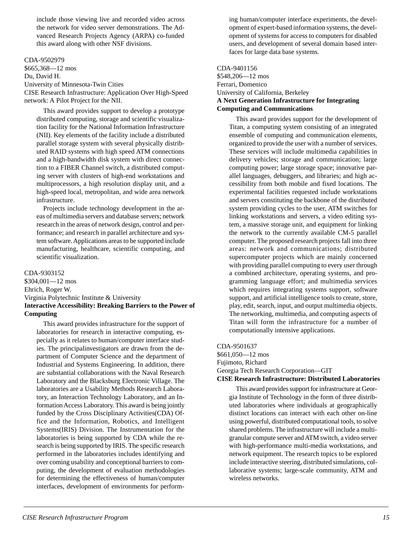<span id="page-13-0"></span>include those viewing live and recorded video across the network for video server demonstrations. The Advanced Research Projects Agency (ARPA) co-funded this award along with other NSF divisions.

### CDA-9502979

\$665,368—12 mos Du, David H.

University of Minnesota-Twin Cities CISE Research Infrastructure: Application Over High-Speed

network: A Pilot Project for the NII.

This award provides support to develop a prototype distributed computing, storage and scientific visualization facility for the National Information Infrastructure (NII). Key elements of the facility include a distributed parallel storage system with several physically distributed RAID systems with high speed ATM connections and a high-bandwidth disk system with direct connection to a FIBER Channel switch, a distributed computing server with clusters of high-end workstations and multiprocessors, a high resolution display unit, and a high-speed local, metropolitan, and wide area network infrastructure.

Projects include technology development in the areas of multimedia servers and database servers; network research in the areas of network design, control and performance; and research in parallel architecture and system software. Applications areas to be supported include manufacturing, healthcare, scientific computing, and scientific visualization.

### CDA-9303152

\$304,001—12 mos Ehrich, Roger W. Virginia Polytechnic Institute & University **Interactive Accessibility: Breaking Barriers to the Power of**

**Computing** This award provides infrastructure for the support of

laboratories for research in interactive computing, especially as it relates to human/computer interface studies. The principalinvestigators are drawn from the department of Computer Science and the department of Industrial and Systems Engineering. In addition, there are substantial collaborations with the Naval Research Laboratory and the Blacksburg Electronic Village. The laboratories are a Usability Methods Research Laboratory, an Interaction Technology Laboratory, and an Information Access Laboratory. This award is being jointly funded by the Cross Disciplinary Activities(CDA) Office and the Information, Robotics, and Intelligent Systems(IRIS) Division. The Instrumentation for the laboratories is being supported by CDA while the research is being supported by IRIS. The specific research performed in the laboratories includes identifying and over coming usability and conceptional barriers to computing, the development of evaluation methodologies for determining the effectiveness of human/computer interfaces, development of environments for performing human/computer interface experiments, the development of expert-based information systems, the development of systems for access to computers for disabled users, and development of several domain based interfaces for large data base systems.

### CDA-9401156 \$548,206—12 mos Ferrari, Domenico University of California, Berkeley **A Next Generation Infrastructure for Integrating Computing and Communications**

This award provides support for the development of Titan, a computing system consisting of an integrated ensemble of computing and communication elements, organized to provide the user with a number of services. These services will include multimedia capabilities in delivery vehicles; storage and communication; large computing power; large storage space; innovative parallel languages, debuggers, and libraries; and high accessibility from both mobile and fixed locations. The experimental facilities requested include workstations and servers constituting the backbone of the distributed system providing cycles to the user, ATM switches for linking workstations and servers, a video editing system, a massive storage unit, and equipment for linking the network to the currently available CM-5 parallel computer. The proposed research projects fall into three areas: network and communications; distributed supercomputer projects which are mainly concerned with providing parallel computing to every user through a combined architecture, operating systems, and programming language effort; and multimedia services which requires integrating systems support, software support, and artificial intelligence tools to create, store, play, edit, search, input, and output multimedia objects. The networking, multimedia, and computing aspects of Titan will form the infrastructure for a number of computationally intensive applications.

### CDA-9501637

\$661,050—12 mos Fujimoto, Richard Georgia Tech Research Corporation—GIT **CISE Research Infrastructure: Distributed Laboratories**

This award provides support for infrastructure at Georgia Institute of Technology in the form of three distributed laboratories where individuals at geographically distinct locations can interact with each other on-line using powerful, distributed computational tools, to solve shared problems. The infrastructure will include a multigranular compute server and ATM switch, a video server with high-performance multi-media workstations, and network equipment. The research topics to be explored include interactive steering, distributed simulations, collaborative systems; large-scale community, ATM and wireless networks.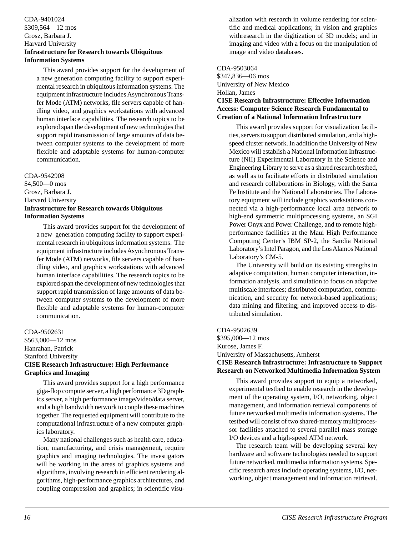### <span id="page-14-0"></span>CDA-9401024 \$309,564—12 mos Grosz, Barbara J. Harvard University **Infrastructure for Research towards Ubiquitous Information Systems**

This award provides support for the development of a new generation computing facility to support experimental research in ubiquitous information systems. The equipment infrastructure includes Asynchronous Transfer Mode (ATM) networks, file servers capable of handling video, and graphics workstations with advanced human interface capabilities. The research topics to be explored span the development of new technologies that support rapid transmission of large amounts of data between computer systems to the development of more flexible and adaptable systems for human-computer communication.

### CDA-9542908

\$4,500—0 mos Grosz, Barbara J. Harvard University **Infrastructure for Research towards Ubiquitous Information Systems**

This award provides support for the development of a new generation computing facility to support experimental research in ubiquitous information systems. The equipment infrastructure includes Asynchronous Transfer Mode (ATM) networks, file servers capable of handling video, and graphics workstations with advanced human interface capabilities. The research topics to be explored span the development of new technologies that support rapid transmission of large amounts of data between computer systems to the development of more flexible and adaptable systems for human-computer communication.

### CDA-9502631

\$563,000—12 mos Hanrahan, Patrick Stanford University **CISE Research Infrastructure: High Performance Graphics and Imaging**

This award provides support for a high performance giga-flop compute server, a high performance 3D graphics server, a high performance image/video/data server, and a high bandwidth network to couple these machines together. The requested equipment will contribute to the computational infrastructure of a new computer graphics laboratory.

Many national challenges such as health care, education, manufacturing, and crisis management, require graphics and imaging technologies. The investigators will be working in the areas of graphics systems and algorithms, involving research in efficient rendering algorithms, high-performance graphics architectures, and coupling compression and graphics; in scientific visualization with research in volume rendering for scientific and medical applications; in vision and graphics withresearch in the digitization of 3D models; and in imaging and video with a focus on the manipulation of image and video databases.

### CDA-9503064 \$347,836—06 mos University of New Mexico Hollan, James **CISE Research Infrastructure: Effective Information Access: Computer Science Research Fundamental to Creation of a National Information Infrastructure**

This award provides support for visualization facilities, servers to support distributed simulation, and a highspeed cluster network. In addition the University of New Mexico will establish a National Information Infrastructure (NII) Experimental Laboratory in the Science and Engineering Library to serve as a shared research testbed, as well as to facilitate efforts in distributed simulation and research collaborations in Biology, with the Santa Fe Institute and the National Laboratories. The Laboratory equipment will include graphics workstations connected via a high-performance local area network to high-end symmetric multiprocessing systems, an SGI Power Onyx and Power Challenge, and to remote highperformance facilities at the Maui High Performance Computing Center's IBM SP-2, the Sandia National Laboratory's Intel Paragon, and the Los Alamos National Laboratory's CM-5.

The University will build on its existing strengths in adaptive computation, human computer interaction, information analysis, and simulation to focus on adaptive multiscale interfaces; distributed computation, communication, and security for network-based applications; data mining and filtering; and improved access to distributed simulation.

### CDA-9502639

\$395,000—12 mos Kurose, James F. University of Massachusetts, Amherst

### **CISE Research Infrastructure: Infrastructure to Support Research on Networked Multimedia Information System**

This award provides support to equip a networked, experimental testbed to enable research in the development of the operating system, I/O, networking, object management, and information retrieval components of future networked multimedia information systems. The testbed will consist of two shared-memory multiprocessor facilities attached to several parallel mass storage I/O devices and a high-speed ATM network.

The research team will be developing several key hardware and software technologies needed to support future networked, multimedia information systems. Specific research areas include operating systems, I/O, networking, object management and information retrieval.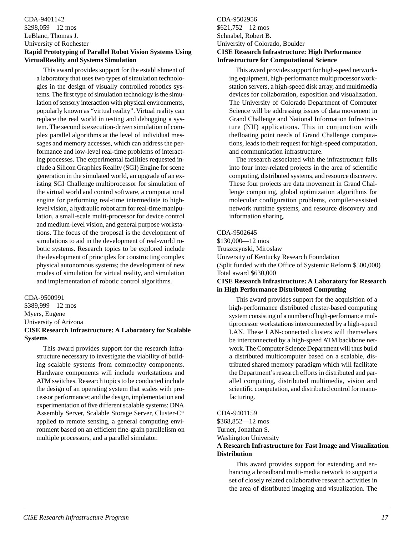### <span id="page-15-0"></span>CDA-9401142 \$298,059—12 mos LeBlanc, Thomas J. University of Rochester **Rapid Prototyping of Parallel Robot Vision Systems Using**

**VirtualReality and Systems Simulation**

This award provides support for the establishment of a laboratory that uses two types of simulation technologies in the design of visually controlled robotics systems. The first type of simulation technology is the simulation of sensory interaction with physical environments, popularly known as "virtual reality". Virtual reality can replace the real world in testing and debugging a system. The second is execution-driven simulation of complex parallel algorithms at the level of individual messages and memory accesses, which can address the performance and low-level real-time problems of interacting processes. The experimental facilities requested include a Silicon Graphics Reality (SGI) Engine for scene generation in the simulated world, an upgrade of an existing SGI Challenge multiprocessor for simulation of the virtual world and control software, a computational engine for performing real-time intermediate to highlevel vision, a hydraulic robot arm for real-time manipulation, a small-scale multi-processor for device control and medium-level vision, and general purpose workstations. The focus of the proposal is the development of simulations to aid in the development of real-world robotic systems. Research topics to be explored include the development of principles for constructing complex physical autonomous systems; the development of new modes of simulation for virtual reality, and simulation and implementation of robotic control algorithms.

### CDA-9500991

**Systems**

\$389,999—12 mos Myers, Eugene University of Arizona **CISE Research Infrastructure: A Laboratory for Scalable**

This award provides support for the research infrastructure necessary to investigate the viability of building scalable systems from commodity components. Hardware components will include workstations and ATM switches. Research topics to be conducted include the design of an operating system that scales with processor performance; and the design, implementation and experimentation of five different scalable systems: DNA Assembly Server, Scalable Storage Server, Cluster-C\* applied to remote sensing, a general computing environment based on an efficient fine-grain parallelism on multiple processors, and a parallel simulator.

### CDA-9502956 \$621,752—12 mos Schnabel, Robert B. University of Colorado, Boulder **CISE Research Infrastructure: High Performance Infrastructure for Computational Science**

This award provides support for high-speed networking equipment, high-performance multiprocessor workstation servers, a high-speed disk array, and multimedia devices for collaboration, exposition and visualization. The University of Colorado Department of Computer Science will be addressing issues of data movement in Grand Challenge and National Information Infrastructure (NII) applications. This in conjunction with thefloating point needs of Grand Challenge computations, leads to their request for high-speed computation, and communication infrastructure.

The research associated with the infrastructure falls into four inter-related projects in the area of scientific computing, distributed systems, and resource discovery. These four projects are data movement in Grand Challenge computing, global optimization algorithms for molecular configuration problems, compiler-assisted network runtime systems, and resource discovery and information sharing.

### CDA-9502645

\$130,000—12 mos Truszczynski, Miroslaw University of Kentucky Research Foundation (Split funded with the Office of Systemic Reform \$500,000) Total award \$630,000 **CISE Research Infrastructure: A Laboratory for Research in High Performance Distributed Computing**

This award provides support for the acquisition of a high-performance distributed cluster-based computing system consisting of a number of high-performance multiprocessor workstations interconnected by a high-speed LAN. These LAN-connected clusters will themselves be interconnected by a high-speed ATM backbone network. The Computer Science Department will thus build a distributed multicomputer based on a scalable, distributed shared memory paradigm which will facilitate the Department's research efforts in distributed and parallel computing, distributed multimedia, vision and scientific computation, and distributed control for manufacturing.

### CDA-9401159

\$368,852—12 mos Turner, Jonathan S. Washington University

### **A Research Infrastructure for Fast Image and Visualization Distribution**

This award provides support for extending and enhancing a broadband multi-media network to support a set of closely related collaborative research activities in the area of distributed imaging and visualization. The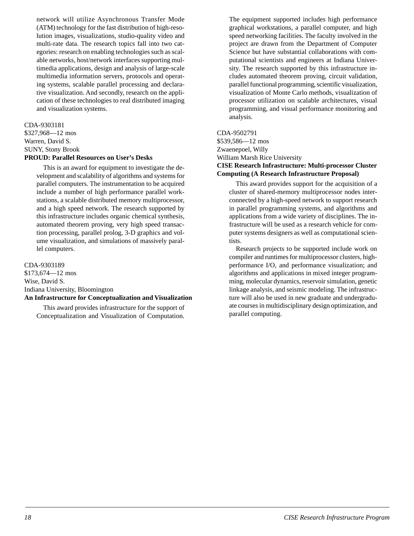<span id="page-16-0"></span>network will utilize Asynchronous Transfer Mode (ATM) technology for the fast distribution of high-resolution images, visualizations, studio-quality video and multi-rate data. The research topics fall into two categories: research on enabling technologies such as scalable networks, host/network interfaces supporting multimedia applications, design and analysis of large-scale multimedia information servers, protocols and operating systems, scalable parallel processing and declarative visualization. And secondly, research on the application of these technologies to real distributed imaging and visualization systems.

### CDA-9303181

\$327,968—12 mos Warren, David S. SUNY, Stony Brook **PROUD: Parallel Resources on User's Desks**

This is an award for equipment to investigate the development and scalability of algorithms and systems for parallel computers. The instrumentation to be acquired include a number of high performance parallel workstations, a scalable distributed memory multiprocessor, and a high speed network. The research supported by this infrastructure includes organic chemical synthesis, automated theorem proving, very high speed transaction processing, parallel prolog, 3-D graphics and volume visualization, and simulations of massively parallel computers.

### CDA-9303189

\$173,674—12 mos Wise, David S. Indiana University, Bloomington

### **An Infrastructure for Conceptualization and Visualization**

This award provides infrastructure for the support of Conceptualization and Visualization of Computation. The equipment supported includes high performance graphical workstations, a parallel computer, and high speed networking facilities. The faculty involved in the project are drawn from the Department of Computer Science but have substantial collaborations with computational scientists and engineers at Indiana University. The research supported by this infrastructure includes automated theorem proving, circuit validation, parallel functional programming, scientific visualization, visualization of Monte Carlo methods, visualization of processor utilization on scalable architectures, visual programming, and visual performance monitoring and analysis.

### CDA-9502791

\$539,586—12 mos Zwaenepoel, Willy William Marsh Rice University **CISE Research Infrastructure: Multi-processor Cluster Computing (A Research Infrastructure Proposal)**

This award provides support for the acquisition of a cluster of shared-memory multiprocessor nodes interconnected by a high-speed network to support research in parallel programming systems, and algorithms and applications from a wide variety of disciplines. The infrastructure will be used as a research vehicle for computer systems designers as well as computational scientists.

Research projects to be supported include work on compiler and runtimes for multiprocessor clusters, highperformance I/O, and performance visualization; and algorithms and applications in mixed integer programming, molecular dynamics, reservoir simulation, genetic linkage analysis, and seismic modeling. The infrastructure will also be used in new graduate and undergraduate courses in multidisciplinary design optimization, and parallel computing.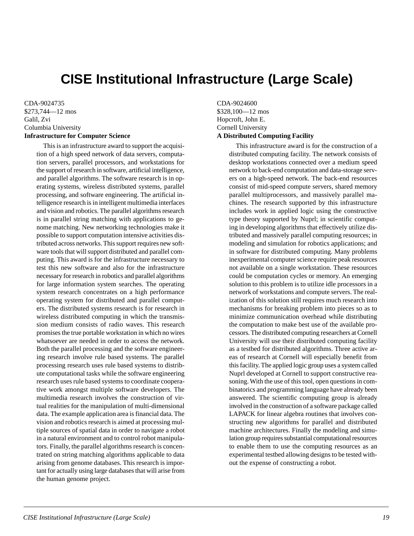# <span id="page-17-0"></span>**CISE Institutional Infrastructure (Large Scale)**

CDA-9024735 \$273,744—12 mos Galil, Zvi Columbia University **Infrastructure for Computer Science**

> This is an infrastructure award to support the acquisition of a high speed network of data servers, computation servers, parallel processors, and workstations for the support of research in software, artificial intelligence, and parallel algorithms. The software research is in operating systems, wireless distributed systems, parallel processing, and software engineering. The artificial intelligence research is in intelligent multimedia interfaces and vision and robotics. The parallel algorithms research is in parallel string matching with applications to genome matching. New networking technologies make it possible to support computation intensive activities distributed across networks. This support requires new software tools that will support distributed and parallel computing. This award is for the infrastructure necessary to test this new software and also for the infrastructure necessary for research in robotics and parallel algorithms for large information system searches. The operating system research concentrates on a high performance operating system for distributed and parallel computers. The distributed systems research is for research in wireless distributed computing in which the transmission medium consists of radio waves. This research promises the true portable workstation in which no wires whatsoever are needed in order to access the network. Both the parallel processing and the software engineering research involve rule based systems. The parallel processing research uses rule based systems to distribute computational tasks while the software engineering research uses rule based systems to coordinate cooperative work amongst multiple software developers. The multimedia research involves the construction of virtual realities for the manipulation of multi-dimensional data. The example application area is financial data. The vision and robotics research is aimed at processing multiple sources of spatial data in order to navigate a robot in a natural environment and to control robot manipulators. Finally, the parallel algorithms research is concentrated on string matching algorithms applicable to data arising from genome databases. This research is important for actually using large databases that will arise from the human genome project.

CDA-9024600 \$328,100—12 mos Hopcroft, John E. Cornell University **A Distributed Computing Facility**

> This infrastructure award is for the construction of a distributed computing facility. The network consists of desktop workstations connected over a medium speed network to back-end computation and data-storage servers on a high-speed network. The back-end resources consist of mid-speed compute servers, shared memory parallel multiprocessors, and massively parallel machines. The research supported by this infrastructure includes work in applied logic using the constructive type theory supported by Nuprl; in scientific computing in developing algorithms that effectively utilize distributed and massively parallel computing resources; in modeling and simulation for robotics applications; and in software for distributed computing. Many problems inexperimental computer science require peak resources not available on a single workstation. These resources could be computation cycles or memory. An emerging solution to this problem is to utilize idle processors in a network of workstations and compute servers. The realization of this solution still requires much research into mechanisms for breaking problem into pieces so as to minimize communication overhead while distributing the computation to make best use of the available processors. The distributed computing researchers at Cornell University will use their distributed computing facility as a testbed for distributed algorithms. Three active areas of research at Cornell will especially benefit from this facility. The applied logic group uses a system called Nuprl developed at Cornell to support constructive reasoning. With the use of this tool, open questions in combinatorics and programming language have already been answered. The scientific computing group is already involved in the construction of a software package called LAPACK for linear algebra routines that involves constructing new algorithms for parallel and distributed machine architectures. Finally the modeling and simulation group requires substantial computational resources to enable them to use the computing resources as an experimental testbed allowing designs to be tested without the expense of constructing a robot.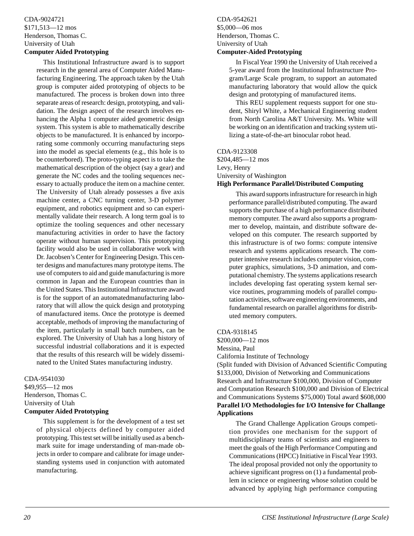### <span id="page-18-0"></span>CDA-9024721 \$171,513—12 mos Henderson, Thomas C. University of Utah **Computer Aided Prototyping**

This Institutional Infrastructure award is to support research in the general area of Computer Aided Manufacturing Engineering. The approach taken by the Utah group is computer aided prototyping of objects to be manufactured. The process is broken down into three separate areas of research: design, prototyping, and validation. The design aspect of the research involves enhancing the Alpha 1 computer aided geometric design system. This system is able to mathematically describe objects to be manufactured. It is enhanced by incorporating some commonly occurring manufacturing steps into the model as special elements (e.g., this hole is to be counterbored). The proto-typing aspect is to take the mathematical description of the object (say a gear) and generate the NC codes and the tooling sequences necessary to actually produce the item on a machine center. The University of Utah already possesses a five axis machine center, a CNC turning center, 3-D polymer equipment, and robotics equipment and so can experimentally validate their research. A long term goal is to optimize the tooling sequences and other necessary manufacturing activities in order to have the factory operate without human supervision. This prototyping facility would also be used in collaborative work with Dr. Jacobsen's Center for Engineering Design. This center designs and manufactures many prototype items. The use of computers to aid and guide manufacturing is more common in Japan and the European countries than in the United States. This Institutional Infrastructure award is for the support of an automatedmanufacturing laboratory that will allow the quick design and prototyping of manufactured items. Once the prototype is deemed acceptable, methods of improving the manufacturing of the item, particularly in small batch numbers, can be explored. The University of Utah has a long history of successful industrial collaborations and it is expected that the results of this research will be widely disseminated to the United States manufacturing industry.

CDA-9541030 \$49,955—12 mos Henderson, Thomas C. University of Utah **Computer Aided Prototyping**

> This supplement is for the development of a test set of physical objects defined by computer aided prototyping. This test set will be initially used as a benchmark suite for image understanding of man-made objects in order to compare and calibrate for image understanding systems used in conjunction with automated manufacturing.

### CDA-9542621 \$5,000—06 mos Henderson, Thomas C. University of Utah **Computer-Aided Prototyping**

In Fiscal Year 1990 the University of Utah received a 5-year award from the Institutional Infrastructure Program/Large Scale program, to support an automated manufacturing laboratory that would allow the quick design and prototyping of manufactured items.

This REU supplement requests support for one student, Shiryl White, a Mechanical Engineering student from North Carolina A&T University. Ms. White will be working on an identification and tracking system utilizing a state-of-the-art binocular robot head.

CDA-9123308

\$204,485—12 mos Levy, Henry University of Washington

### **High Performance Parallel/Distributed Computing**

This award supports infrastructure for research in high performance parallel/distributed computing. The award supports the purchase of a high performance distributed memory computer. The award also supports a programmer to develop, maintain, and distribute software developed on this computer. The research supported by this infrastructure is of two forms: compute intensive research and systems applications research. The computer intensive research includes computer vision, computer graphics, simulations, 3-D animation, and computational chemistry. The systems applications research includes developing fast operating system kernal service routines, programming models of parallel computation activities, software engineering environments, and fundamental research on parallel algorithms for distributed memory computers.

### CDA-9318145

\$200,000—12 mos

Messina, Paul

California Institute of Technology

(Split funded with Division of Advanced Scientific Computing \$133,000, Division of Networking and Communications Research and Infrastructure \$100,000, Division of Computer and Computation Research \$100,000 and Division of Electrical and Communications Systems \$75,000) Total award \$608,000 **Parallel I/O Methodologies for I/O Intensive for Challange Applications**

The Grand Challenge Application Groups competition provides one mechanism for the support of multidisciplinary teams of scientists and engineers to meet the goals of the High Performance Computing and Communications (HPCC) Initiative in Fiscal Year 1993. The ideal proposal provided not only the opportunity to achieve significant progress on (1) a fundamental problem in science or engineering whose solution could be advanced by applying high performance computing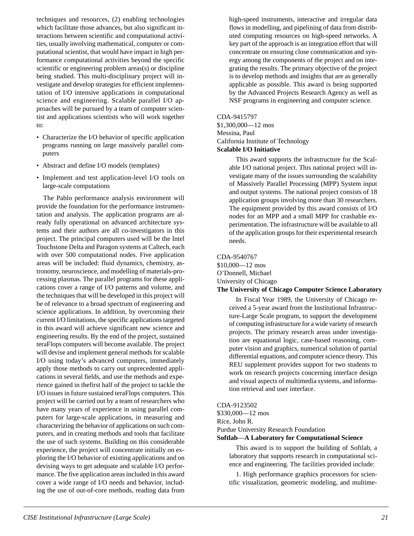<span id="page-19-0"></span>techniques and resources, (2) enabling technologies which facilitate those advances, but also significant interactions between scientific and computational activities, usually involving mathematical, computer or computational scientist, that would have impact in high performance computational activities beyond the specific scientific or engineering problem areas(s) or discipline being studied. This multi-disciplinary project will investigate and develop strategies for efficient implementation of I/O intensive applications in computational science and engineering. Scalable parallel I/O approaches will be pursued by a team of computer scientist and applications scientists who will work together to:

- Characterize the I/O behavior of specific application programs running on large massively parallel computers
- Abstract and define I/O models (templates)
- Implement and test application-level I/O tools on large-scale computations

The Pablo performance analysis environment will provide the foundation for the performance instrumentation and analysis. The application programs are already fully operational on advanced architecture systems and their authors are all co-investigators in this project. The principal computers used will be the Intel Touchstone Delta and Paragon systems at Caltech, each with over 500 computational nodes. Five application areas will be included: fluid dynamics, chemistry, astronomy, neuroscience, and modelling of materials-processing plasmas. The parallel programs for these applications cover a range of I/O patterns and volume, and the techniques that will be developed in this project will be of relevance to a broad spectrum of engineering and science applications. In addition, by overcoming their current I/O limitations, the specific applications targeted in this award will achieve significant new science and engineering results. By the end of the project, sustained teraFlops computers will become available. The project will devise and implement general methods for scalable I/O using today's advanced computers, immediately apply those methods to carry out unprecedented applications in several fields, and use the methods and experience gained in thefirst half of the project to tackle the I/O issues in future sustained teraFlops computers. This project will be carried out by a team of researchers who have many years of experience in using parallel computers for large-scale applications, in measuring and characterizing the behavior of applications on such computers, and in creating methods and tools that facilitate the use of such systems. Building on this considerable experience, the project will concentrate initially on exploring the I/O behavior of existing applications and on devising ways to get adequate and scalable I/O performance. The five application areas included in this award cover a wide range of I/O needs and behavior, including the use of out-of-core methods, reading data from high-speed instruments, interactive and irregular data flows in modelling, and pipelining of data from distributed computing resources on high-speed networks. A key part of the approach is an integration effort that will concentrate on ensuring close communication and synergy among the components of the project and on integrating the results. The primary objective of the project is to develop methods and insights that are as generally applicable as possible. This award is being supported by the Advanced Projects Research Agency as well as NSF programs in engineering and computer science.

### CDA-9415797 \$1,300,000—12 mos Messina, Paul California Institute of Technology **Scalable I/O Initiative**

This award supports the infrastructure for the Scalable I/O national project. This national project will investigate many of the issues surrounding the scalability of Massively Parallel Processing (MPP) System input and output systems. The national project consists of 18 application groups involving more than 30 researchers. The equipment provided by this award consists of I/O nodes for an MPP and a small MPP for crashable experimentation. The infrastructure will be available to all of the application groups for their experimental research needs.

CDA-9540767 \$10,000—12 mos O'Donnell, Michael University of Chicago **The University of Chicago Computer Science Laboratory**

In Fiscal Year 1989, the University of Chicago received a 5-year award from the Institutional Infrastructure-Large Scale program, to support the development of computing infrastructure for a wide variety of research projects. The primary research areas under investigation are equational logic, case-based reasoning, computer vision and graphics, numerical solution of partial differential equations, and computer science theory. This REU supplement provides support for two students to work on research projects concerning interface design and visual aspects of multimedia systems, and information retrieval and user interface.

CDA-9123502

\$330,000—12 mos Rice, John R. Purdue University Research Foundation **Softlab**—**A Laboratory for Computational Science**

This award is to support the building of Softlab, a laboratory that supports research in computational science and engineering. The facilities provided include:

1. High performance graphics processors for scientific visualization, geometric modeling, and multime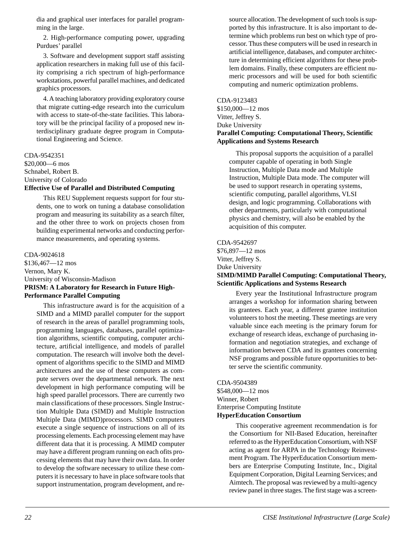<span id="page-20-0"></span>dia and graphical user interfaces for parallel programming in the large.

2. High-performance computing power, upgrading Purdues' parallel

3. Software and development support staff assisting application researchers in making full use of this facility comprising a rich spectrum of high-performance workstations, powerful parallel machines, and dedicated graphics processors.

4. A teaching laboratory providing exploratory course that migrate cutting-edge research into the curriculum with access to state-of-the-state facilities. This laboratory will be the principal facility of a proposed new interdisciplinary graduate degree program in Computational Engineering and Science.

### CDA-9542351

\$20,000—6 mos Schnabel, Robert B. University of Colorado

### **Effective Use of Parallel and Distributed Computing**

This REU Supplement requests support for four students, one to work on tuning a database consolidation program and measuring its suitability as a search filter, and the other three to work on projects chosen from building experimental networks and conducting performance measurements, and operating systems.

### CDA-9024618 \$136,467—12 mos

Vernon, Mary K. University of Wisconsin-Madison **PRISM: A Laboratory for Research in Future High-Performance Parallel Computing**

This infrastructure award is for the acquisition of a SIMD and a MIMD parallel computer for the support of research in the areas of parallel programming tools, programming languages, databases, parallel optimization algorithms, scientific computing, computer architecture, artificial intelligence, and models of parallel computation. The research will involve both the development of algorithms specific to the SIMD and MIMD architectures and the use of these computers as compute servers over the departmental network. The next development in high performance computing will be high speed parallel processors. There are currently two main classifications of these processors. Single Instruction Multiple Data (SIMD) and Multiple Instruction Multiple Data (MIMD)processors. SIMD computers execute a single sequence of instructions on all of its processing elements. Each processing element may have different data that it is processing. A MIMD computer may have a different program running on each ofits processing elements that may have their own data. In order to develop the software necessary to utilize these computers it is necessary to have in place software tools that support instrumentation, program development, and resource allocation. The development of such tools is supported by this infrastructure. It is also important to determine which problems run best on which type of processor. Thus these computers will be used in research in artificial intelligence, databases, and computer architecture in determining efficient algorithms for these problem domains. Finally, these computers are efficient numeric processors and will be used for both scientific computing and numeric optimization problems.

### CDA-9123483 \$150,000—12 mos Vitter, Jeffrey S. Duke University **Parallel Computing: Computational Theory, Scientific Applications and Systems Research**

This proposal supports the acquisition of a parallel computer capable of operating in both Single Instruction, Multiple Data mode and Multiple Instruction, Multiple Data mode. The computer will be used to support research in operating systems, scientific computing, parallel algorithms, VLSI design, and logic programming. Collaborations with other departments, particularly with computational physics and chemistry, will also be enabled by the acquisition of this computer.

### CDA-9542697

\$76,897—12 mos Vitter, Jeffrey S. Duke University **SIMD/MIMD Parallel Computing: Computational Theory, Scientific Applications and Systems Research**

Every year the Institutional Infrastructure program arranges a workshop for information sharing between its grantees. Each year, a different grantee institution volunteers to host the meeting. These meetings are very valuable since each meeting is the primary forum for exchange of research ideas, exchange of purchasing information and negotiation strategies, and exchange of information between CDA and its grantees concerning NSF programs and possible future opportunities to better serve the scientific community.

### CDA-9504389 \$548,000—12 mos Winner, Robert Enterprise Computing Institute **HyperEducation Consortium**

This cooperative agreement recommendation is for the Consortium for NII-Based Education, hereinafter referred to as the HyperEducation Consortium, with NSF acting as agent for ARPA in the Technology Reinvestment Program. The HyperEducation Consortium members are Enterprise Computing Institute, Inc., Digital Equipment Corporation, Digital Learning Services; and Aimtech. The proposal was reviewed by a multi-agency review panel in three stages. The first stage was a screen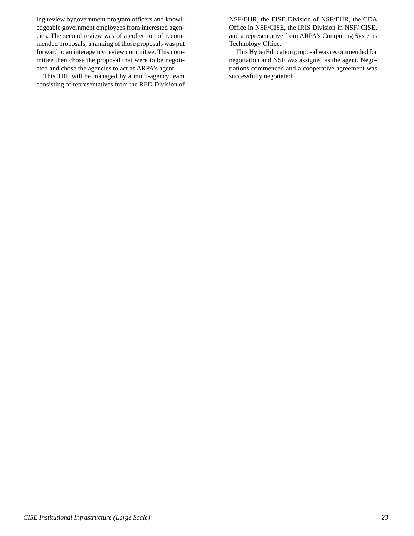ing review bygovernment program officers and knowledgeable government employees from interested agencies. The second review was of a collection of recommended proposals; a ranking of those proposals was put forward to an interagency review committee. This committee then chose the proposal that were to be negotiated and chose the agencies to act as ARPA's agent.

This TRP will be managed by a multi-agency team consisting of representatives from the RED Division of NSF/EHR, the EISE Division of NSF/EHR, the CDA Office in NSF/CISE, the IRIS Division in NSF/ CISE, and a representative from ARPA's Computing Systems Technology Office.

This HyperEducation proposal was recommended for negotiation and NSF was assigned as the agent. Negotiations commenced and a cooperative agreement was successfully negotiated.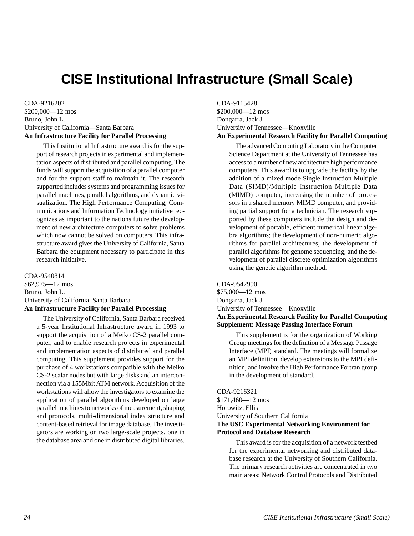# <span id="page-22-0"></span>**CISE Institutional Infrastructure (Small Scale)**

CDA-9216202 \$200,000—12 mos Bruno, John L. University of California—Santa Barbara **An Infrastructure Facility for Parallel Processing**

This Institutional Infrastructure award is for the support of research projects in experimental and implementation aspects of distributed and parallel computing. The funds will support the acquisition of a parallel computer and for the support staff to maintain it. The research supported includes systems and programming issues for parallel machines, parallel algorithms, and dynamic visualization. The High Performance Computing, Communications and Information Technology initiative recognizes as important to the nations future the development of new architecture computers to solve problems which now cannot be solved on computers. This infrastructure award gives the University of California, Santa Barbara the equipment necessary to participate in this research initiative.

CDA-9540814 \$62,975—12 mos Bruno, John L. University of California, Santa Barbara **An Infrastructure Facility for Parallel Processing**

The University of California, Santa Barbara received a 5-year Institutional Infrastructure award in 1993 to support the acquisition of a Meiko CS-2 parallel computer, and to enable research projects in experimental and implementation aspects of distributed and parallel computing. This supplement provides support for the purchase of 4 workstations compatible with the Meiko CS-2 scalar nodes but with large disks and an interconnection via a 155Mbit ATM network. Acquisition of the workstations will allow the investigators to examine the application of parallel algorithms developed on large parallel machines to networks of measurement, shaping and protocols, multi-dimensional index structure and content-based retrieval for image database. The investigators are working on two large-scale projects, one in the database area and one in distributed digital libraries. CDA-9115428 \$200,000—12 mos Dongarra, Jack J. University of Tennessee—Knoxville **An Experimental Research Facility for Parallel Computing**

The advanced Computing Laboratory in the Computer Science Department at the University of Tennessee has access to a number of new architecture high performance computers. This award is to upgrade the facility by the addition of a mixed mode Single Instruction Multiple Data (SIMD)/Multiple Instruction Multiple Data (MIMD) computer, increasing the number of processors in a shared memory MIMD computer, and providing partial support for a technician. The research supported by these computers include the design and development of portable, efficient numerical linear algebra algorithms; the development of non-numeric algorithms for parallel architectures; the development of parallel algorithms for genome sequencing; and the development of parallel discrete optimization algorithms using the genetic algorithm method.

CDA-9542990 \$75,000—12 mos Dongarra, Jack J. University of Tennessee—Knoxville **An Experimental Research Facility for Parallel Computing Supplement: Message Passing Interface Forum**

This supplement is for the organization of Working Group meetings for the definition of a Message Passage Interface (MPI) standard. The meetings will formalize an MPI definition, develop extensions to the MPI definition, and involve the High Performance Fortran group in the development of standard.

CDA-9216321 \$171,460—12 mos Horowitz, Ellis University of Southern California **The USC Experimental Networking Environment for Protocol and Database Research**

This award is for the acquisition of a network testbed for the experimental networking and distributed database research at the University of Southern California. The primary research activities are concentrated in two main areas: Network Control Protocols and Distributed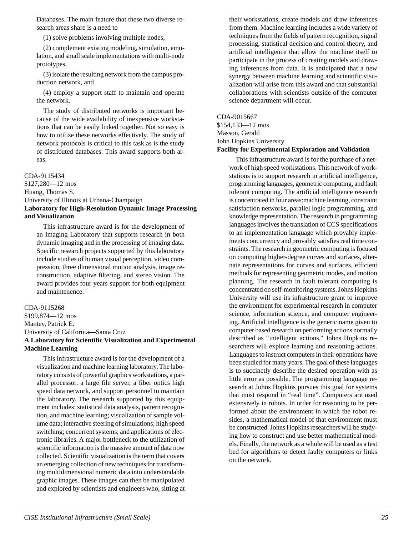<span id="page-23-0"></span>Databases. The main feature that these two diverse research areas share is a need to

(1) solve problems involving multiple nodes,

(2) complement existing modeling, simulation, emulation, and small scale implementations with multi-node prototypes,

(3) isolate the resulting network from the campus production network, and

(4) employ a support staff to maintain and operate the network.

The study of distributed networks is important because of the wide availability of inexpensive workstations that can be easily linked together. Not so easy is how to utilize these networks effectively. The study of network protocols is critical to this task as is the study of distributed databases. This award supports both areas.

### CDA-9115434

\$127,280—12 mos

Huang, Thomas S.

University of Illinois at Urbana-Champaign

**Laboratory for High-Resolution Dynamic Image Processing and Visualization**

This infrastructure award is for the development of an Imaging Laboratory that supports research in both dynamic imaging and in the processing of imaging data. Specific research projects supported by this laboratory include studies of human visual perception, video compression, three dimensional motion analysis, image reconstruction, adaptive filtering, and stereo vision. The award provides four years support for both equipment and maintenence.

CDA-9115268 \$199,874—12 mos Mantey, Patrick E. University of California—Santa Cruz **A Laboratory for Scientific Visualization and Experimental Machine Learning**

This infrastructure award is for the development of a visualization and machine learning laboratory. The laboratory consists of powerful graphics workstations, a parallel processor, a large file server, a fiber optics high speed data network, and support personnel to maintain the laboratory. The research supported by this equipment includes: statistical data analysis, pattern recognition, and machine learning; visualization of sample volume data; interactive steering of simulations; high speed switching; concurrent systems; and applications of electronic libraries. A major bottleneck to the utilization of scientific information is the massive amount of data now collected. Scientific visualization is the term that covers an emerging collection of new techniques for transforming multidimensional numeric data into understandable graphic images. These images can then be manipulated and explored by scientists and engineers who, sitting at

their workstations, create models and draw inferences from them. Machine learning includes a wide variety of techniques from the fields of pattern recognition, signal processing, statistical decision and control theory, and artificial intelligence that allow the machine itself to participate in the process of creating models and drawing inferences from data. It is anticipated that a new synergy between machine learning and scientific visualization will arise from this award and that substantial collaborations with scientists outside of the computer science department will occur.

CDA-9015667 \$154,133—12 mos Masson, Gerald John Hopkins University **Facility for Experimental Exploration and Validation**

This infrastructure award is for the purchase of a network of high speed workstations. This network of workstations is to support research in artificial intelligence, programming languages, geometric computing, and fault tolerant computing. The artificial intelligence research is concentrated in four areas:machine learning, constraint satisfaction networks, parallel logic programming, and knowledge representation. The research in programming languages involves the translation of CCS specifications to an implementation language which provably implements concurrency and provably satisfies real time constraints. The research in geometric computing is focused on computing higher-degree curves and surfaces, alternate representations for curves and surfaces, efficient methods for representing geometric modes, and motion planning. The research in fault tolerant computing is concentrated on self-monitoring systems. Johns Hopkins University will use its infrastructure grant to improve the environment for experimental research in computer science, information science, and computer engineering. Artificial intelligence is the generic name given to computer based research on performing actions normally described as "intelligent actions." Johns Hopkins researchers will explore learning and reasoning actions. Languages to instruct computers in their operations have been studied for many years. The goal of these languages is to succinctly describe the desired operation with as little error as possible. The programming language research at Johns Hopkins pursues this goal for systems that must respond in "real time". Computers are used extensively in robots. In order for reasoning to be performed about the environment in which the robot resides, a mathematical model of that environment must be constructed. Johns Hopkins researchers will be studying how to construct and use better mathematical models. Finally, the network as a whole will be used as a test bed for algorithms to detect faulty computers or links on the network.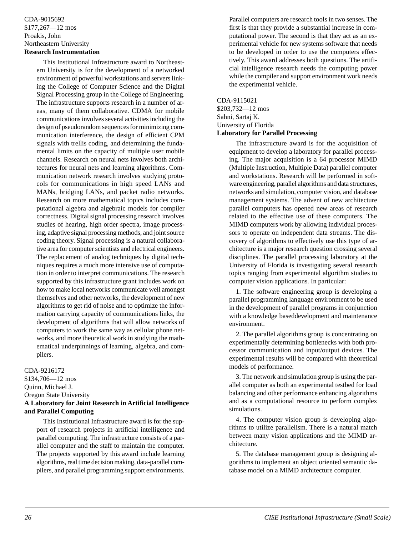### <span id="page-24-0"></span>CDA-9015692 \$177,267—12 mos Proakis, John Northeastern University **Research Instrumentation**

This Institutional Infrastructure award to Northeastern University is for the development of a networked environment of powerful workstations and servers linking the College of Computer Science and the Digital Signal Processing group in the College of Engineering. The infrastructure supports research in a number of areas, many of them collaborative. CDMA for mobile communications involves several activities including the design of pseudorandom sequences for minimizing communication interference, the design of efficient CPM signals with trellis coding, and determining the fundamental limits on the capacity of multiple user mobile channels. Research on neural nets involves both architectures for neural nets and learning algorithms. Communication network research involves studying protocols for communications in high speed LANs and MANs, bridging LANs, and packet radio networks. Research on more mathematical topics includes computational algebra and algebraic models for compiler correctness. Digital signal processing research involves studies of hearing, high order spectra, image processing, adaptive signal processing methods, and joint source coding theory. Signal processing is a natural collaborative area for computer scientists and electrical engineers. The replacement of analog techniques by digital techniques requires a much more intensive use of computation in order to interpret communications. The research supported by this infrastructure grant includes work on how to make local networks communicate well amongst themselves and other networks, the development of new algorithms to get rid of noise and to optimize the information carrying capacity of communications links, the development of algorithms that will allow networks of computers to work the same way as cellular phone networks, and more theoretical work in studying the mathematical underpinnings of learning, algebra, and compilers.

### CDA-9216172

\$134,706—12 mos Quinn, Michael J. Oregon State University **A Laboratory for Joint Research in Artificial Intelligence and Parallel Computing**

This Institutional Infrastructure award is for the support of research projects in artificial intelligence and parallel computing. The infrastructure consists of a parallel computer and the staff to maintain the computer. The projects supported by this award include learning algorithms, real time decision making, data-parallel compilers, and parallel programming support environments. Parallel computers are research tools in two senses. The first is that they provide a substantial increase in computational power. The second is that they act as an experimental vehicle for new systems software that needs to be developed in order to use the computers effectively. This award addresses both questions. The artificial intelligence research needs the computing power while the compiler and support environment work needs the experimental vehicle.

### CDA-9115021 \$203,732—12 mos Sahni, Sartaj K. University of Florida **Laboratory for Parallel Processing**

The infrastructure award is for the acquisition of equipment to develop a laboratory for parallel processing. The major acquisition is a 64 processor MIMD (Multiple Instruction, Multiple Data) parallel computer and workstations. Research will be performed in software engineering, parallel algorithms and data structures, networks and simulation, computer vision, and database management systems. The advent of new architecture parallel computers has opened new areas of research related to the effective use of these computers. The MIMD computers work by allowing individual processors to operate on independent data streams. The discovery of algorithms to effectively use this type of architecture is a major research question crossing several disciplines. The parallel processing laboratory at the University of Florida is investigating several research topics ranging from experimental algorithm studies to computer vision applications. In particular:

1. The software engineering group is developing a parallel programming language environment to be used in the development of parallel programs in conjunction with a knowledge baseddevelopment and maintenance environment.

2. The parallel algorithms group is concentrating on experimentally determining bottlenecks with both processor communication and input/output devices. The experimental results will be compared with theoretical models of performance.

3. The network and simulation group is using the parallel computer as both an experimental testbed for load balancing and other performance enhancing algorithms and as a computational resource to perform complex simulations.

4. The computer vision group is developing algorithms to utilize parallelism. There is a natural match between many vision applications and the MIMD architecture.

5. The database management group is designing algorithms to implement an object oriented semantic database model on a MIMD architecture computer.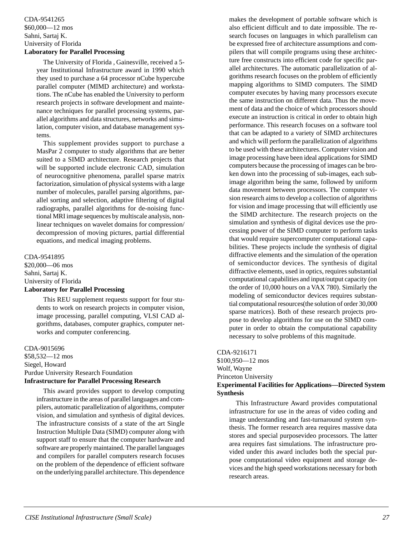### <span id="page-25-0"></span>CDA-9541265 \$60,000—12 mos Sahni, Sartaj K. University of Florida **Laboratory for Parallel Processing**

The University of Florida , Gainesville, received a 5 year Institutional Infrastructure award in 1990 which they used to purchase a 64 processor nCube hypercube parallel computer (MIMD architecture) and workstations. The nCube has enabled the University to perform research projects in software development and maintenance techniques for parallel processing systems, parallel algorithms and data structures, networks and simulation, computer vision, and database management systems.

This supplement provides support to purchase a MasPar 2 computer to study algorithms that are better suited to a SIMD architecture. Research projects that will be supported include electronic CAD, simulation of neurocognitive phenomena, parallel sparse matrix factorization, simulation of physical systems with a large number of molecules, parallel parsing algorithms, parallel sorting and selection, adaptive filtering of digital radiographs, parallel algorithms for de-noising functional MRI image sequences by multiscale analysis, nonlinear techniques on wavelet domains for compression/ decompression of moving pictures, partial differential equations, and medical imaging problems.

### CDA-9541895

\$20,000—06 mos Sahni, Sartaj K. University of Florida **Laboratory for Parallel Processing**

> This REU supplement requests support for four students to work on research projects in computer vision, image processing, parallel computing, VLSI CAD algorithms, databases, computer graphics, computer networks and computer conferencing.

CDA-9015696 \$58,532—12 mos Siegel, Howard Purdue University Research Foundation **Infrastructure for Parallel Processing Research**

This award provides support to develop computing infrastructure in the areas of parallel languages and compilers, automatic parallelization of algorithms, computer vision, and simulation and synthesis of digital devices. The infrastructure consists of a state of the art Single Instruction Multiple Data (SIMD) computer along with support staff to ensure that the computer hardware and software are properly maintained. The parallel languages and compilers for parallel computers research focuses on the problem of the dependence of efficient software on the underlying parallel architecture. This dependence makes the development of portable software which is also efficient difficult and to date impossible. The research focuses on languages in which parallelism can be expressed free of architecture assumptions and compilers that will compile programs using these architecture free constructs into efficient code for specific parallel architectures. The automatic parallelization of algorithms research focuses on the problem of efficiently mapping algorithms to SIMD computers. The SIMD computer executes by having many processors execute the same instruction on different data. Thus the movement of data and the choice of which processors should execute an instruction is critical in order to obtain high performance. This research focuses on a software tool that can be adapted to a variety of SIMD architectures and which will perform the parallelization of algorithms to be used with these architectures. Computer vision and image processing have been ideal applications for SIMD computers because the processing of images can be broken down into the processing of sub-images, each subimage algorithm being the same, followed by uniform data movement between processors. The computer vision research aims to develop a collection of algorithms for vision and image processing that will efficiently use the SIMD architecture. The research projects on the simulation and synthesis of digital devices use the processing power of the SIMD computer to perform tasks that would require supercomputer computational capabilities. These projects include the synthesis of digital diffractive elements and the simulation of the operation of semiconductor devices. The synthesis of digital diffractive elements, used in optics, requires substantial computational capabilities and input/output capacity (on the order of 10,000 hours on a VAX 780). Similarly the modeling of semiconductor devices requires substantial computational resources(the solution of order 30,000 sparse matrices). Both of these research projects propose to develop algorithms for use on the SIMD computer in order to obtain the computational capability necessary to solve problems of this magnitude.

CDA-9216171 \$100,950—12 mos Wolf, Wayne Princeton University **Experimental Facilities for Applications—Directed System Synthesis**

This Infrastructure Award provides computational infrastructure for use in the areas of video coding and image understanding and fast-turnaround system synthesis. The former research area requires massive data stores and special purposevideo processors. The latter area requires fast simulations. The infrastructure provided under this award includes both the special purpose computational video equipment and storage devices and the high speed workstations necessary for both research areas.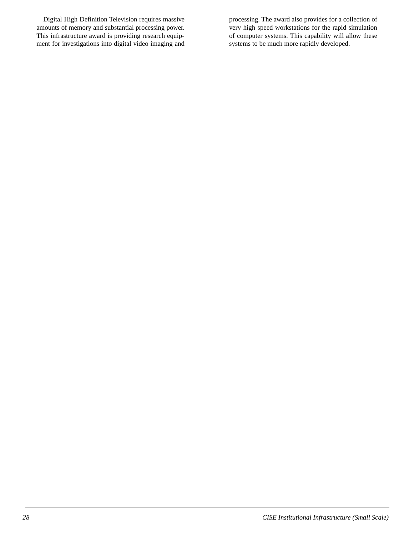Digital High Definition Television requires massive amounts of memory and substantial processing power. This infrastructure award is providing research equipment for investigations into digital video imaging and processing. The award also provides for a collection of very high speed workstations for the rapid simulation of computer systems. This capability will allow these systems to be much more rapidly developed.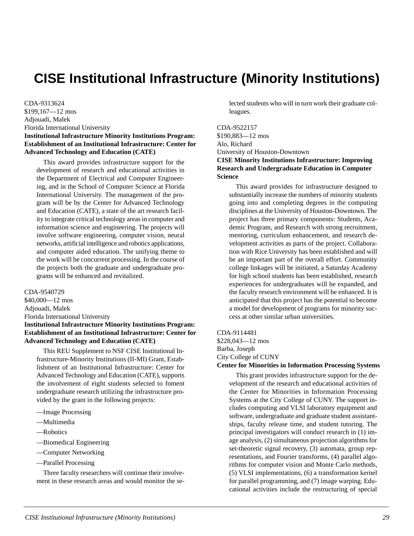# <span id="page-27-0"></span>**CISE Institutional Infrastructure (Minority Institutions)**

CDA-9313624 \$199,167—12 mos Adjouadi, Malek Florida International University **Institutional Infrastructure Minority Institutions Program: Establishment of an Institutional Infrastructure: Center for Advanced Technology and Education (CATE)**

This award provides infrastructure support for the development of research and educational activities in the Department of Electrical and Computer Engineering, and in the School of Computer Science at Florida International University. The management of the program will be by the Center for Advanced Technology and Education (CATE), a state of the art research facility to integrate critical technology areas in computer and information science and engineering. The projects will involve software engineering, computer vision, neural networks, artificial intelligence and robotics applications, and computer aided education. The unifying theme to the work will be concurrent processing. In the course of the projects both the graduate and undergraduate programs will be enhanced and revitalized.

CDA-9540729 \$40,000—12 mos Adjouadi, Malek Florida International University **Institutional Infrastructure Minority Institutions Program: Establishment of an Institutional Infrastructure: Center for Advanced Technology and Education (CATE)**

This REU Supplement to NSF CISE Institutional Infrastructure-Minority Institutions (II-MI) Grant, Establishment of an Institutional Infrastructure: Center for Advanced Technology and Education (CATE), supports the involvement of eight students selected to foment undergraduate research utilizing the infrastructure provided by the grant in the following projects:

- —Image Processing
- —Multimedia
- —Robotics
- —Biomedical Engineering
- —Computer Networking
- —Parallel Processing

Three faculty researchers will continue their involvement in these research areas and would monitor the selected students who will in turn work their graduate colleagues.

### CDA-9522157

\$190,883—12 mos Alo, Richard University of Houston-Downtown

### **CISE Minority Institutions Infrastructure: Improving Research and Undergraduate Education in Computer Science**

This award provides for infrastructure designed to substantially increase the numbers of minority students going into and completing degrees in the computing disciplines at the University of Houston-Downtown. The project has three primary components: Students, Academic Program, and Research with strong recruitment, mentoring, curriculum enhancement, and research development activities as parts of the project. Collaboration with Rice University has been established and will be an important part of the overall effort. Community college linkages will be initiated, a Saturday Academy for high school students has been established, research experiences for undergraduates will be expanded, and the faculty research environment will be enhanced. It is anticipated that this project has the potential to become a model for development of programs for minority success at other similar urban universities.

### CDA-9114481 \$228,043—12 mos

Barba, Joseph City College of CUNY

### **Center for Minorities in Information Processing Systems**

This grant provides infrastructure support for the development of the research and educational activities of the Center for Minorities in Information Processing Systems at the City College of CUNY. The support includes computing and VLSI laboratory equipment and software, undergraduate and graduate student assistantships, faculty release time, and student tutoring. The principal investigators will conduct research in (1) image analysis, (2) simultaneous projection algorithms for set-theoretic signal recovery, (3) automata, group representations, and Fourier transforms, (4) parallel algorithms for computer vision and Monte Carlo methods, (5) VLSI implementations, (6) a transformation kernel for parallel programming, and (7) image warping. Educational activities include the restructuring of special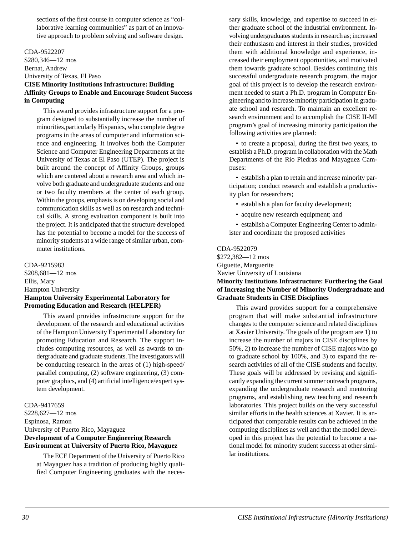<span id="page-28-0"></span>sections of the first course in computer science as "collaborative learning communities" as part of an innovative approach to problem solving and software design.

### CDA-9522207

\$280,346—12 mos Bernat, Andrew University of Texas, El Paso **CISE Minority Institutions Infrastructure: Building Affinity Groups to Enable and Encourage Student Success**

### **in Computing**

This award provides infrastructure support for a program designed to substantially increase the number of minorities,particularly Hispanics, who complete degree programs in the areas of computer and information science and engineering. It involves both the Computer Science and Computer Engineering Departments at the University of Texas at El Paso (UTEP). The project is built around the concept of Affinity Groups, groups which are centered about a research area and which involve both graduate and undergraduate students and one or two faculty members at the center of each group. Within the groups, emphasis is on developing social and communication skills as well as on research and technical skills. A strong evaluation component is built into the project. It is anticipated that the structure developed has the potential to become a model for the success of minority students at a wide range of similar urban, commuter institutions.

CDA-9215983 \$208,681—12 mos Ellis, Mary Hampton University **Hampton University Experimental Laboratory for Promoting Education and Research (HELPER)**

This award provides infrastructure support for the development of the research and educational activities of the Hampton University Experimental Laboratory for promoting Education and Research. The support includes computing resources, as well as awards to undergraduate and graduate students. The investigators will be conducting research in the areas of (1) high-speed/ parallel computing, (2) software engineering, (3) computer graphics, and (4) artificial intelligence/expert system development.

### CDA-9417659 \$228,627—12 mos Espinosa, Ramon University of Puerto Rico, Mayaguez **Development of a Computer Engineering Research Environment at University of Puerto Rico, Mayaguez**

The ECE Department of the University of Puerto Rico at Mayaguez has a tradition of producing highly qualified Computer Engineering graduates with the necessary skills, knowledge, and expertise to succeed in either graduate school of the industrial environment. Involving undergraduates students in research as; increased their enthusiasm and interest in their studies, provided them with additional knowledge and experience, increased their employment opportunities, and motivated them towards graduate school. Besides continuing this successful undergraduate research program, the major goal of this project is to develop the research environment needed to start a Ph.D. program in Computer Engineering and to increase minority participation in graduate school and research. To maintain an excellent research environment and to accomplish the CISE II-MI program's goal of increasing minority participation the following activities are planned:

• to create a proposal, during the first two years, to establish a Ph.D. program in collaboration with the Math Departments of the Rio Piedras and Mayaguez Campuses:

• establish a plan to retain and increase minority participation; conduct research and establish a productivity plan for researchers;

• establish a plan for faculty development;

• acquire new research equipment; and

• establish a Computer Engineering Center to administer and coordinate the proposed activities

### CDA-9522079

\$272,382—12 mos Giguette, Marguerite Xavier University of Louisiana **Minority Institutions Infrastructure: Furthering the Goal of Increasing the Number of Minority Undergraduate and Graduate Students in CISE Disciplines**

This award provides support for a comprehensive program that will make substantial infrastructure changes to the computer science and related disciplines at Xavier University. The goals of the program are 1) to increase the number of majors in CISE disciplines by 50%, 2) to increase the number of CISE majors who go to graduate school by 100%, and 3) to expand the research activities of all of the CISE students and faculty. These goals will be addressed by revising and significantly expanding the current summer outreach programs, expanding the undergraduate research and mentoring programs, and establishing new teaching and research laboratories. This project builds on the very successful similar efforts in the health sciences at Xavier. It is anticipated that comparable results can be achieved in the computing disciplines as well and that the model developed in this project has the potential to become a national model for minority student success at other similar institutions.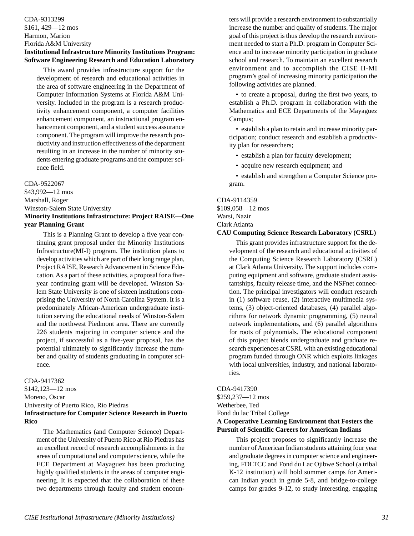### <span id="page-29-0"></span>CDA-9313299 \$161, 429—12 mos Harmon, Marion Florida A&M University **Institutional Infrastructure Minority Institutions Program:**

This award provides infrastructure support for the development of research and educational activities in the area of software engineering in the Department of Computer Information Systems at Florida A&M University. Included in the program is a research productivity enhancement component, a computer facilities enhancement component, an instructional program enhancement component, and a student success assurance component. The program will improve the research productivity and instruction effectiveness of the department resulting in an increase in the number of minority students entering graduate programs and the computer science field.

**Software Engineering Research and Education Laboratory**

### CDA-9522067

\$43,992—12 mos Marshall, Roger Winston-Salem State University

**Minority Institutions Infrastructure: Project RAISE—One year Planning Grant**

This is a Planning Grant to develop a five year continuing grant proposal under the Minority Institutions Infrastructure(MI-I) program. The institution plans to develop activities which are part of their long range plan, Project RAISE, Research Advancement in Science Education. As a part of these activities, a proposal for a fiveyear continuing grant will be developed. Winston Salem State University is one of sixteen institutions comprising the University of North Carolina System. It is a predominately African-American undergraduate institution serving the educational needs of Winston-Salem and the northwest Piedmont area. There are currently 226 students majoring in computer science and the project, if successful as a five-year proposal, has the potential ultimately to significantly increase the number and quality of students graduating in computer science.

CDA-9417362 \$142,123—12 mos Moreno, Oscar University of Puerto Rico, Rio Piedras **Infrastructure for Computer Science Research in Puerto Rico**

The Mathematics (and Computer Science) Department of the University of Puerto Rico at Rio Piedras has an excellent record of research accomplishments in the areas of computational and computer science, while the ECE Department at Mayaguez has been producing highly qualified students in the areas of computer engineering. It is expected that the collaboration of these two departments through faculty and student encounters will provide a research environment to substantially increase the number and quality of students. The major goal of this project is thus develop the research environment needed to start a Ph.D. program in Computer Science and to increase minority participation in graduate school and research. To maintain an excellent research environment and to accomplish the CISE II-MI program's goal of increasing minority participation the following activities are planned.

• to create a proposal, during the first two years, to establish a Ph.D. program in collaboration with the Mathematics and ECE Departments of the Mayaguez Campus;

• establish a plan to retain and increase minority participation; conduct research and establish a productivity plan for researchers;

• establish a plan for faculty development;

• acquire new research equipment; and

• establish and strengthen a Computer Science program.

### CDA-9114359

\$109,058—12 mos Warsi, Nazir Clark Atlanta

### **CAU Computing Science Research Laboratory (CSRL)**

This grant provides infrastructure support for the development of the research and educational activities of the Computing Science Research Laboratory (CSRL) at Clark Atlanta University. The support includes computing equipment and software, graduate student assistantships, faculty release time, and the NSFnet connection. The principal investigators will conduct research in (1) software reuse, (2) interactive multimedia systems, (3) object-oriented databases, (4) parallel algorithms for network dynamic programming, (5) neural network implementations, and (6) parallel algorithms for roots of polynomials. The educational component of this project blends undergraduate and graduate research experiences at CSRL with an existing educational program funded through ONR which exploits linkages with local universities, industry, and national laboratories.

CDA-9417390 \$259,237—12 mos Wetherbee, Ted Fond du lac Tribal College **A Cooperative Learning Environment that Fosters the Pursuit of Scientific Careers for American Indians**

This project proposes to significantly increase the number of American Indian students attaining four year and graduate degrees in computer science and engineering, FDLTCC and Fond du Lac Ojibwe School (a tribal K-12 institution) will hold summer camps for American Indian youth in grade 5-8, and bridge-to-college camps for grades 9-12, to study interesting, engaging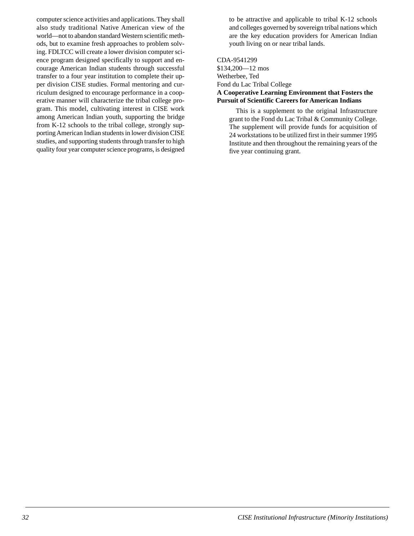<span id="page-30-0"></span>computer science activities and applications. They shall also study traditional Native American view of the world—not to abandon standard Western scientific methods, but to examine fresh approaches to problem solving. FDLTCC will create a lower division computer science program designed specifically to support and encourage American Indian students through successful transfer to a four year institution to complete their upper division CISE studies. Formal mentoring and curriculum designed to encourage performance in a cooperative manner will characterize the tribal college program. This model, cultivating interest in CISE work among American Indian youth, supporting the bridge from K-12 schools to the tribal college, strongly supporting American Indian students in lower division CISE studies, and supporting students through transfer to high quality four year computer science programs, is designed to be attractive and applicable to tribal K-12 schools and colleges governed by sovereign tribal nations which are the key education providers for American Indian youth living on or near tribal lands.

CDA-9541299 \$134,200—12 mos Wetherbee, Ted Fond du Lac Tribal College **A Cooperative Learning Environment that Fosters the Pursuit of Scientific Careers for American Indians**

This is a supplement to the original Infrastructure grant to the Fond du Lac Tribal & Community College. The supplement will provide funds for acquisition of 24 workstations to be utilized first in their summer 1995 Institute and then throughout the remaining years of the five year continuing grant.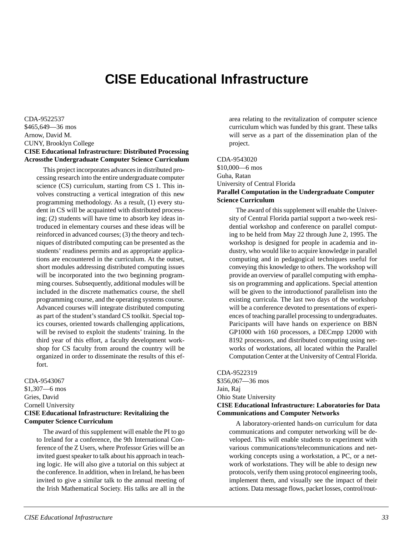# **CISE Educational Infrastructure**

<span id="page-31-0"></span>CDA-9522537 \$465,649—36 mos Arnow, David M. CUNY, Brooklyn College **CISE Educational Infrastructure: Distributed Processing Acrossthe Undergraduate Computer Science Curriculum**

This project incorporates advances in distributed processing research into the entire undergraduate computer science (CS) curriculum, starting from CS 1. This involves constructing a vertical integration of this new programming methodology. As a result, (1) every student in CS will be acquainted with distributed processing; (2) students will have time to absorb key ideas introduced in elementary courses and these ideas will be reinforced in advanced courses; (3) the theory and techniques of distributed computing can be presented as the students' readiness permits and as appropriate applications are encountered in the curriculum. At the outset, short modules addressing distributed computing issues will be incorporated into the two beginning programming courses. Subsequently, additional modules will be included in the discrete mathematics course, the shell programming course, and the operating systems course. Advanced courses will integrate distributed computing as part of the student's standard CS toolkit. Special topics courses, oriented towards challenging applications, will be revised to exploit the students' training. In the third year of this effort, a faculty development workshop for CS faculty from around the country will be organized in order to disseminate the results of this effort.

CDA-9543067 \$1,307—6 mos Gries, David Cornell University **CISE Educational Infrastructure: Revitalizing the Computer Science Curriculum**

The award of this supplement will enable the PI to go to Ireland for a conference, the 9th International Conference of the Z Users, where Professor Gries will be an invited guest speaker to talk about his approach in teaching logic. He will also give a tutorial on this subject at the conference. In addition, when in Ireland, he has been invited to give a similar talk to the annual meeting of the Irish Mathematical Society. His talks are all in the

area relating to the revitalization of computer science curriculum which was funded by this grant. These talks will serve as a part of the dissemination plan of the project.

CDA-9543020 \$10,000—6 mos Guha, Ratan University of Central Florida **Parallel Computation in the Undergraduate Computer Science Curriculum**

The award of this supplement will enable the University of Central Florida partial support a two-week residential workshop and conference on parallel computing to be held from May 22 through June 2, 1995. The workshop is designed for people in academia and industry, who would like to acquire knowledge in parallel computing and in pedagogical techniques useful for conveying this knowledge to others. The workshop will provide an overview of parallel computing with emphasis on programming and applications. Special attention will be given to the introductionof parallelism into the existing curricula. The last two days of the workshop will be a conference devoted to presentations of experiences of teaching parallel processing to undergraduates. Paricipants will have hands on experience on BBN GP1000 with 160 processors, a DECmpp 12000 with 8192 processors, and distributed computing using networks of workstations, all located within the Parallel Computation Center at the University of Central Florida.

CDA-9522319 \$356,067—36 mos Jain, Raj Ohio State University **CISE Educational Infrastructure: Laboratories for Data Communications and Computer Networks**

> A laboratory-oriented hands-on curriculum for data communications and computer networking will be developed. This will enable students to experiment with various communications/telecommunications and networking concepts using a workstation, a PC, or a network of workstations. They will be able to design new protocols, verify them using protocol engineering tools, implement them, and visually see the impact of their actions. Data message flows, packet losses, control/rout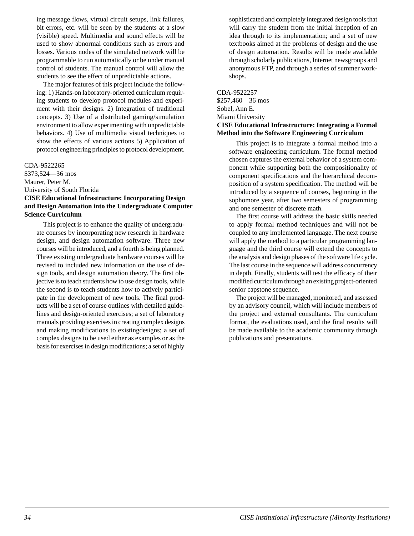<span id="page-32-0"></span>ing message flows, virtual circuit setups, link failures, bit errors, etc. will be seen by the students at a slow (visible) speed. Multimedia and sound effects will be used to show abnormal conditions such as errors and losses. Various nodes of the simulated network will be programmable to run automatically or be under manual control of students. The manual control will allow the students to see the effect of unpredictable actions.

The major features of this project include the following: 1) Hands-on laboratory-oriented curriculum requiring students to develop protocol modules and experiment with their designs. 2) Integration of traditional concepts. 3) Use of a distributed gaming/simulation environment to allow experimenting with unpredictable behaviors. 4) Use of multimedia visual techniques to show the effects of various actions 5) Application of protocol engineering principles to protocol development.

### CDA-9522265

\$373,524—36 mos Maurer, Peter M. University of South Florida

### **CISE Educational Infrastructure: Incorporating Design and Design Automation into the Undergraduate Computer Science Curriculum**

This project is to enhance the quality of undergraduate courses by incorporating new research in hardware design, and design automation software. Three new courses will be introduced, and a fourth is being planned. Three existing undergraduate hardware courses will be revised to included new information on the use of design tools, and design automation theory. The first objective is to teach students how to use design tools, while the second is to teach students how to actively participate in the development of new tools. The final products will be a set of course outlines with detailed guidelines and design-oriented exercises; a set of laboratory manuals providing exercises in creating complex designs and making modifications to existingdesigns; a set of complex designs to be used either as examples or as the basis for exercises in design modifications; a set of highly sophisticated and completely integrated design tools that will carry the student from the initial inception of an idea through to its implementation; and a set of new textbooks aimed at the problems of design and the use of design automation. Results will be made available through scholarly publications, Internet newsgroups and anonymous FTP, and through a series of summer workshops.

### CDA-9522257

\$257,460—36 mos Sobel, Ann E. Miami University **CISE Educational Infrastructure: Integrating a Formal Method into the Software Engineering Curriculum**

This project is to integrate a formal method into a software engineering curriculum. The formal method chosen captures the external behavior of a system component while supporting both the compositionality of component specifications and the hierarchical decomposition of a system specification. The method will be introduced by a sequence of courses, beginning in the sophomore year, after two semesters of programming and one semester of discrete math.

The first course will address the basic skills needed to apply formal method techniques and will not be coupled to any implemented language. The next course will apply the method to a particular programming language and the third course will extend the concepts to the analysis and design phases of the software life cycle. The last course in the sequence will address concurrency in depth. Finally, students will test the efficacy of their modified curriculum through an existing project-oriented senior capstone sequence.

The project will be managed, monitored, and assessed by an advisory council, which will include members of the project and external consultants. The curriculum format, the evaluations used, and the final results will be made available to the academic community through publications and presentations.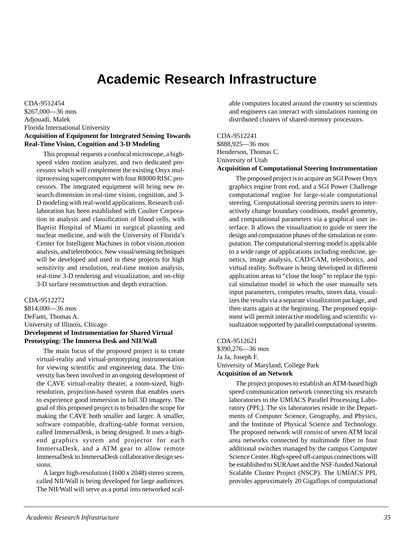# **Academic Research Infrastructure**

<span id="page-33-0"></span>CDA-9512454 \$267,000—36 mos Adjouadi, Malek Florida International University **Acquisition of Equipment for Integrated Sensing Towards Real-Time Vision, Cognition and 3-D Modeling**

This proposal requests a confocal microscope, a highspeed video motion analyzer, and two dedicated processors which will complement the existing Onyx multiprocessing supercomputer with four R8000 RISC processors. The integrated equipment will bring new research dimension in real-time vision, cognition, and 3- D modeling with real-world applications. Research collaboration has been established with Coulter Corporation in analysis and classification of blood cells, with Baptist Hospital of Miami in surgical planning and nuclear medicine, and with the University of Florida's Center for Intelligent Machines in robot vision,motion analysis, and telerobotics. New visual/sensing techniques will be developed and used in these projects for high sensitivity and resolution, real-time motion analysis, real-time 3-D rendering and visualization, and on-chip 3-D surface reconstruction and depth extraction.

CDA-9512272 \$814,000—36 mos DeFanti, Thomas A. University of Illinois, Chicago **Development of Instrumentation for Shared Virtual Prototyping: The Immersa Desk and NII/Wall**

The main focus of the proposed project is to create virtual-reality and virtual-prototyping instrumentation for viewing scientific and engineering data. The University has been involved in an ongoing development of the CAVE virtual-reality theater, a room-sized, highresolution, projection-based system that enables users to experience good immersion in full 3D imagery. The goal of this proposed project is to broaden the scope for making the CAVE both smaller and larger. A smaller, software compatible, drafting-table format version, called ImmersaDesk, is being designed. It uses a highend graphics system and projector for each ImmersaDesk, and a ATM gear to allow remote ImmersaDesk to ImmersaDesk collaborative design sessions.

A larger high-resolution (1600 x 2048) stereo screen, called NII/Wall is being developed for large audiences. The NII/Wall will serve as a portal into networked scalable computers located around the country so scientists and engineers can interact with simulations running on distributed clusters of shared-memory processors.

CDA-9512241 \$888,925—36 mos Henderson, Thomas C. University of Utah **Acquisition of Computational Steering Instrumentation**

The proposed project is to acquire an SGI Power Onyx graphics engine front end, and a SGI Power Challenge computational engine for large-scale computational steering. Computational steering permits users to interactively change boundary conditions, model geometry, and computational parameters via a graphical user interface. It allows the visualization to guide or steer the design and computation phases of the simulation or computation. The computational steering model is applicable to a wide range of applications including medicine, genetics, image analysis, CAD/CAM, telerobotics, and virtual reality. Software is being developed in different application areas to "close the loop" to replace the typical simulation model in which the user manually sets input parameters, computes results, stores data, visualizes the results via a separate visualization package, and then starts again at the beginning. The proposed equipment will permit interactive modeling and scientific visualization supported by parallel computational systems.

CDA-9512621 \$390,276—36 mos Ja Ja, Joseph F. University of Maryland, College Park **Acquisition of an Network**

> The project proposes to establish an ATM-based high speed communication network connecting six research laboratories to the UMIACS Parallel Processing Laboratory (PPL). The six laboratories reside in the Departments of Computer Science, Geography, and Physics, and the Institute of Physical Science and Technology. The proposed network will consist of seven ATM local area networks connected by multimode fiber to four additional switches managed by the campus Computer Science Center. High-speed off-campus connections will be established to SURAnet and the NSF-funded National Scalable Cluster Project (NSCP). The UMIACS PPL provides approximately 20 Gigaflops of computational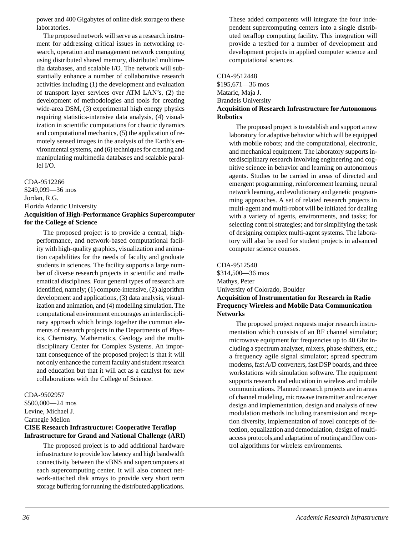<span id="page-34-0"></span>power and 400 Gigabytes of online disk storage to these laboratories.

The proposed network will serve as a research instrument for addressing critical issues in networking research, operation and management network computing using distributed shared memory, distributed multimedia databases, and scalable I/O. The network will substantially enhance a number of collaborative research activities including (1) the development and evaluation of transport layer services over ATM LAN's, (2) the development of methodologies and tools for creating wide-area DSM, (3) experimental high energy physics requiring statistics-intensive data analysis, (4) visualization in scientific computations for chaotic dynamics and computational mechanics, (5) the application of remotely sensed images in the analysis of the Earth's environmental systems, and (6) techniques for creating and manipulating multimedia databases and scalable parallel I/O.

### CDA-9512266

\$249,099—36 mos Jordan, R.G. Florida Atlantic University **Acquisition of High-Performance Graphics Supercomputer for the College of Science**

The proposed project is to provide a central, highperformance, and network-based computational facility with high-quality graphics, visualization and animation capabilities for the needs of faculty and graduate students in sciences. The facility supports a large number of diverse research projects in scientific and mathematical disciplines. Four general types of research are identified, namely; (1) compute-intensive, (2) algorithm development and applications, (3) data analysis, visualization and animation, and (4) modelling simulation. The computational environment encourages an interdisciplinary approach which brings together the common elements of research projects in the Departments of Physics, Chemistry, Mathematics, Geology and the multidisciplinary Center for Complex Systems. An important consequence of the proposed project is that it will not only enhance the current faculty and student research and education but that it will act as a catalyst for new collaborations with the College of Science.

### CDA-9502957 \$500,000—24 mos Levine, Michael J. Carnegie Mellon **CISE Research Infrastructure: Cooperative Teraflop Infrastructure for Grand and National Challenge (ARI)**

The proposed project is to add additional hardware infrastructure to provide low latency and high bandwidth connectivity between the vBNS and supercomputers at each supercomputing center. It will also connect network-attached disk arrays to provide very short term storage buffering for running the distributed applications. These added components will integrate the four independent supercomputing centers into a single distributed teraflop computing facility. This integration will provide a testbed for a number of development and development projects in applied computer science and computational sciences.

### CDA-9512448 \$195,671—36 mos Mataric, Maja J. Brandeis University **Acquisition of Research Infrastructure for Autonomous Robotics**

The proposed project is to establish and support a new laboratory for adaptive behavior which will be equipped with mobile robots; and the computational, electronic, and mechanical equipment. The laboratory supports interdisciplinary research involving engineering and cognitive science in behavior and learning on autonomous agents. Studies to be carried in areas of directed and emergent programming, reinforcement learning, neural network learning, and evolutionary and genetic programming approaches. A set of related research projects in multi-agent and multi-robot will be initiated for dealing with a variety of agents, environments, and tasks; for selecting control strategies; and for simplifying the task of designing complex multi-agent systems. The laboratory will also be used for student projects in advanced computer science courses.

### CDA-9512540

\$314,500—36 mos Mathys, Peter University of Colorado, Boulder **Acquisition of Instrumentation for Research in Radio**

### **Frequency Wireless and Mobile Data Communication Networks**

The proposed project requests major research instrumentation which consists of an RF channel simulator; microwave equipment for frequencies up to 40 Ghz including a spectrum analyzer, mixers, phase shifters, etc.; a frequency agile signal simulator; spread spectrum modems, fast A/D converters, fast DSP boards, and three workstations with simulation software. The equipment supports research and education in wireless and mobile communications. Planned research projects are in areas of channel modeling, microwave transmitter and receiver design and implementation, design and analysis of new modulation methods including transmission and reception diversity, implementation of novel concepts of detection, equalization and demodulation, design of multiaccess protocols,and adaptation of routing and flow control algorithms for wireless environments.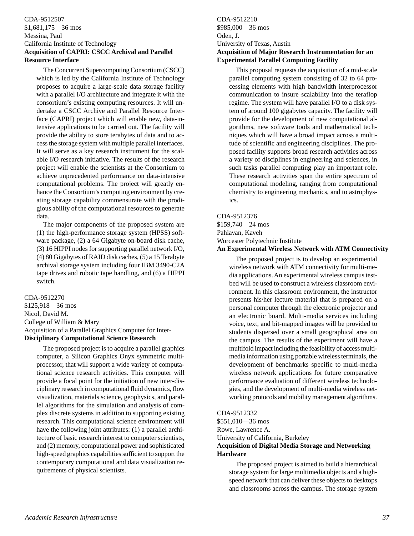### <span id="page-35-0"></span>CDA-9512507 \$1,681,175—36 mos Messina, Paul California Institute of Technology **Acquisition of CAPRI: CSCC Archival and Parallel Resource Interface**

The Concurrent Supercomputing Consortium (CSCC) which is led by the California Institute of Technology proposes to acquire a large-scale data storage facility with a parallel I/O architecture and integrate it with the consortium's existing computing resources. It will undertake a CSCC Archive and Parallel Resource Interface (CAPRI) project which will enable new, data-intensive applications to be carried out. The facility will provide the ability to store terabytes of data and to access the storage system with multiple parallel interfaces. It will serve as a key research instrument for the scalable I/O research initiative. The results of the research project will enable the scientists at the Consortium to achieve unprecedented performance on data-intensive computational problems. The project will greatly enhance the Consortium's computing environment by creating storage capability commensurate with the prodigious ability of the computational resources to generate data.

The major components of the proposed system are (1) the high-performance storage system (HPSS) software package, (2) a 64 Gigabyte on-board disk cache, (3) 16 HIPPI nodes for supporting parallel network I/O, (4) 80 Gigabytes of RAID disk caches, (5) a 15 Terabyte archival storage system including four IBM 3490-C2A tape drives and robotic tape handling, and (6) a HIPPI switch.

### CDA-9512270 \$125,918—36 mos Nicol, David M. College of William & Mary Acquisition of a Parallel Graphics Computer for Inter-**Disciplinary Computational Science Research**

The proposed project is to acquire a parallel graphics computer, a Silicon Graphics Onyx symmetric multiprocessor, that will support a wide variety of computational science research activities. This computer will provide a focal point for the initiation of new inter-disciplinary research in computational fluid dynamics, flow visualization, materials science, geophysics, and parallel algorithms for the simulation and analysis of complex discrete systems in addition to supporting existing research. This computational science environment will have the following joint attributes: (1) a parallel architecture of basic research interest to computer scientists, and (2) memory, computational power and sophisticated high-speed graphics capabilities sufficient to support the contemporary computational and data visualization requirements of physical scientists.

### CDA-9512210 \$985,000—36 mos Oden, J. University of Texas, Austin **Acquisition of Major Research Instrumentation for an Experimental Parallel Computing Facility**

This proposal requests the acquisition of a mid-scale parallel computing system consisting of 32 to 64 processing elements with high bandwidth interprocessor communication to insure scalability into the teraflop regime. The system will have parallel I/O to a disk system of around 100 gigabytes capacity. The facility will provide for the development of new computational algorithms, new software tools and mathematical techniques which will have a broad impact across a multitude of scientific and engineering disciplines. The proposed facility supports broad research activities across a variety of disciplines in engineering and sciences, in such tasks parallel computing play an important role. These research activities span the entire spectrum of computational modeling, ranging from computational chemistry to engineering mechanics, and to astrophysics.

### CDA-9512376 \$159,740—24 mos Pahlavan, Kaveh Worcester Polytechnic Institute

### **An Experimental Wireless Network with ATM Connectivity**

The proposed project is to develop an experimental wireless network with ATM connectivity for multi-media applications. An experimental wireless campus testbed will be used to construct a wireless classroom environment. In this classroom environment, the instructor presents his/her lecture material that is prepared on a personal computer through the electronic projector and an electronic board. Multi-media services including voice, text, and bit-mapped images will be provided to students dispersed over a small geographical area on the campus. The results of the experiment will have a multifold impact including the feasibility of access multimedia information using portable wireless terminals, the development of benchmarks specific to multi-media wireless network applications for future comparative performance evaluation of different wireless technologies, and the development of multi-media wireless networking protocols and mobility management algorithms.

### CDA-9512332

\$551,010—36 mos Rowe, Lawrence A. University of California, Berkeley **Acquisition of Digital Media Storage and Networking Hardware**

The proposed project is aimed to build a hierarchical storage system for large multimedia objects and a highspeed network that can deliver these objects to desktops and classrooms across the campus. The storage system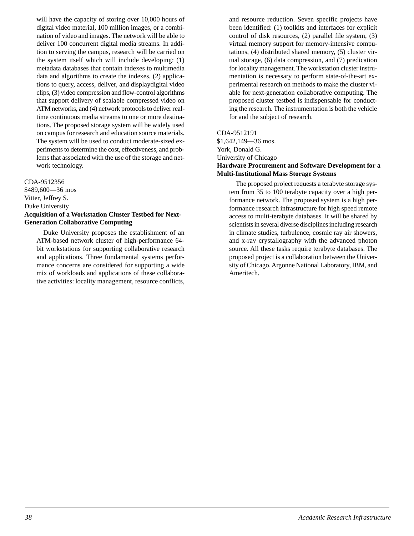<span id="page-36-0"></span>will have the capacity of storing over 10,000 hours of digital video material, 100 million images, or a combination of video and images. The network will be able to deliver 100 concurrent digital media streams. In addition to serving the campus, research will be carried on the system itself which will include developing: (1) metadata databases that contain indexes to multimedia data and algorithms to create the indexes, (2) applications to query, access, deliver, and displaydigital video clips, (3) video compression and flow-control algorithms that support delivery of scalable compressed video on ATM networks, and (4) network protocols to deliver realtime continuous media streams to one or more destinations. The proposed storage system will be widely used on campus for research and education source materials. The system will be used to conduct moderate-sized experiments to determine the cost, effectiveness, and problems that associated with the use of the storage and network technology.

### CDA-9512356

\$489,600—36 mos Vitter, Jeffrey S. Duke University **Acquisition of a Workstation Cluster Testbed for Next-Generation Collaborative Computing**

Duke University proposes the establishment of an ATM-based network cluster of high-performance 64 bit workstations for supporting collaborative research and applications. Three fundamental systems performance concerns are considered for supporting a wide mix of workloads and applications of these collaborative activities: locality management, resource conflicts, and resource reduction. Seven specific projects have been identified: (1) toolkits and interfaces for explicit control of disk resources, (2) parallel file system, (3) virtual memory support for memory-intensive computations, (4) distributed shared memory, (5) cluster virtual storage, (6) data compression, and (7) predication for locality management. The workstation cluster instrumentation is necessary to perform state-of-the-art experimental research on methods to make the cluster viable for next-generation collaborative computing. The proposed cluster testbed is indispensable for conducting the research. The instrumentation is both the vehicle for and the subject of research.

### CDA-9512191

\$1,642,149—36 mos. York, Donald G. University of Chicago **Hardware Procurement and Software Development for a Multi-Institutional Mass Storage Systems**

The proposed project requests a terabyte storage system from 35 to 100 terabyte capacity over a high performance network. The proposed system is a high performance research infrastructure for high speed remote access to multi-terabyte databases. It will be shared by scientists in several diverse disciplines including research in climate studies, turbulence, cosmic ray air showers, and x-ray crystallography with the advanced photon source. All these tasks require terabyte databases. The proposed project is a collaboration between the University of Chicago, Argonne National Laboratory, IBM, and Ameritech.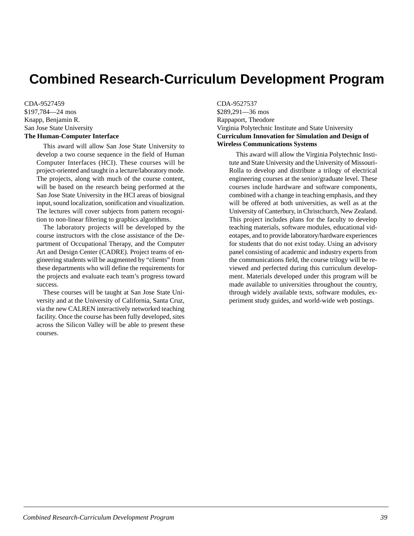# <span id="page-37-0"></span>**Combined Research-Curriculum Development Program**

CDA-9527459 \$197,784—24 mos Knapp, Benjamin R. San Jose State University **The Human-Computer Interface**

> This award will allow San Jose State University to develop a two course sequence in the field of Human Computer Interfaces (HCI). These courses will be project-oriented and taught in a lecture/laboratory mode. The projects, along with much of the course content, will be based on the research being performed at the San Jose State University in the HCI areas of biosignal input, sound localization, sonification and visualization. The lectures will cover subjects from pattern recognition to non-linear filtering to graphics algorithms.

> The laboratory projects will be developed by the course instructors with the close assistance of the Department of Occupational Therapy, and the Computer Art and Design Center (CADRE). Project teams of engineering students will be augmented by "clients" from these departments who will define the requirements for the projects and evaluate each team's progress toward success.

> These courses will be taught at San Jose State University and at the University of California, Santa Cruz, via the new CALREN interactively networked teaching facility. Once the course has been fully developed, sites across the Silicon Valley will be able to present these courses.

CDA-9527537

\$289,291—36 mos Rappaport, Theodore Virginia Polytechnic Institute and State University **Curriculum Innovation for Simulation and Design of Wireless Communications Systems**

This award will allow the Virginia Polytechnic Institute and State University and the University of Missouri-Rolla to develop and distribute a trilogy of electrical engineering courses at the senior/graduate level. These courses include hardware and software components, combined with a change in teaching emphasis, and they will be offered at both universities, as well as at the University of Canterbury, in Christchurch, New Zealand. This project includes plans for the faculty to develop teaching materials, software modules, educational videotapes, and to provide laboratory/hardware experiences for students that do not exist today. Using an advisory panel consisting of academic and industry experts from the communications field, the course trilogy will be reviewed and perfected during this curriculum development. Materials developed under this program will be made available to universities throughout the country, through widely available texts, software modules, experiment study guides, and world-wide web postings.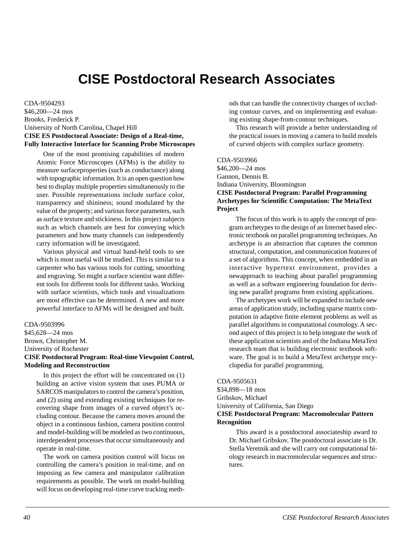# **CISE Postdoctoral Research Associates**

<span id="page-38-0"></span>CDA-9504293 \$46,200—24 mos Brooks, Frederick P. University of North Carolina, Chapel Hill **CISE ES Postdoctoral Associate: Design of a Real-time, Fully Interactive Interface for Scanning Probe Microscopes**

One of the most promising capabilities of modern Atomic Force Microscopes (AFMs) is the ability to measure surfaceproperties (such as conductance) along with topographic information. It is an open question how best to display multiple properties simultaneously to the user. Possible representations include surface color, transparency and shininess; sound modulated by the value of the property; and various force parameters, such as surface texture and stickiness. In this project subjects such as which channels are best for conveying which parameters and how many channels can independently carry information will be investigated.

Various physical and virtual hand-held tools to see which is most useful will be studied. This is similar to a carpenter who has various tools for cutting, smoothing and engraving. So might a surface scientist want different tools for different tools for different tasks. Working with surface scientists, which tools and visualizations are most effective can be determined. A new and more powerful interface to AFMs will be designed and built.

CDA-9503996 \$45,628—24 mos Brown, Christopher M. University of Rochester **CISE Postdoctoral Program: Real-time Viewpoint Control, Modeling and Reconstruction**

In this project the effort will be concentrated on (1) building an active vision system that uses PUMA or SARCOS manipulators to control the camera's position, and (2) using and extending existing techniques for recovering shape from images of a curved object's occluding contour. Because the camera moves around the object in a continuous fashion, camera position control and model-building will be modeled as two continuous, interdependent processes that occur simultaneously and operate in real-time.

The work on camera position control will focus on controlling the camera's position in real-time, and on imposing as few camera and manipulator calibration requirements as possible. The work on model-building will focus on developing real-time curve tracking methods that can handle the connectivity changes of occluding contour curves, and on implementing and evaluating existing shape-from-contour techniques.

This research will provide a better understanding of the practical issues in moving a camera to build models of curved objects with complex surface geometry.

CDA-9503966

\$46,200—24 mos Gannon, Dennis B. Indiana University, Bloomington **CISE Postdoctoral Program: Parallel Programming Archetypes for Scientific Computation: The MetaText Project**

The focus of this work is to apply the concept of program archetypes to the design of an Internet based electronic textbook on parallel programming techniques. An archetype is an abstraction that captures the common structural, computation, and communication features of a set of algorithms. This concept, when embedded in an interactive hypertext environment, provides a newapproach to teaching about parallel programming as well as a software engineering foundation for deriving new parallel programs from existing applications.

The archetypes work will be expanded to include new areas of application study, including sparse matrix computation in adaptive finite element problems as well as parallel algorithms in computational cosmology. A second aspect of this project is to help integrate the work of these application scientists and of the Indiana MetaText research team that is building electronic textbook software. The goal is to build a MetaText archetype encyclopedia for parallel programming.

CDA-9505631 \$34,898—18 mos Gribskov, Michael University of California, San Diego **CISE Postdoctoral Program: Macromolecular Pattern Recognition**

This award is a postdoctoral associateship award to Dr. Michael Gribskov. The postdoctoral associate is Dr. Stella Veretnik and she will carry out computational biology research in macromolecular sequences and structures.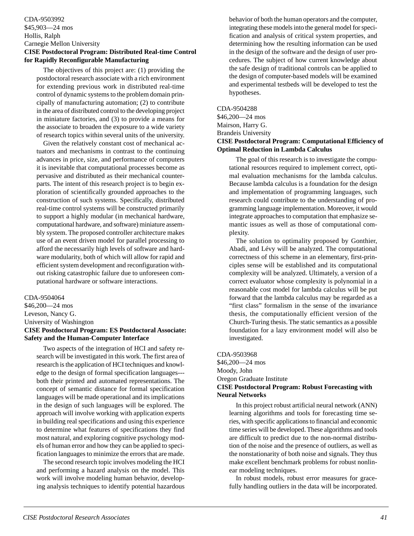### <span id="page-39-0"></span>CDA-9503992 \$45,903—24 mos Hollis, Ralph Carnegie Mellon University **CISE Postdoctoral Program: Distributed Real-time Control for Rapidly Reconfigurable Manufacturing**

The objectives of this project are: (1) providing the postdoctoral research associate with a rich environment for extending previous work in distributed real-time control of dynamic systems to the problem domain principally of manufacturing automation; (2) to contribute in the area of distributed control to the developing project in miniature factories, and (3) to provide a means for the associate to broaden the exposure to a wide variety of research topics within several units of the university.

Given the relatively constant cost of mechanical actuators and mechanisms in contrast to the continuing advances in price, size, and performance of computers it is inevitable that computational processes become as pervasive and distributed as their mechanical counterparts. The intent of this research project is to begin exploration of scientifically grounded approaches to the construction of such systems. Specifically, distributed real-time control systems will be constructed primarily to support a highly modular (in mechanical hardware, computational hardware, and software) miniature assembly system. The proposed controller architecture makes use of an event driven model for parallel processing to afford the necessarily high levels of software and hardware modularity, both of which will allow for rapid and efficient system development and reconfiguration without risking catastrophic failure due to unforeseen computational hardware or software interactions.

### CDA-9504064

\$46,200—24 mos Leveson, Nancy G. University of Washington **CISE Postdoctoral Program: ES Postdoctoral Associate:**

**Safety and the Human-Computer Interface**

Two aspects of the integration of HCI and safety research will be investigated in this work. The first area of research is the application of HCI techniques and knowledge to the design of formal specification languages-- both their printed and automated representations. The concept of semantic distance for formal specification languages will be made operational and its implications in the design of such languages will be explored. The approach will involve working with application experts in building real specifications and using this experience to determine what features of specifications they find most natural, and exploring cognitive psychology models of human error and how they can be applied to specification languages to minimize the errors that are made.

The second research topic involves modeling the HCI and performing a hazard analysis on the model. This work will involve modeling human behavior, developing analysis techniques to identify potential hazardous behavior of both the human operators and the computer, integrating these models into the general model for specification and analysis of critical system properties, and determining how the resulting information can be used in the design of the software and the design of user procedures. The subject of how current knowledge about the safe design of traditional controls can be applied to the design of computer-based models will be examined and experimental testbeds will be developed to test the hypotheses.

### CDA-9504288

\$46,200—24 mos Mairson, Harry G. Brandeis University **CISE Postdoctoral Program: Computational Efficiency of Optimal Reduction in Lambda Calculus**

The goal of this research is to investigate the computational resources required to implement correct, optimal evaluation mechanisms for the lambda calculus. Because lambda calculus is a foundation for the design and implementation of programming languages, such research could contribute to the understanding of programming language implementation. Moreover, it would integrate approaches to computation that emphasize semantic issues as well as those of computational complexity.

The solution to optimality proposed by Gonthier, Abadi, and Lévy will be analyzed. The computational correctness of this scheme in an elementary, first-principles sense will be established and its computational complexity will be analyzed. Ultimately, a version of a correct evaluator whose complexity is polynomial in a reasonable cost model for lambda calculus will be put forward that the lambda calculus may be regarded as a "first class" formalism in the sense of the invariance thesis, the computationally efficient version of the Church-Turing thesis. The static semantics as a possible foundation for a lazy environment model will also be investigated.

### CDA-9503968 \$46,200—24 mos Moody, John Oregon Graduate Institute **CISE Postdoctoral Program: Robust Forecasting with Neural Networks**

In this project robust artificial neural network (ANN) learning algorithms and tools for forecasting time series, with specific applications to financial and economic time series will be developed. These algorithms and tools are difficult to predict due to the non-normal distribution of the noise and the presence of outliers, as well as the nonstationarity of both noise and signals. They thus make excellent benchmark problems for robust nonlinear modeling techniques.

In robust models, robust error measures for gracefully handling outliers in the data will be incorporated.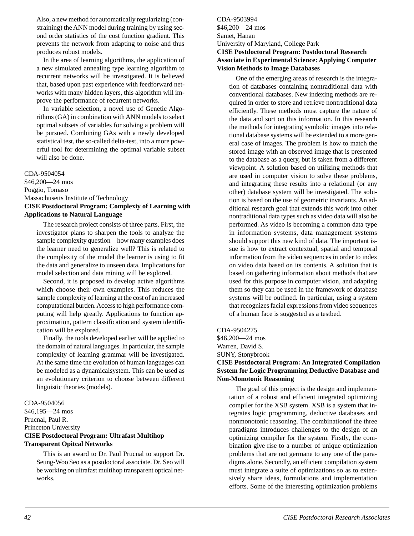<span id="page-40-0"></span>Also, a new method for automatically regularizing (constraining) the ANN model during training by using second order statistics of the cost function gradient. This prevents the network from adapting to noise and thus produces robust models.

In the area of learning algorithms, the application of a new simulated annealing type learning algorithm to recurrent networks will be investigated. It is believed that, based upon past experience with feedforward networks with many hidden layers, this algorithm will improve the performance of recurrent networks.

In variable selection, a novel use of Genetic Algorithms (GA) in combination with ANN models to select optimal subsets of variables for solving a problem will be pursued. Combining GAs with a newly developed statistical test, the so-called delta-test, into a more powerful tool for determining the optimal variable subset will also be done.

### CDA-9504054

\$46,200—24 mos Poggio, Tomaso Massachusetts Institute of Technology

**CISE Postdoctoral Program: Complexiy of Learning with Applications to Natural Language**

The research project consists of three parts. First, the investigator plans to sharpen the tools to analyze the sample complexity question—how many examples does the learner need to generalize well? This is related to the complexity of the model the learner is using to fit the data and generalize to unseen data. Implications for model selection and data mining will be explored.

Second, it is proposed to develop active algorithms which choose their own examples. This reduces the sample complexity of learning at the cost of an increased computational burden. Access to high performance computing will help greatly. Applications to function approximation, pattern classification and system identification will be explored.

Finally, the tools developed earlier will be applied to the domain of natural languages. In particular, the sample complexity of learning grammar will be investigated. At the same time the evolution of human languages can be modeled as a dynamicalsystem. This can be used as an evolutionary criterion to choose between different linguistic theories (models).

### CDA-9504056 \$46,195—24 mos Prucnal, Paul R. Princeton University **CISE Postdoctoral Program: Ultrafast Multihop Transparent Opitcal Networks**

This is an award to Dr. Paul Prucnal to support Dr. Seung-Woo Seo as a postdoctoral associate. Dr. Seo will be working on ultrafast multihop transparent optical networks.

### CDA-9503994 \$46,200—24 mos Samet, Hanan University of Maryland, College Park **CISE Postdoctoral Program: Postdoctoral Research Associate in Experimental Science: Applying Computer Vision Methods to Image Databases**

One of the emerging areas of research is the integration of databases containing nontraditional data with conventional databases. New indexing methods are required in order to store and retrieve nontraditional data efficiently. These methods must capture the nature of the data and sort on this information. In this research the methods for integrating symbolic images into relational database systems will be extended to a more general case of images. The problem is how to match the stored image with an observed image that is presented to the database as a query, but is taken from a different viewpoint. A solution based on utilizing methods that are used in computer vision to solve these problems, and integrating these results into a relational (or any other) database system will be investigated. The solution is based on the use of geometric invariants. An additional research goal that extends this work into other nontraditional data types such as video data will also be performed. As video is becoming a common data type in information systems, data management systems should support this new kind of data. The important issue is how to extract contextual, spatial and temporal information from the video sequences in order to index on video data based on its contents. A solution that is based on gathering information about methods that are used for this purpose in computer vision, and adapting them so they can be used in the framework of database systems will be outlined. In particular, using a system that recognizes facial expressions from video sequences of a human face is suggested as a testbed.

### CDA-9504275

\$46,200—24 mos Warren, David S.

### SUNY, Stonybrook

### **CISE Postdoctoral Program: An Integrated Compilation System for Logic Programming Deductive Database and Non-Monotonic Reasoning**

The goal of this project is the design and implementation of a robust and efficient integrated optimizing compiler for the XSB system. XSB is a system that integrates logic programming, deductive databases and nonmonotonic reasoning. The combinationof the three paradigms introduces challenges to the design of an optimizing compiler for the system. Firstly, the combination give rise to a number of unique optimization problems that are not germane to any one of the paradigms alone. Secondly, an efficient compilation system must integrate a suite of optimizations so as to extensively share ideas, formulations and implementation efforts. Some of the interesting optimization problems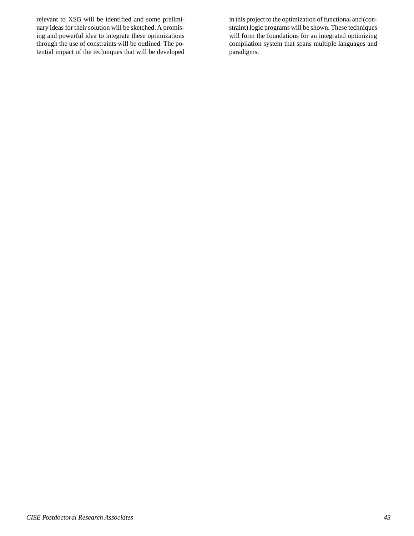relevant to XSB will be identified and some preliminary ideas for their solution will be sketched. A promising and powerful idea to integrate these optimizations through the use of constraints will be outlined. The potential impact of the techniques that will be developed in this project to the optimization of functional and (constraint) logic programs will be shown. These techniques will form the foundations for an integrated optimizing compilation system that spans multiple languages and paradigms.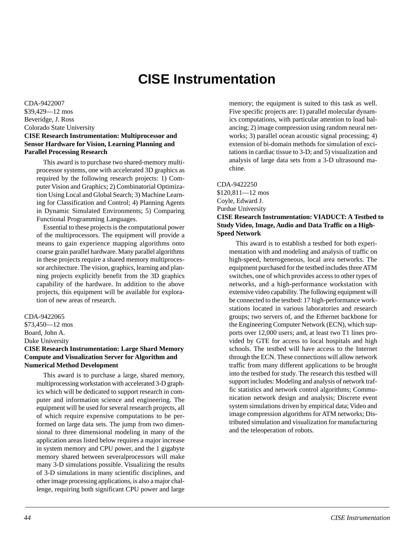# **CISE Instrumentation**

<span id="page-42-0"></span>CDA-9422007 \$39,429—12 mos Beveridge, J. Ross Colorado State University **CISE Research Instrumentation: Multiprocessor and Sensor Hardware for Vision, Learning Planning and Parallel Processing Research**

This award is to purchase two shared-memory multiprocessor systems, one with accelerated 3D graphics as required by the following research projects: 1) Computer Vision and Graphics; 2) Combinatorial Optimization Using Local and Global Search; 3) Machine Learning for Classification and Control; 4) Planning Agents in Dynamic Simulated Environments; 5) Comparing Functional Programming Languages.

Essential to these projects is the computational power of the multiprocessors. The equipment will provide a means to gain experience mapping algorithms onto coarse grain parallel hardware. Many parallel algorithms in these projects require a shared memory multiprocessor architecture. The vision, graphics, learning and planning projects explicitly benefit from the 3D graphics capability of the hardware. In addition to the above projects, this equipment will be available for exploration of new areas of research.

### CDA-9422065

\$73,450—12 mos Board, John A. Duke University

### **CISE Research Instrumentation: Large Shard Memory Compute and Visualization Server for Algorithm and Numerical Method Development**

This award is to purchase a large, shared memory, multiprocessing workstation with accelerated 3-D graphics which will be dedicated to support research in computer and information science and engineering. The equipment will be used for several research projects, all of which require expensive computations to be performed on large data sets. The jump from two dimensional to three dimensional modeling in many of the application areas listed below requires a major increase in system memory and CPU power, and the 1 gigabyte memory shared between severalprocessors will make many 3-D simulations possible. Visualizing the results of 3-D simulations in many scientific disciplines, and other image processing applications, is also a major challenge, requiring both significant CPU power and large memory; the equipment is suited to this task as well. Five specific projects are: 1) parallel molecular dynamics computations, with particular attention to load balancing; 2) image compression using random neural networks; 3) parallel ocean acoustic signal processing; 4) extension of bi-domain methods for simulation of excitations in cardiac tissue to 3-D; and 5) visualization and analysis of large data sets from a 3-D ultrasound machine.

CDA-9422250 \$120,811—12 mos Coyle, Edward J. Purdue University **CISE Research Instrumentation: VIADUCT: A Testbed to Study Video, Image, Audio and Data Traffic on a High-Speed Network**

This award is to establish a testbed for both experimentation with and modeling and analysis of traffic on high-speed, heterogeneous, local area networks. The equipment purchased for the testbed includes three ATM switches, one of which provides access to other types of networks, and a high-performance workstation with extensive video capability. The following equipment will be connected to the testbed: 17 high-performance workstations located in various laboratories and research groups; two servers of, and the Ethernet backbone for the Engineering Computer Network (ECN), which supports over 12,000 users; and, at least two T1 lines provided by GTE for access to local hospitals and high schools. The testbed will have access to the Internet through the ECN. These connections will allow network traffic from many different applications to be brought into the testbed for study. The research this testbed will support includes: Modeling and analysis of network traffic statistics and network control algorithms; Communication network design and analysis; Discrete event system simulations driven by empirical data; Video and image compression algorithms for ATM networks; Distributed simulation and visualization for manufacturing and the teleoperation of robots.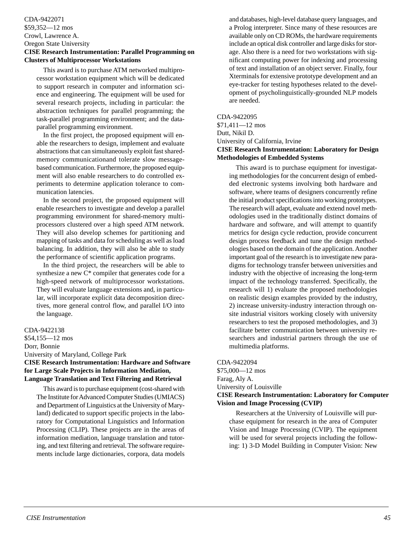### <span id="page-43-0"></span>CDA-9422071 \$59,352—12 mos Crowl, Lawrence A. Oregon State University

### **CISE Research Instrumentation: Parallel Programming on Clusters of Multiprocessor Workstations**

This award is to purchase ATM networked multiprocessor workstation equipment which will be dedicated to support research in computer and information science and engineering. The equipment will be used for several research projects, including in particular: the abstraction techniques for parallel programming; the task-parallel programming environment; and the dataparallel programming environment.

In the first project, the proposed equipment will enable the researchers to design, implement and evaluate abstractions that can simultaneously exploit fast sharedmemory communicationand tolerate slow messagebased communication. Furthermore, the proposed equipment will also enable researchers to do controlled experiments to determine application tolerance to communication latencies.

In the second project, the proposed equipment will enable researchers to investigate and develop a parallel programming environment for shared-memory multiprocessors clustered over a high speed ATM network. They will also develop schemes for partitioning and mapping of tasks and data for scheduling as well as load balancing. In addition, they will also be able to study the performance of scientific application programs.

In the third project, the researchers will be able to synthesize a new C\* compiler that generates code for a high-speed network of multiprocessor workstations. They will evaluate language extensions and, in particular, will incorporate explicit data decomposition directives, more general control flow, and parallel I/O into the language.

### CDA-9422138

\$54,155—12 mos Dorr, Bonnie University of Maryland, College Park **CISE Research Instrumentation: Hardware and Software for Large Scale Projects in Information Mediation, Language Translation and Text Filtering and Retrieval**

This award is to purchase equipment (cost-shared with The Institute for Advanced Computer Studies (UMIACS) and Department of Linguistics at the University of Maryland) dedicated to support specific projects in the laboratory for Computational Linguistics and Information Processing (CLIP). These projects are in the areas of information mediation, language translation and tutoring, and text filtering and retrieval. The software requirements include large dictionaries, corpora, data models and databases, high-level database query languages, and a Prolog interpreter. Since many of these resources are available only on CD ROMs, the hardware requirements include an optical disk controller and large disks for storage. Also there is a need for two workstations with significant computing power for indexing and processing of text and installation of an object server. Finally, four Xterminals for extensive prototype development and an eye-tracker for testing hypotheses related to the development of psycholinguistically-grounded NLP models are needed.

### CDA-9422095

\$71,411—12 mos Dutt, Nikil D. University of California, Irvine **CISE Research Instrumentation: Laboratory for Design Methodologies of Embedded Systems**

This award is to purchase equipment for investigating methodologies for the concurrent design of embedded electronic systems involving both hardware and software, where teams of designers concurrently refine the initial product specifications into working prototypes. The research will adapt, evaluate and extend novel methodologies used in the traditionally distinct domains of hardware and software, and will attempt to quantify metrics for design cycle reduction, provide concurrent design process feedback and tune the design methodologies based on the domain of the application. Another important goal of the research is to investigate new paradigms for technology transfer between universities and industry with the objective of increasing the long-term impact of the technology transferred. Specifically, the research will 1) evaluate the proposed methodologies on realistic design examples provided by the industry, 2) increase university-industry interaction through onsite industrial visitors working closely with university researchers to test the proposed methodologies, and 3) facilitate better communication between university researchers and industrial partners through the use of multimedia platforms.

### CDA-9422094

\$75,000—12 mos Farag, Aly A. University of Louisville **CISE Research Instrumentation: Laboratory for Computer Vision and Image Processing (CVIP)**

Researchers at the University of Louisville will purchase equipment for research in the area of Computer Vision and Image Processing (CVIP). The equipment will be used for several projects including the following: 1) 3-D Model Building in Computer Vision: New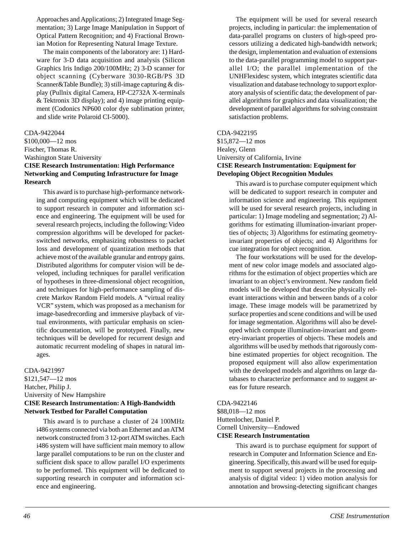<span id="page-44-0"></span>Approaches and Applications; 2) Integrated Image Segmentation; 3) Large Image Manipulation in Support of Optical Pattern Recognition; and 4) Fractional Brownian Motion for Representing Natural Image Texture.

The main components of the laboratory are: 1) Hardware for 3-D data acquisition and analysis (Silicon Graphics Iris Indigo 200/100MHz; 2) 3-D scanner for object scanning (Cyberware 3030-RGB/PS 3D Scanner&Table Bundle); 3) still-image capturing & display (Pullnix digital Camera, HP-C2732A X-terminals & Tektronix 3D display); and 4) image printing equipment (Codonics NP600 color dye sublimation printer, and slide write Polaroid CI-5000).

### CDA-9422044

\$100,000—12 mos Fischer, Thomas R. Washington State University **CISE Research Instrumentation: High Performance Networking and Computing Infrastructure for Image Research**

This award is to purchase high-performance networking and computing equipment which will be dedicated to support research in computer and information science and engineering. The equipment will be used for several research projects, including the following: Video compression algorithms will be developed for packetswitched networks, emphasizing robustness to packet loss and development of quantization methods that achieve most of the available granular and entropy gains. Distributed algorithms for computer vision will be developed, including techniques for parallel verification of hypotheses in three-dimensional object recognition, and techniques for high-performance sampling of discrete Markov Random Field models. A "virtual reality VCR" system, which was proposed as a mechanism for image-basedrecording and immersive playback of virtual environments, with particular emphasis on scientific documentation, will be prototyped. Finally, new techniques will be developed for recurrent design and automatic recurrent modeling of shapes in natural images.

CDA-9421997 \$121,547—12 mos Hatcher, Philip J. University of New Hampshire **CISE Research Instrumentation: A High-Bandwidth Network Testbed for Parallel Computation**

This award is to purchase a cluster of 24 100MHz i486 systems connected via both an Ethernet and an ATM network constructed from 3 12-port ATM switches. Each i486 system will have sufficient main memory to allow large parallel computations to be run on the cluster and sufficient disk space to allow parallel I/O experiments to be performed. This equipment will be dedicated to supporting research in computer and information science and engineering.

The equipment will be used for several research projects, including in particular: the implementation of data-parallel programs on clusters of high-speed processors utilizing a dedicated high-bandwidth network; the design, implementation and evaluation of extensions to the data-parallel programming model to support parallel I/O; the parallel implementation of the UNHFlexidesc system, which integrates scientific data visualization and database technology to support exploratory analysis of scientific data; the development of parallel algorithms for graphics and data visualization; the development of parallel algorithms for solving constraint satisfaction problems.

### CDA-9422195

\$15,872—12 mos Healey, Glenn University of California, Irvine **CISE Research Instrumentation: Equipment for Developing Object Recognition Modules**

This award is to purchase computer equipment which will be dedicated to support research in computer and information science and engineering. This equipment will be used for several research projects, including in particular: 1) Image modeling and segmentation; 2) Algorithms for estimating illumination-invariant properties of objects; 3) Algorithms for estimating geometryinvariant properties of objects; and 4) Algorithms for cue integration for object recognition.

The four workstations will be used for the development of new color image models and associated algorithms for the estimation of object properties which are invariant to an object's environment. New random field models will be developed that describe physically relevant interactions within and between bands of a color image. These image models will be parametrized by surface properties and scene conditions and will be used for image segmentation. Algorithms will also be developed which compute illumination-invariant and geometry-invariant properties of objects. These models and algorithms will be used by methods that rigorously combine estimated properties for object recognition. The proposed equipment will also allow experimentation with the developed models and algorithms on large databases to characterize performance and to suggest areas for future research.

### CDA-9422146 \$88,018—12 mos Huttenlocher, Daniel P. Cornell University—Endowed **CISE Research Instrumentation**

This award is to purchase equipment for support of research in Computer and Information Science and Engineering. Specifically, this award will be used for equipment to support several projects in the processing and analysis of digital video: 1) video motion analysis for annotation and browsing-detecting significant changes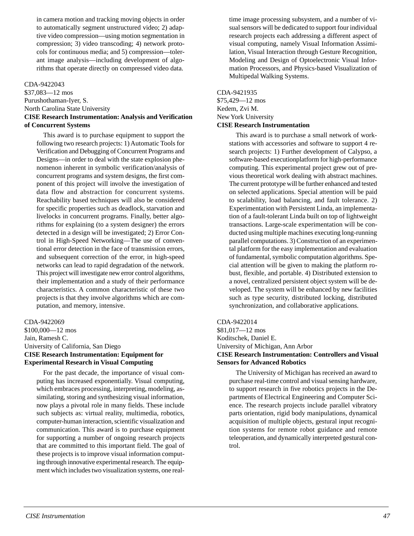<span id="page-45-0"></span>in camera motion and tracking moving objects in order to automatically segment unstructured video; 2) adaptive video compression—using motion segmentation in compression; 3) video transcoding; 4) network protocols for continuous media; and 5) compression—tolerant image analysis—including development of algorithms that operate directly on compressed video data.

### CDA-9422043

\$37,083—12 mos Purushothaman-Iyer, S. North Carolina State University **CISE Research Instrumentation: Analysis and Verification**

### **of Concurrent Systems**

This award is to purchase equipment to support the following two research projects: 1) Automatic Tools for Verification and Debugging of Concurrent Programs and Designs—in order to deal with the state explosion phenomenon inherent in symbolic verification/analysis of concurrent programs and system designs, the first component of this project will involve the investigation of data flow and abstraction for concurrent systems. Reachability based techniques will also be considered for specific properties such as deadlock, starvation and livelocks in concurrent programs. Finally, better algorithms for explaining (to a system designer) the errors detected in a design will be investigated; 2) Error Control in High-Speed Networking—The use of conventional error detection in the face of transmission errors, and subsequent correction of the error, in high-speed networks can lead to rapid degradation of the network. This project will investigate new error control algorithms, their implementation and a study of their performance characteristics. A common characteristic of these two projects is that they involve algorithms which are computation, and memory, intensive.

CDA-9422069 \$100,000—12 mos Jain, Ramesh C. University of California, San Diego **CISE Research Instrumentation: Equipment for Experimental Research in Visual Computing**

For the past decade, the importance of visual computing has increased exponentially. Visual computing, which embraces processing, interpreting, modeling, assimilating, storing and synthesizing visual information, now plays a pivotal role in many fields. These include such subjects as: virtual reality, multimedia, robotics, computer-human interaction, scientific visualization and communication. This award is to purchase equipment for supporting a number of ongoing research projects that are committed to this important field. The goal of these projects is to improve visual information computing through innovative experimental research. The equipment which includes two visualization systems, one realtime image processing subsystem, and a number of visual sensors will be dedicated to support four individual research projects each addressing a different aspect of visual computing, namely Visual Information Assimilation, Visual Interaction through Gesture Recognition, Modeling and Design of Optoelectronic Visual Information Processors, and Physics-based Visualization of Multipedal Walking Systems.

### CDA-9421935

### \$75,429—12 mos Kedem, Zvi M. New York University **CISE Research Instrumentation**

This award is to purchase a small network of workstations with accessories and software to support 4 research projects: 1) Further development of Calypso, a software-based executionplatform for high-performance computing. This experimental project grew out of previous theoretical work dealing with abstract machines. The current prototype will be further enhanced and tested on selected applications. Special attention will be paid to scalability, load balancing, and fault tolerance. 2) Experimentation with Persistent Linda, an implementation of a fault-tolerant Linda built on top of lightweight transactions. Large-scale experimentation will be conducted using multiple machines executing long-running parallel computations. 3) Construction of an experimental platform for the easy implementation and evaluation of fundamental, symbolic computation algorithms. Special attention will be given to making the platform robust, flexible, and portable. 4) Distributed extension to a novel, centralized persistent object system will be developed. The system will be enhanced by new facilities such as type security, distributed locking, distributed synchronization, and collaborative applications.

### CDA-9422014

\$81,017—12 mos Koditschek, Daniel E. University of Michigan, Ann Arbor **CISE Research Instrumentation: Controllers and Visual Sensors for Advanced Robotics**

The University of Michigan has received an award to purchase real-time control and visual sensing hardware, to support research in five robotics projects in the Departments of Electrical Engineering and Computer Science. The research projects include parallel vibratory parts orientation, rigid body manipulations, dynamical acquisition of multiple objects, gestural input recognition systems for remote robot guidance and remote teleoperation, and dynamically interpreted gestural control.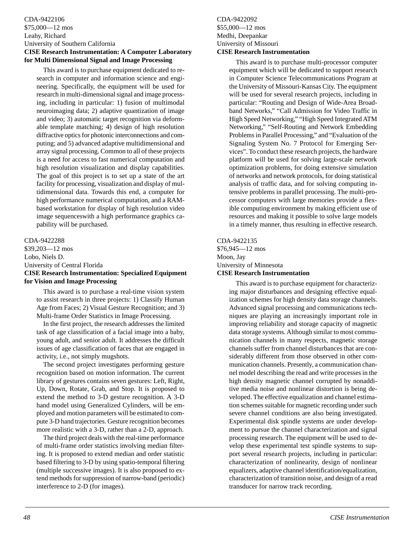<span id="page-46-0"></span>CDA-9422106 \$75,000—12 mos Leahy, Richard University of Southern California **CISE Research Instrumentation: A Computer Laboratory for Multi Dimensional Signal and Image Processing**

This award is to purchase equipment dedicated to research in computer and information science and engineering. Specifically, the equipment will be used for research in multi-dimensional signal and image processing, including in particular: 1) fusion of multimodal neuroimaging data; 2) adaptive quantization of image and video; 3) automatic target recognition via deformable template matching; 4) design of high resolution diffractive optics for photonic interconnections and computing; and 5) advanced adaptive multidimensional and array signal processing. Common to all of these projects is a need for access to fast numerical computation and high resolution visualization and display capabilities. The goal of this project is to set up a state of the art facility for processing, visualization and display of multidimensional data. Towards this end, a computer for high performance numerical computation, and a RAMbased workstation for display of high resolution video image sequenceswith a high performance graphics capability will be purchased.

### CDA-9422288

\$39,203—12 mos Lobo, Niels D. University of Central Florida **CISE Research Instrumentation: Specialized Equipment for Vision and Image Processing**

This award is to purchase a real-time vision system to assist research in three projects: 1) Classify Human Age from Faces; 2) Visual Gesture Recognition; and 3) Multi-frame Order Statistics in Image Processing.

In the first project, the research addresses the limited task of age classification of a facial image into a baby, young adult, and senior adult. It addresses the difficult issues of age classification of faces that are engaged in activity, i.e., not simply mugshots.

The second project investigates performing gesture recognition based on motion information. The current library of gestures contains seven gestures: Left, Right, Up, Down, Rotate, Grab, and Stop. It is proposed to extend the method to 3-D gesture recognition. A 3-D hand model using Generalized Cylinders, will be employed and motion parameters will be estimated to compute 3-D hand trajectories. Gesture recognition becomes more realistic with a 3-D, rather than a 2-D, approach.

The third project deals with the real-time performance of multi-frame order statistics involving median filtering. It is proposed to extend median and order statistic based filtering to 3-D by using spatio-temporal filtering (multiple successive images). It is also proposed to extend methods for suppression of narrow-band (periodic) interference to 2-D (for images).

### CDA-9422092 \$55,000—12 mos Medhi, Deepankar University of Missouri **CISE Research Instrumentation**

This award is to purchase multi-processor computer equipment which will be dedicated to support research in Computer Science Telecommunications Program at the University of Missouri-Kansas City. The equipment will be used for several research projects, including in particular: "Routing and Design of Wide-Area Broadband Networks," "Call Admission for Video Traffic in High Speed Networking," "High Speed Integrated ATM Networking," "Self-Routing and Network Embedding Problems in Parallel Processing," and "Evaluation of the Signaling System No. 7 Protocol for Emerging Services". To conduct these research projects, the hardware platform will be used for solving large-scale network optimization problems, for doing extensive simulation of networks and network protocols, for doing statistical analysis of traffic data, and for solving computing intensive problems in parallel processing. The multi-processor computers with large memories provide a flexible computing environment by making efficient use of resources and making it possible to solve large models in a timely manner, thus resulting in effective research.

### CDA-9422135

\$76,945—12 mos Moon, Jay University of Minnesota **CISE Research Instrumentation**

> This award is to purchase equipment for characterizing major disturbances and designing effective equalization schemes for high density data storage channels. Advanced signal processing and communications techniques are playing an increasingly important role in improving reliability and storage capacity of magnetic data storage systems. Although similar to most communication channels in many respects, magnetic storage channels suffer from channel disturbances that are considerably different from those observed in other communication channels. Presently, a communication channel model describing the read and write processes in the high density magnetic channel corrupted by nonadditive media noise and nonlinear distortion is being developed. The effective equalization and channel estimation schemes suitable for magnetic recording under such severe channel conditions are also being investigated. Experimental disk spindle systems are under development to pursue the channel characterization and signal processing research. The equipment will be used to develop these experimental test spindle systems to support several research projects, including in particular: characterization of nonlinearity, design of nonlinear equalizers, adaptive channel identification/equalization, characterization of transition noise, and design of a read transducer for narrow track recording.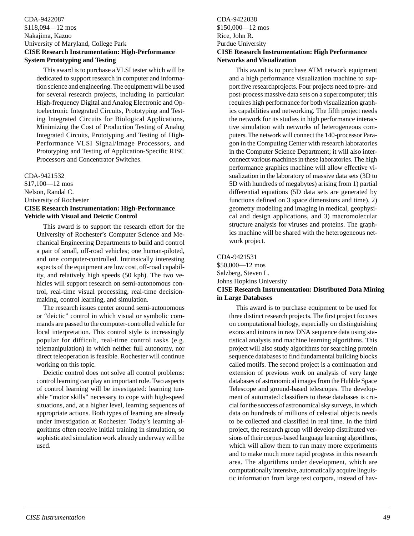### <span id="page-47-0"></span>CDA-9422087 \$118,094—12 mos Nakajima, Kazuo University of Maryland, College Park **CISE Research Instrumentation: High-Performance System Prototyping and Testing**

This award is to purchase a VLSI tester which will be dedicated to support research in computer and information science and engineering. The equipment will be used for several research projects, including in particular: High-frequency Digital and Analog Electronic and Optoelectronic Integrated Circuits, Prototyping and Testing Integrated Circuits for Biological Applications, Minimizing the Cost of Production Testing of Analog Integrated Circuits, Prototyping and Testing of High-Performance VLSI Signal/Image Processors, and Prototyping and Testing of Application-Specific RISC Processors and Concentrator Switches.

### CDA-9421532

\$17,100—12 mos Nelson, Randal C. University of Rochester

### **CISE Research Instrumentation: High-Performance Vehicle with Visual and Deictic Control**

This award is to support the research effort for the University of Rochester's Computer Science and Mechanical Engineering Departments to build and control a pair of small, off-road vehicles; one human-piloted, and one computer-controlled. Intrinsically interesting aspects of the equipment are low cost, off-road capability, and relatively high speeds (50 kph). The two vehicles will support research on semi-autonomous control, real-time visual processing, real-time decisionmaking, control learning, and simulation.

The research issues center around semi-autonomous or "deictic" control in which visual or symbolic commands are passed to the computer-controlled vehicle for local interpretation. This control style is increasingly popular for difficult, real-time control tasks (e.g. telemanipulation) in which neither full autonomy, nor direct teleoperation is feasible. Rochester will continue working on this topic.

Deictic control does not solve all control problems: control learning can play an important role. Two aspects of control learning will be investigated: learning tunable "motor skills" necessary to cope with high-speed situations, and, at a higher level, learning sequences of appropriate actions. Both types of learning are already under investigation at Rochester. Today's learning algorithms often receive initial training in simulation, so sophisticated simulation work already underway will be used.

### CDA-9422038 \$150,000—12 mos Rice, John R. Purdue University **CISE Research Instrumentation: High Performance Networks and Visualization**

This award is to purchase ATM network equipment and a high performance visualization machine to support five researchprojects. Four projects need to pre- and post-process massive data sets on a supercomputer; this requires high performance for both visualization graphics capabilities and networking. The fifth project needs the network for its studies in high performance interactive simulation with networks of heterogeneous computers. The network will connect the 140-processor Paragon in the Computing Center with research laboratories in the Computer Science Department; it will also interconnect various machines in these laboratories. The high performance graphics machine will allow effective visualization in the laboratory of massive data sets (3D to 5D with hundreds of megabytes) arising from 1) partial differential equations (5D data sets are generated by functions defined on 3 space dimensions and time), 2) geometry modeling and imaging in medical, geophysical and design applications, and 3) macromolecular structure analysis for viruses and proteins. The graphics machine will be shared with the heterogeneous network project.

### CDA-9421531

\$50,000—12 mos Salzberg, Steven L. Johns Hopkins University

### **CISE Research Instrumentation: Distributed Data Mining in Large Databases**

This award is to purchase equipment to be used for three distinct research projects. The first project focuses on computational biology, especially on distinguishing exons and introns in raw DNA sequence data using statistical analysis and machine learning algorithms. This project will also study algorithms for searching protein sequence databases to find fundamental building blocks called motifs. The second project is a continuation and extension of previous work on analysis of very large databases of astronomical images from the Hubble Space Telescope and ground-based telescopes. The development of automated classifiers to these databases is crucial for the success of astronomical sky surveys, in which data on hundreds of millions of celestial objects needs to be collected and classified in real time. In the third project, the research group will develop distributed versions of their corpus-based language learning algorithms, which will allow them to run many more experiments and to make much more rapid progress in this research area. The algorithms under development, which are computationally intensive, automatically acquire linguistic information from large text corpora, instead of hav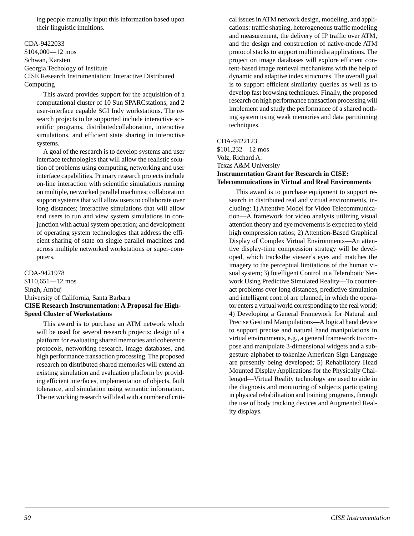<span id="page-48-0"></span>ing people manually input this information based upon their linguistic intuitions.

CDA-9422033 \$104,000—12 mos Schwan, Karsten Georgia Techology of Institute CISE Research Instrumentation: Interactive Distributed Computing

This award provides support for the acquisition of a computational cluster of 10 Sun SPARCstations, and 2 user-interface capable SGI Indy workstations. The research projects to be supported include interactive scientific programs, distributedcollaboration, interactive simulations, and efficient state sharing in interactive systems.

A goal of the research is to develop systems and user interface technologies that will allow the realistic solution of problems using computing, networking and user interface capabilities. Primary research projects include on-line interaction with scientific simulations running on multiple, networked parallel machines; collaboration support systems that will allow users to collaborate over long distances; interactive simulations that will allow end users to run and view system simulations in conjunction with actual system operation; and development of operating system technologies that address the efficient sharing of state on single parallel machines and across multiple networked workstations or super-computers.

### CDA-9421978

\$110,651—12 mos Singh, Ambuj University of California, Santa Barbara **CISE Research Instrumentation: A Proposal for High-Speed Cluster of Workstations**

This award is to purchase an ATM network which will be used for several research projects: design of a platform for evaluating shared memories and coherence protocols, networking research, image databases, and high performance transaction processing. The proposed research on distributed shared memories will extend an existing simulation and evaluation platform by providing efficient interfaces, implementation of objects, fault tolerance, and simulation using semantic information. The networking research will deal with a number of critical issues in ATM network design, modeling, and applications: traffic shaping, heterogeneous traffic modeling and measurement, the delivery of IP traffic over ATM, and the design and construction of native-mode ATM protocol stacks to support multimedia applications. The project on image databases will explore efficient content-based image retrieval mechanisms with the help of dynamic and adaptive index structures. The overall goal is to support efficient similarity queries as well as to develop fast browsing techniques. Finally, the proposed research on high performance transaction processing will implement and study the performance of a shared nothing system using weak memories and data partitioning techniques.

### CDA-9422123

\$101,232—12 mos Volz, Richard A. Texas A&M University **Instrumentation Grant for Research in CISE: Telecommuications in Virtual and Real Environments**

This award is to purchase equipment to support research in distributed real and virtual environments, including: 1) Attentive Model for Video Telecommunication—A framework for video analysis utilizing visual attention theory and eye movements is expected to yield high compression ratios; 2) Attention-Based Graphical Display of Complex Virtual Environments—An attentive display-time compression strategy will be developed, which tracksthe viewer's eyes and matches the imagery to the perceptual limitations of the human visual system; 3) Intelligent Control in a Telerobotic Network Using Predictive Simulated Reality—To counteract problems over long distances, predictive simulation and intelligent control are planned, in which the operator enters a virtual world corresponding to the real world; 4) Developing a General Framework for Natural and Precise Gestural Manipulations—A logical hand device to support precise and natural hand manipulations in virtual environments, e.g., a general framework to compose and manipulate 3-dimensional widgets and a subgesture alphabet to tokenize American Sign Language are presently being developed; 5) Rehabilatory Head Mounted Display Applications for the Physically Challenged—Virtual Reality technology are used to aide in the diagnosis and monitoring of subjects participating in physical rehabilitation and training programs, through the use of body tracking devices and Augmented Reality displays.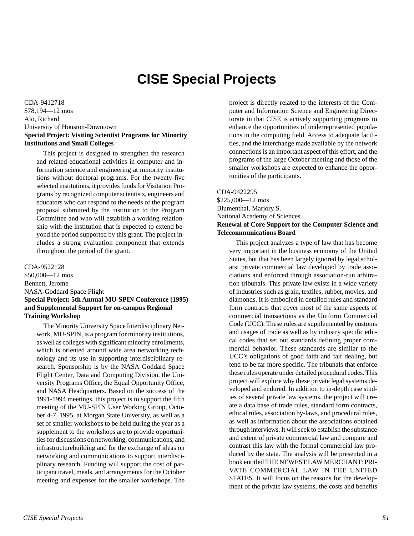# **CISE Special Projects**

### <span id="page-49-0"></span>CDA-9412718 \$78,194—12 mos Alo, Richard University of Houston-Downtown **Special Project: Visiting Scientist Programs for Minority Institutions and Small Colleges**

This project is designed to strengthen the research and related educational activities in computer and information science and engineering at minority institutions without doctoral programs. For the twenty-five selected institutions, it provides funds for Visitation Programs by recognized computer scientists, engineers and educators who can respond to the needs of the program proposal submitted by the institution to the Program Committee and who will establish a working relationship with the institution that is expected to extend beyond the period supported by this grant. The project includes a strong evaluation component that extends throughout the period of the grant.

CDA-9522128 \$50,000—12 mos Bennett, Jerome NASA-Goddard Space Flight **Special Project: 5th Annual MU-SPIN Conference (1995) and Supplemental Support for on-campus Regional Training Workshop**

The Minority University Space Interdisciplinary Network, MU-SPIN, is a program for minority institutions, as well as colleges with significant minority enrollments, which is oriented around wide area networking technology and its use in supporting interdisciplinary research. Sponsorship is by the NASA Goddard Space Flight Center, Data and Computing Division, the University Programs Office, the Equal Opportunity Office, and NASA Headquarters. Based on the success of the 1991-1994 meetings, this project is to support the fifth meeting of the MU-SPIN User Working Group, October 4-7, 1995, at Morgan State University, as well as a set of smaller workshops to be held during the year as a supplement to the workshops are to provide opportunities for discussions on networking, communications, and infrastructurebuilding and for the exchange of ideas on networking and communications to support interdisciplinary research. Funding will support the cost of participant travel, meals, and arrangements for the October meeting and expenses for the smaller workshops. The project is directly related to the interests of the Computer and Information Science and Engineering Directorate in that CISE is actively supporting programs to enhance the opportunities of underrepresented populations in the computing field. Access to adequate facilities, and the interchange made available by the network connections is an important aspect of this effort, and the programs of the large October meeting and those of the smaller workshops are expected to enhance the opportunities of the participants.

CDA-9422295

\$225,000—12 mos Blumenthal, Marjory S. National Academy of Sciences **Renewal of Core Support for the Computer Science and Telecommunications Board**

This project analyzes a type of law that has become very important in the business economy of the United States, but that has been largely ignored by legal scholars: private commercial law developed by trade associations and enforced through association-run arbitration tribunals. This private law exists in a wide variety of industries such as grain, textiles, rubber, movies, and diamonds. It is embodied in detailed rules and standard form contracts that cover most of the same aspects of commercial transactions as the Uniform Commercial Code (UCC). These rules are supplemented by customs and usages of trade as well as by industry specific ethical codes that set out standards defining proper commercial behavior. These standards are similar to the UCC's obligations of good faith and fair dealing, but tend to be far more specific. The tribunals that enforce these rules operate under detailed procedural codes. This project will explore why these private legal systems developed and endured. In addition to in-depth case studies of several private law systems, the project will create a data base of trade rules, standard form contracts, ethical rules, association by-laws, and procedural rules, as well as information about the associations obtained through interviews. It will seek to establish the substance and extent of private commercial law and compare and contrast this law with the formal commercial law produced by the state. The analysis will be presented in a book entitled THE NEWEST LAW MERCHANT: PRI-VATE COMMERCIAL LAW IN THE UNITED STATES. It will focus on the reasons for the development of the private law systems, the costs and benefits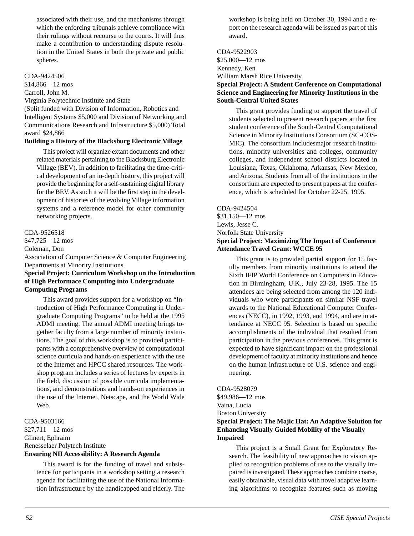<span id="page-50-0"></span>associated with their use, and the mechanisms through which the enforcing tribunals achieve compliance with their rulings without recourse to the courts. It will thus make a contribution to understanding dispute resolution in the United States in both the private and public spheres.

### CDA-9424506

\$14,866—12 mos

Carroll, John M.

Virginia Polytechnic Institute and State

(Split funded with Division of Information, Robotics and Intelligent Systems \$5,000 and Division of Networking and Communications Research and Infrastructure \$5,000) Total award \$24,866

### **Building a History of the Blacksburg Electronic Village**

This project will organize extant documents and other related materials pertaining to the Blacksburg Electronic Village (BEV). In addition to facilitating the time-critical development of an in-depth history, this project will provide the beginning for a self-sustaining digital library for the BEV. As such it will be the first step in the development of histories of the evolving Village information systems and a reference model for other community networking projects.

### CDA-9526518

\$47,725—12 mos

Coleman, Don

Association of Computer Science & Computer Engineering Departments at Minority Institutions

### **Special Project: Curriculum Workshop on the Introduction of High Performace Computing into Undergraduate Computing Programs**

This award provides support for a workshop on "Introduction of High Performance Computing in Undergraduate Computing Programs" to be held at the 1995 ADMI meeting. The annual ADMI meeting brings together faculty from a large number of minority institutions. The goal of this workshop is to provided participants with a comprehensive overview of computational science curricula and hands-on experience with the use of the Internet and HPCC shared resources. The workshop program includes a series of lectures by experts in the field, discussion of possible curricula implementations, and demonstrations and hands-on experiences in the use of the Internet, Netscape, and the World Wide Web.

### CDA-9503166

\$27,711—12 mos Glinert, Ephraim Renesselaer Polytech Institute **Ensuring NII Accessibility: A Research Agenda**

This award is for the funding of travel and subsistence for participants in a workshop setting a research agenda for facilitating the use of the National Information Infrastructure by the handicapped and elderly. The workshop is being held on October 30, 1994 and a report on the research agenda will be issued as part of this award.

### CDA-9522903

\$25,000—12 mos Kennedy, Ken William Marsh Rice University **Special Project: A Student Conference on Computational Science and Engineering for Minority Institutions in the South-Central United States**

This grant provides funding to support the travel of students selected to present research papers at the first student conference of the South-Central Computational Science in Minority Institutions Consortium (SC-COS-MIC). The consortium includesmajor research institutions, minority universities and colleges, community colleges, and independent school districts located in Louisiana, Texas, Oklahoma, Arkansas, New Mexico, and Arizona. Students from all of the institutions in the consortium are expected to present papers at the conference, which is scheduled for October 22-25, 1995.

### CDA-9424504

\$31,150—12 mos Lewis, Jesse C. Norfolk State University **Special Project: Maximizing The Impact of Conference Attendance Travel Grant: WCCE 95**

This grant is to provided partial support for 15 faculty members from minority institutions to attend the Sixth IFIP World Conference on Computers in Education in Birmingham, U.K., July 23-28, 1995. The 15 attendees are being selected from among the 120 individuals who were participants on similar NSF travel awards to the National Educational Computer Conferences (NECC), in 1992, 1993, and 1994, and are in attendance at NECC 95. Selection is based on specific accomplishments of the individual that resulted from participation in the previous conferences. This grant is expected to have significant impact on the professional development of faculty at minority institutions and hence on the human infrastructure of U.S. science and engineering.

### CDA-9528079

\$49,986—12 mos Vaina, Lucia Boston University

### **Special Project: The Majic Hat: An Adaptive Solution for Enhancing Visually Guided Mobility of the Visually**

### **Impaired**

This project is a Small Grant for Exploratory Research. The feasibility of new approaches to vision applied to recognition problems of use to the visually impaired is investigated. These approaches combine coarse, easily obtainable, visual data with novel adaptive learning algorithms to recognize features such as moving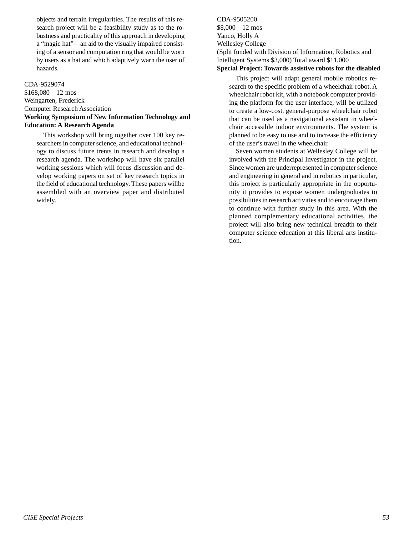<span id="page-51-0"></span>objects and terrain irregularities. The results of this research project will be a feasibility study as to the robustness and practicality of this approach in developing a "magic hat"—an aid to the visually impaired consisting of a sensor and computation ring that would be worn by users as a hat and which adaptively warn the user of hazards.

### CDA-9529074

\$168,080—12 mos Weingarten, Frederick Computer Research Association **Working Symposium of New Information Technology and Education: A Research Agenda**

This workshop will bring together over 100 key researchers in computer science, and educational technology to discuss future trents in research and develop a research agenda. The workshop will have six parallel working sessions which will focus discussion and develop working papers on set of key research topics in the field of educational technology. These papers willbe assembled with an overview paper and distributed widely.

CDA-9505200 \$8,000—12 mos Yanco, Holly A Wellesley College (Split funded with Division of Information, Robotics and Intelligent Systems \$3,000) Total award \$11,000 **Special Project: Towards assistive robots for the disabled**

This project will adapt general mobile robotics research to the specific problem of a wheelchair robot. A wheelchair robot kit, with a notebook computer providing the platform for the user interface, will be utilized to create a low-cost, general-purpose wheelchair robot that can be used as a navigational assistant in wheelchair accessible indoor environments. The system is planned to be easy to use and to increase the efficiency of the user's travel in the wheelchair.

Seven women students at Wellesley College will be involved with the Principal Investigator in the project. Since women are underrepresented in computer science and engineering in general and in robotics in particular, this project is particularly appropriate in the opportunity it provides to expose women undergraduates to possibilities in research activities and to encourage them to continue with further study in this area. With the planned complementary educational activities, the project will also bring new technical breadth to their computer science education at this liberal arts institution.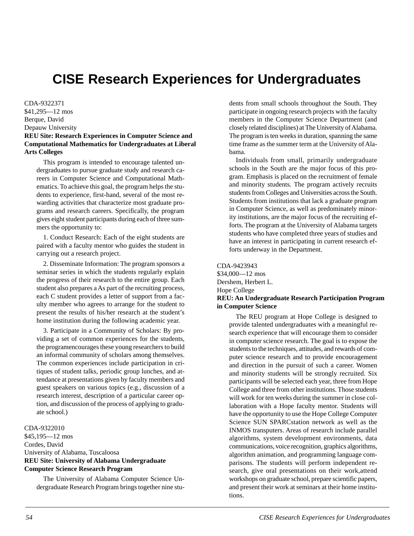# <span id="page-52-0"></span>**CISE Research Experiences for Undergraduates**

CDA-9322371

\$41,295—12 mos Berque, David Depauw University

### **REU Site: Research Experiences in Computer Science and Computational Mathematics for Undergraduates at Liberal Arts Colleges**

This program is intended to encourage talented undergraduates to pursue graduate study and research careers in Computer Science and Computational Mathematics. To achieve this goal, the program helps the students to experience, first-hand, several of the most rewarding activities that characterize most graduate programs and research careers. Specifically, the program gives eight student participants during each of three summers the opportunity to:

1. Conduct Research: Each of the eight students are paired with a faculty mentor who guides the student in carrying out a research project.

2. Disseminate Information: The program sponsors a seminar series in which the students regularly explain the progress of their research to the entire group. Each student also prepares a As part of the recruiting process, each C student provides a letter of support from a faculty member who agrees to arrange for the student to present the results of his/her research at the student's home institution during the following academic year.

3. Participate in a Community of Scholars: By providing a set of common experiences for the students, the programencourages these young researchers to build an informal community of scholars among themselves. The common experiences include participation in critiques of student talks, periodic group lunches, and attendance at presentations given by faculty members and guest speakers on various topics (e.g., discussion of a research interest, description of a particular career option, and discussion of the process of applying to graduate school.)

### CDA-9322010

### \$45,195—12 mos Cordes, David University of Alabama, Tuscaloosa **REU Site: University of Alabama Undergraduate Computer Science Research Program**

The University of Alabama Computer Science Undergraduate Research Program brings together nine students from small schools throughout the South. They participate in ongoing research projects with the faculty members in the Computer Science Department (and closely related disciplines) at The University of Alabama. The program is ten weeks in duration, spanning the same time frame as the summer term at the University of Alabama.

Individuals from small, primarily undergraduate schools in the South are the major focus of this program. Emphasis is placed on the recruitment of female and minority students. The program actively recruits students from Colleges and Universities across the South. Students from institutions that lack a graduate program in Computer Science, as well as predominately minority institutions, are the major focus of the recruiting efforts. The program at the University of Alabama targets students who have completed three years of studies and have an interest in participating in current research efforts underway in the Department.

### CDA-9423943

\$34,000—12 mos Dershem, Herbert L. Hope College **REU: An Undergraduate Research Participation Program in Computer Science**

The REU program at Hope College is designed to provide talented undergraduates with a meaningful research experience that will encourage them to consider in computer science research. The goal is to expose the students to the techniques, attitudes, and rewards of computer science research and to provide encouragement and direction in the pursuit of such a career. Women and minority students will be strongly recruited. Six participants will be selected each year, three from Hope College and three from other institutions. Those students will work for ten weeks during the summer in close collaboration with a Hope faculty mentor. Students will have the opportunity to use the Hope College Computer Science SUN SPARCstation network as well as the INMOS transputers. Areas of research include parallel algorithms, system development environments, data communications, voice recognition, graphics algorithms, algorithm animation, and programming language comparisons. The students will perform independent research, give oral presentations on their work,attend workshops on graduate school, prepare scientific papers, and present their work at seminars at their home institutions.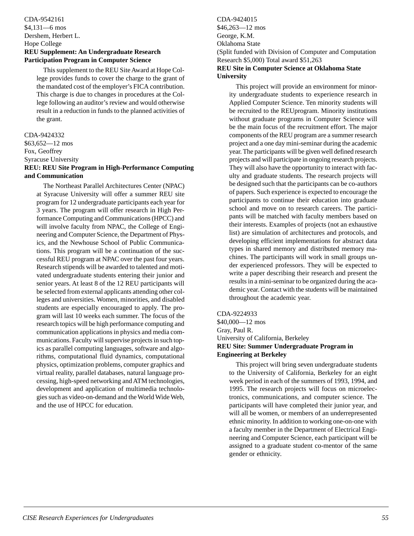### <span id="page-53-0"></span>CDA-9542161 \$4,131—6 mos Dershem, Herbert L. Hope College **REU Supplement: An Undergraduate Research Participation Program in Computer Science**

This supplement to the REU Site Award at Hope College provides funds to cover the charge to the grant of the mandated cost of the employer's FICA contribution. This charge is due to changes in procedures at the College following an auditor's review and would otherwise result in a reduction in funds to the planned activities of the grant.

### CDA-9424332

\$63,652—12 mos Fox, Geoffrey Syracuse University **REU: REU Site Program in High-Performance Computing and Communication**

The Northeast Parallel Architectures Center (NPAC) at Syracuse University will offer a summer REU site program for 12 undergraduate participants each year for 3 years. The program will offer research in High Performance Computing and Communications (HPCC) and will involve faculty from NPAC, the College of Engineering and Computer Science, the Department of Physics, and the Newhouse School of Public Communications. This program will be a continuation of the successful REU program at NPAC over the past four years. Research stipends will be awarded to talented and motivated undergraduate students entering their junior and senior years. At least 8 of the 12 REU participants will be selected from external applicants attending other colleges and universities. Women, minorities, and disabled students are especially encouraged to apply. The program will last 10 weeks each summer. The focus of the research topics will be high performance computing and communication applications in physics and media communications. Faculty will supervise projects in such topics as parallel computing languages, software and algorithms, computational fluid dynamics, computational physics, optimization problems, computer graphics and virtual reality, parallel databases, natural language processing, high-speed networking and ATM technologies, development and application of multimedia technologies such as video-on-demand and the World Wide Web, and the use of HPCC for education.

CDA-9424015 \$46,263—12 mos George, K.M. Oklahoma State (Split funded with Division of Computer and Computation Research \$5,000) Total award \$51,263 **REU Site in Computer Science at Oklahoma State University**

This project will provide an environment for minority undergraduate students to experience research in Applied Computer Science. Ten minority students will be recruited to the REUprogram. Minority institutions without graduate programs in Computer Science will be the main focus of the recruitment effort. The major components of the REU program are a summer research project and a one day mini-seminar during the academic year. The participants will be given well defined research projects and will participate in ongoing research projects. They will also have the opportunity to interact with faculty and graduate students. The research projects will be designed such that the participants can be co-authors of papers. Such experience is expected to encourage the participants to continue their education into graduate school and move on to research careers. The participants will be matched with faculty members based on their interests. Examples of projects (not an exhaustive list) are simulation of architectures and protocols, and developing efficient implementations for abstract data types in shared memory and distributed memory machines. The participants will work in small groups under experienced professors. They will be expected to write a paper describing their research and present the results in a mini-seminar to be organized during the academic year. Contact with the students will be maintained throughout the academic year.

### CDA-9224933 \$40,000—12 mos Gray, Paul R. University of California, Berkeley **REU Site: Summer Undergraduate Program in Engineering at Berkeley**

This project will bring seven undergraduate students to the University of California, Berkeley for an eight week period in each of the summers of 1993, 1994, and 1995. The research projects will focus on microelectronics, communications, and computer science. The participants will have completed their junior year, and will all be women, or members of an underrepresented ethnic minority. In addition to working one-on-one with a faculty member in the Department of Electrical Engineering and Computer Science, each participant will be assigned to a graduate student co-mentor of the same gender or ethnicity.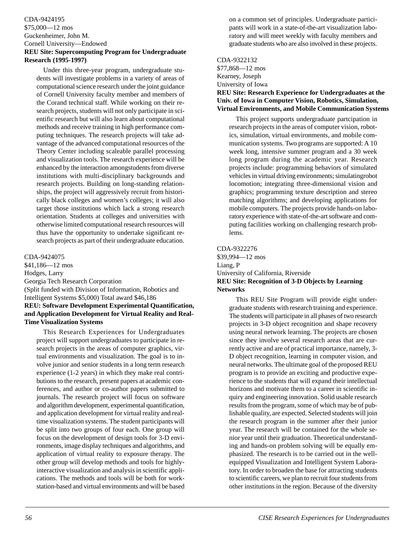### <span id="page-54-0"></span>CDA-9424195 \$75,000—12 mos Guckenheimer, John M. Cornell University—Endowed **REU Site: Supercomputing Program for Undergraduate**

**Research (1995-1997)**

Under this three-year program, undergraduate students will investigate problems in a variety of areas of computational science research under the joint guidance of Cornell University faculty member and members of the Corand technical staff. While working on their research projects, students will not only participate in scientific research but will also learn about computational methods and receive training in high performance computing techniques. The research projects will take advantage of the advanced computational resources of the Theory Center including scaleable parallel processing and visualization tools. The research experience will be enhanced by the interaction amongstudents from diverse institutions with multi-disciplinary backgrounds and research projects. Building on long-standing relationships, the project will aggressively recruit from historically black colleges and women's colleges; it will also target those institutions which lack a strong research orientation. Students at colleges and universities with otherwise limited computational research resources will thus have the opportunity to undertake significant research projects as part of their undergraduate education.

CDA-9424075

\$41,186—12 mos

Hodges, Larry

Georgia Tech Research Corporation

(Split funded with Division of Information, Robotics and Intelligent Systems \$5,000) Total award \$46,186 **REU: Software Development Experimental Quantification, and Application Development for Virtual Reality and Real-Time Visualization Systems**

This Research Experiences for Undergraduates project will support undergraduates to participate in research projects in the areas of computer graphics, virtual environments and visualization. The goal is to involve junior and senior students in a long term research experience (1-2 years) in which they make real contributions to the research, present papers at academic conferences, and author or co-author papers submitted to journals. The research project will focus on software and algorithm development, experimental quantification, and application development for virtual reality and realtime visualization systems. The student participants will be split into two groups of four each. One group will focus on the development of design tools for 3-D environments, image display techniques and algorithms, and application of virtual reality to exposure therapy. The other group will develop methods and tools for highlyinteractive visualization and analysis in scientific applications. The methods and tools will be both for workstation-based and virtual environments and will be based on a common set of principles. Undergraduate participants will work in a state-of-the-art visualization laboratory and will meet weekly with faculty members and graduate students who are also involved in these projects.

### CDA-9322132

\$77,868—12 mos Kearney, Joseph University of Iowa **REU Site: Research Experience for Undergraduates at the Univ. of Iowa in Computer Vision, Robotics, Simulation, Virtual Environments, and Mobile Communication Systems**

This project supports undergraduate partcipation in research projects in the areas of computer vision, robotics, simulation, virtual environments, and mobile communication systems. Two programs are supported: A 10 week long, intensive summer program and a 30 week long program during the academic year. Research projects include: programming behaviors of simulated vehicles in virtual driving environments; simulatingrobot locomotion; integrating three-dimensional vision and graphics; programming texture description and stereo matching algorithms; and developing applications for mobile computers. The projects provide hands-on laboratory experience with state-of-the-art software and computing facilities working on challenging research problems.

### CDA-9322276

\$39,994—12 mos Liang, P University of California, Riverside **REU Site: Recognition of 3-D Objects by Learning Networks**

This REU Site Program will provide eight undergraduate students with research training and experience. The students will participate in all phases of two research projects in 3-D object recognition and shape recovery using neural network learning. The projects are chosen since they involve several research areas that are currently active and are of practical importance, namely, 3- D object recognition, learning in computer vision, and neural networks. The ultimate goal of the proposed REU program is to provide an exciting and productive experience to the students that will expand their intellectual horizons and motivate them to a career in scientific inquiry and engineering innovation. Solid usable research results from the program, some of which may be of publishable quality, are expected. Selected students will join the research program in the summer after their junior year. The research will be contained for the whole senior year until their graduation. Theoretical understanding and hands-on problem solving will be equally emphasized. The research is to be carried out in the wellequipped Visualization and Intelligent System Laboratory. In order to broaden the base for attracting students to scientific careers, we plan to recruit four students from other institutions in the region. Because of the diversity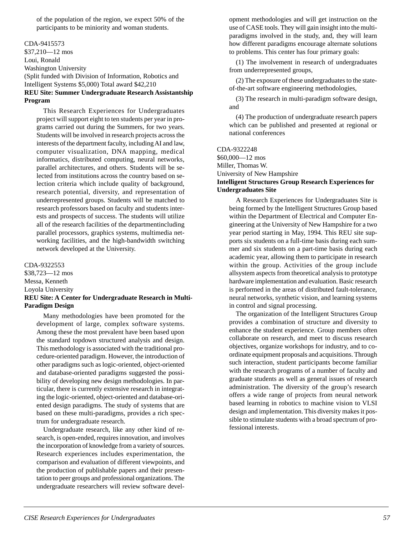<span id="page-55-0"></span>of the population of the region, we expect 50% of the participants to be miniority and woman students.

CDA-9415573 \$37,210—12 mos Loui, Ronald Washington University (Split funded with Division of Information, Robotics and Intelligent Systems \$5,000) Total award \$42,210 **REU Site: Summer Undergraduate Research Assistantship Program**

This Research Experiences for Undergraduates project will support eight to ten students per year in programs carried out during the Summers, for two years. Students will be involved in research projects across the interests of the department faculty, including AI and law, computer visualization, DNA mapping, medical informatics, distributed computing, neural networks, parallel architectures, and others. Students will be selected from institutions across the country based on selection criteria which include quality of background, research potential, diversity, and representation of underrepresented groups. Students will be matched to research professors based on faculty and students interests and prospects of success. The students will utilize all of the research facilities of the departmentincluding parallel processors, graphics systems, multimedia networking facilities, and the high-bandwidth switching network developed at the University.

CDA-9322553

\$38,723—12 mos Messa, Kenneth Loyola University **REU Site: A Center for Undergraduate Research in Multi-Paradigm Design**

Many methodologies have been promoted for the development of large, complex software systems. Among these the most prevalent have been based upon the standard topdown structured analysis and design. This methodology is associated with the traditional procedure-oriented paradigm. However, the introduction of other paradigms such as logic-oriented, object-oriented and database-oriented paradigms suggested the possibility of developing new design methodologies. In particular, there is currently extensive research in integrating the logic-oriented, object-oriented and database-oriented design paradigms. The study of systems that are based on these multi-paradigms, provides a rich spectrum for undergraduate research.

Undergraduate research, like any other kind of research, is open-ended, requires innovation, and involves the incorporation of knowledge from a variety of sources. Research experiences includes experimentation, the comparison and evaluation of different viewpoints, and the production of publishable papers and their presentation to peer groups and professional organizations. The undergraduate researchers will review software development methodologies and will get instruction on the use of CASE tools. They will gain insight into the multiparadigms involved in the study, and, they will learn how different paradigms encourage alternate solutions to problems. This center has four primary goals:

(1) The involvement in research of undergraduates from underrepresented groups,

(2) The exposure of these undergraduates to the stateof-the-art software engineering methodologies,

(3) The research in multi-paradigm software design, and

(4) The production of undergraduate research papers which can be published and presented at regional or national conferences

CDA-9322248

\$60,000—12 mos Miller, Thomas W.

University of New Hampshire

### **Intelligent Structures Group Research Experiences for Undergraduates Site**

A Research Experiences for Undergraduates Site is being formed by the Intelligent Structures Group based within the Department of Electrical and Computer Engineering at the University of New Hampshire for a two year period starting in May, 1994. This REU site supports six students on a full-time basis during each summer and six students on a part-time basis during each academic year, allowing them to participate in research within the group. Activities of the group include allsystem aspects from theoretical analysis to prototype hardware implementation and evaluation. Basic research is performed in the areas of distributed fault-tolerance, neural networks, synthetic vision, and learning systems in control and signal processing.

The organization of the Intelligent Structures Group provides a combination of structure and diversity to enhance the student experience. Group members often collaborate on research, and meet to discuss research objectives, organize workshops for industry, and to coordinate equipment proposals and acquisitions. Through such interaction, student participants become familiar with the research programs of a number of faculty and graduate students as well as general issues of research administration. The diversity of the group's research offers a wide range of projects from neural network based learning in robotics to machine vision to VLSI design and implementation. This diversity makes it possible to stimulate students with a broad spectrum of professional interests.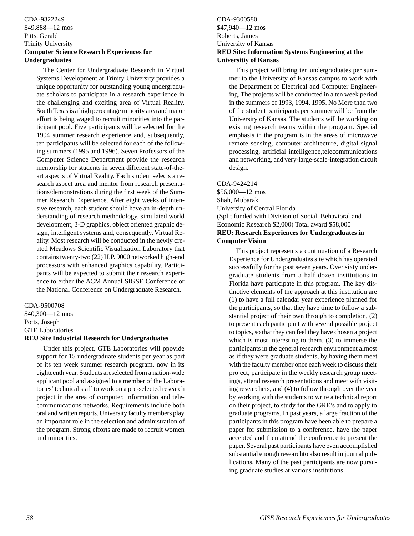### <span id="page-56-0"></span>CDA-9322249 \$49,888—12 mos Pitts, Gerald Trinity University **Computer Science Research Experiences for Undergraduates**

The Center for Undergraduate Research in Virtual Systems Development at Trinity University provides a unique opportunity for outstanding young undergraduate scholars to participate in a research experience in the challenging and exciting area of Virtual Reality. South Texas is a high percentage minority area and major effort is being waged to recruit minorities into the participant pool. Five participants will be selected for the 1994 summer research experience and, subsequently, ten participants will be selected for each of the following summers (1995 and 1996). Seven Professors of the Computer Science Department provide the research mentorship for students in seven different state-of-theart aspects of Virtual Reality. Each student selects a research aspect area and mentor from research presentations/demonstrations during the first week of the Summer Research Experience. After eight weeks of intensive research, each student should have an in-depth understanding of research methodology, simulated world development, 3-D graphics, object oriented graphic design, intelligent systems and, consequently, Virtual Reality. Most research will be conducted in the newly created Meadows Scientific Visualization Laboratory that contains twenty-two (22) H.P. 9000 networked high-end processors with enhanced graphics capability. Participants will be expected to submit their research experience to either the ACM Annual SIGSE Conference or the National Conference on Undergraduate Research.

CDA-9500708 \$40,300—12 mos Potts, Joseph GTE Laboratories **REU Site Industrial Research for Undergraduates**

and minorities.

Under this project, GTE Laboratories will ppovide support for 15 undergraduate students per year as part of its ten week summer research program, now in its eighteenth year. Students areselected from a nation-wide applicant pool and assigned to a member of the Laboratories' technical staff to work on a pre-selected research project in the area of computer, information and telecommunications networks. Requirements include both oral and written reports. University faculty members play an important role in the selection and administration of the program. Strong efforts are made to recruit women

### CDA-9300580 \$47,940—12 mos Roberts, James University of Kansas **REU Site: Information Systems Engineering at the Universitiy of Kansas**

This project will bring ten undergraduates per summer to the University of Kansas campus to work with the Department of Electrical and Computer Engineering. The projects will be conducted in a ten week period in the summers of 1993, 1994, 1995. No More than two of the student participants per summer will be from the University of Kansas. The students will be working on existing research teams within the program. Special emphasis in the program is in the areas of microwave remote sensing, computer architecture, digital signal processing, artificial intelligence,telecommunications and networking, and very-large-scale-integration circuit design.

CDA-9424214

\$56,000—12 mos Shah, Mubarak University of Central Florida (Split funded with Division of Social, Behavioral and Economic Research \$2,000) Total award \$58,000 **REU: Research Experiences for Undergraduates in Computer Vision**

This project represents a continuation of a Research Experience for Undergraduates site which has operated successfully for the past seven years. Over sixty undergraduate students from a half dozen institutions in Florida have participate in this program. The key distinctive elements of the approach at this institution are (1) to have a full calendar year experience planned for the participants, so that they have time to follow a substantial project of their own through to completion, (2) to present each participant with several possible project to topics, so that they can feel they have chosen a project which is most interesting to them, (3) to immerse the participants in the general research environment almost as if they were graduate students, by having them meet with the faculty member once each week to discuss their project, participate in the weekly research group meetings, attend research presentations and meet with visiting researchers, and (4) to follow through over the year by working with the students to write a technical report on their project, to study for the GRE's and to apply to graduate programs. In past years, a large fraction of the participants in this program have been able to prepare a paper for submission to a conference, have the paper accepted and then attend the conference to present the paper. Several past participants have even accomplished substantial enough researchto also result in journal publications. Many of the past participants are now pursuing graduate studies at various institutions.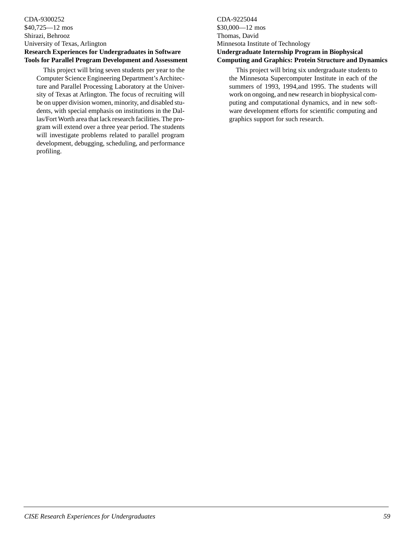<span id="page-57-0"></span>CDA-9300252 \$40,725—12 mos Shirazi, Behrooz University of Texas, Arlington **Research Experiences for Undergraduates in Software Tools for Parallel Program Development and Assessment**

This project will bring seven students per year to the Computer Science Engineering Department's Architecture and Parallel Processing Laboratory at the University of Texas at Arlington. The focus of recruiting will be on upper division women, minority, and disabled students, with special emphasis on institutions in the Dallas/Fort Worth area that lack research facilities. The program will extend over a three year period. The students will investigate problems related to parallel program development, debugging, scheduling, and performance profiling.

CDA-9225044 \$30,000—12 mos Thomas, David Minnesota Institute of Technology **Undergraduate Internship Program in Biophysical Computing and Graphics: Protein Structure and Dynamics**

This project will bring six undergraduate students to the Minnesota Supercomputer Institute in each of the summers of 1993, 1994,and 1995. The students will work on ongoing, and new research in biophysical computing and computational dynamics, and in new software development efforts for scientific computing and graphics support for such research.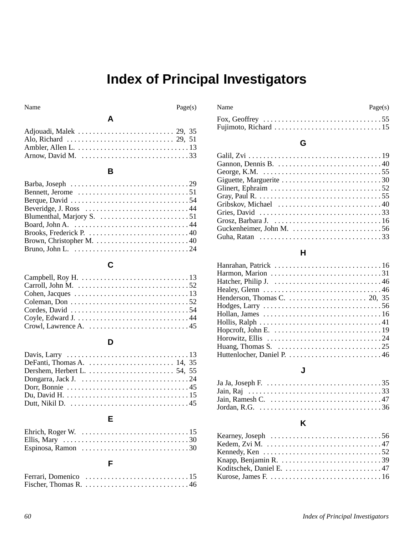# **Index of Principal Investigators**

| <b>A</b>                                                                               |  |
|----------------------------------------------------------------------------------------|--|
|                                                                                        |  |
|                                                                                        |  |
|                                                                                        |  |
| Arnow, David M. $\dots \dots \dots \dots \dots \dots \dots \dots \dots \dots \dots 33$ |  |

### **B**

| Bruno, John L. $\dots \dots \dots \dots \dots \dots \dots \dots \dots \dots \dots 24$ |  |
|---------------------------------------------------------------------------------------|--|

### **C**

| Carroll, John M. $\dots \dots \dots \dots \dots \dots \dots \dots \dots \dots 52$       |  |
|-----------------------------------------------------------------------------------------|--|
|                                                                                         |  |
| Coleman, Don $\ldots \ldots \ldots \ldots \ldots \ldots \ldots \ldots \ldots \ldots 52$ |  |
|                                                                                         |  |
|                                                                                         |  |
|                                                                                         |  |

### **D**

| Davis, Larry $\dots \dots \dots \dots \dots \dots \dots \dots \dots \dots \dots \dots \dots 13$ |
|-------------------------------------------------------------------------------------------------|
|                                                                                                 |
|                                                                                                 |
|                                                                                                 |
|                                                                                                 |
|                                                                                                 |
| Dutt, Nikil D. $\dots \dots \dots \dots \dots \dots \dots \dots \dots \dots \dots \dots 45$     |

## **E**

| Espinosa, Ramon $\dots \dots \dots \dots \dots \dots \dots \dots \dots \dots 30$ |  |  |  |  |  |  |  |  |  |  |  |  |  |
|----------------------------------------------------------------------------------|--|--|--|--|--|--|--|--|--|--|--|--|--|

### **F**

<span id="page-58-0"></span>

| Name | Page(s) | Name | Page(s) |
|------|---------|------|---------|
|      |         |      |         |

| Fox, Geoffrey $\ldots \ldots \ldots \ldots \ldots \ldots \ldots \ldots \ldots \ldots 55$ |  |  |
|------------------------------------------------------------------------------------------|--|--|
|                                                                                          |  |  |

# **G**

| George, K.M. $\dots \dots \dots \dots \dots \dots \dots \dots \dots \dots \dots \dots 55$   |
|---------------------------------------------------------------------------------------------|
| Giguette, Marguerite 30                                                                     |
| Glinert, Ephraim $\ldots \ldots \ldots \ldots \ldots \ldots \ldots \ldots \ldots \ldots 52$ |
|                                                                                             |
|                                                                                             |
|                                                                                             |
| Grosz, Barbara J. $\ldots \ldots \ldots \ldots \ldots \ldots \ldots \ldots \ldots 16$       |
| Guckenheimer, John M. $\dots\dots\dots\dots\dots\dots\dots\dots56$                          |
|                                                                                             |

### **H**

| Henderson, Thomas C. $\dots \dots \dots \dots \dots \dots \dots 20$ , 35                                            |
|---------------------------------------------------------------------------------------------------------------------|
|                                                                                                                     |
| Hollan, James $\dots\dots\dots\dots\dots\dots\dots\dots\dots\dots\dots\dots$                                        |
|                                                                                                                     |
| Hopcroft, John E. $\dots \dots \dots \dots \dots \dots \dots \dots \dots \dots \dots \dots \dots \dots \dots \dots$ |
|                                                                                                                     |
| Huang, Thomas S. $\dots \dots \dots \dots \dots \dots \dots \dots \dots \dots \dots 25$                             |
|                                                                                                                     |
|                                                                                                                     |

### **J**

| Jain, Ramesh C. $\dots \dots \dots \dots \dots \dots \dots \dots \dots \dots 47$ |  |  |  |  |  |  |  |  |  |  |
|----------------------------------------------------------------------------------|--|--|--|--|--|--|--|--|--|--|
| Jordan, R.G. $\dots\dots\dots\dots\dots\dots\dots\dots\dots\dots\dots36$         |  |  |  |  |  |  |  |  |  |  |

### **K**

| Kearney, Joseph $\dots\dots\dots\dots\dots\dots\dots\dots\dots\dots56$                  |  |
|-----------------------------------------------------------------------------------------|--|
| Kedem, Zvi M. 47                                                                        |  |
| Kennedy, Ken $\dots\dots\dots\dots\dots\dots\dots\dots\dots\dots\dots\dots$             |  |
|                                                                                         |  |
|                                                                                         |  |
| Kurose, James F. $\dots \dots \dots \dots \dots \dots \dots \dots \dots \dots \dots 16$ |  |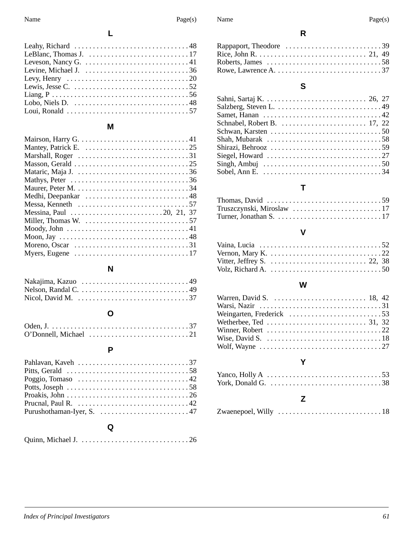| LeBlanc, Thomas J. $\dots \dots \dots \dots \dots \dots \dots \dots \dots \dots \dots 17$      |
|------------------------------------------------------------------------------------------------|
|                                                                                                |
|                                                                                                |
| Levy, Henry $\dots \dots \dots \dots \dots \dots \dots \dots \dots \dots \dots \dots \dots 20$ |
|                                                                                                |
|                                                                                                |
| Lobo, Niels D. $\dots \dots \dots \dots \dots \dots \dots \dots \dots \dots \dots 48$          |
| Loui, Ronald $\ldots \ldots \ldots \ldots \ldots \ldots \ldots \ldots \ldots \ldots$           |

**L**

### **M**

| Messina, Paul $\dots \dots \dots \dots \dots \dots \dots \dots \dots 20$ , 21, 37    |
|--------------------------------------------------------------------------------------|
|                                                                                      |
| Moody, John $\dots\dots\dots\dots\dots\dots\dots\dots\dots\dots\dots41$              |
|                                                                                      |
| Moreno, Oscar $\dots\dots\dots\dots\dots\dots\dots\dots\dots\dots31$                 |
| Myers, Eugene $\dots \dots \dots \dots \dots \dots \dots \dots \dots \dots \dots 17$ |

## **N**

| Nicol, David M. $\dots \dots \dots \dots \dots \dots \dots \dots \dots \dots \dots 37$ |  |
|----------------------------------------------------------------------------------------|--|

### **O**

### **P**

| Pitts, Gerald $\ldots \ldots \ldots \ldots \ldots \ldots \ldots \ldots \ldots \ldots \ldots \ldots$ |  |
|-----------------------------------------------------------------------------------------------------|--|
|                                                                                                     |  |
|                                                                                                     |  |
|                                                                                                     |  |
| Prucnal, Paul R. $\dots \dots \dots \dots \dots \dots \dots \dots \dots \dots 42$                   |  |
|                                                                                                     |  |
|                                                                                                     |  |

### **Q**

[Quinn, Michael J. . . . . . . . . . . . . . . . . . . . . . . . . . . . . . 26](#page-24-0)

### **R**

| Rappaport, Theodore $\dots\dots\dots\dots\dots\dots\dots\dots39$                            |  |
|---------------------------------------------------------------------------------------------|--|
|                                                                                             |  |
| Roberts, James $\dots \dots \dots \dots \dots \dots \dots \dots \dots \dots \dots \dots 58$ |  |
| Rowe, Lawrence A. $\dots\dots\dots\dots\dots\dots\dots\dots\dots37$                         |  |

# **S**

# **T**

| Thomas, David $\ldots \ldots \ldots \ldots \ldots \ldots \ldots \ldots \ldots \ldots$ |  |  |  |  |  |  |  |  |
|---------------------------------------------------------------------------------------|--|--|--|--|--|--|--|--|
|                                                                                       |  |  |  |  |  |  |  |  |
|                                                                                       |  |  |  |  |  |  |  |  |

# **V**

| Vernon, Mary K. $\dots \dots \dots \dots \dots \dots \dots \dots \dots \dots \dots \dots 22$ |  |  |  |
|----------------------------------------------------------------------------------------------|--|--|--|
|                                                                                              |  |  |  |
| Volz, Richard A. $\ldots \ldots \ldots \ldots \ldots \ldots \ldots \ldots \ldots \ldots 50$  |  |  |  |

### **W**

| Wetherbee, Ted $\dots\dots\dots\dots\dots\dots\dots\dots$ 31, 32                                  |  |
|---------------------------------------------------------------------------------------------------|--|
|                                                                                                   |  |
| Wise, David S. $\dots \dots \dots \dots \dots \dots \dots \dots \dots \dots \dots \dots \dots 18$ |  |
| Wolf, Wayne $\dots \dots \dots \dots \dots \dots \dots \dots \dots \dots \dots 27$                |  |

### **Y**

| Yanco, Holly A $\ldots \ldots \ldots \ldots \ldots \ldots \ldots \ldots \ldots \ldots$ |  |  |
|----------------------------------------------------------------------------------------|--|--|
| York, Donald G. $\dots \dots \dots \dots \dots \dots \dots \dots \dots \dots \dots 38$ |  |  |

### **Z**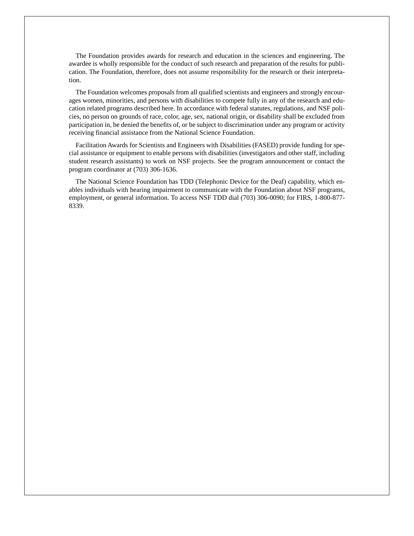The Foundation provides awards for research and education in the sciences and engineering. The awardee is wholly responsible for the conduct of such research and preparation of the results for publication. The Foundation, therefore, does not assume responsibility for the research or their interpretation.

The Foundation welcomes proposals from all qualified scientists and engineers and strongly encourages women, minorities, and persons with disabilities to compete fully in any of the research and education related programs described here. In accordance with federal statutes, regulations, and NSF policies, no person on grounds of race, color, age, sex, national origin, or disability shall be excluded from participation in, be denied the benefits of, or be subject to discrimination under any program or activity receiving financial assistance from the National Science Foundation.

Facilitation Awards for Scientists and Engineers with Disabilities (FASED) provide funding for special assistance or equipment to enable persons with disabilities (investigators and other staff, including student research assistants) to work on NSF projects. See the program announcement or contact the program coordinator at (703) 306-1636.

The National Science Foundation has TDD (Telephonic Device for the Deaf) capability, which enables individuals with hearing impairment to communicate with the Foundation about NSF programs, employment, or general information. To access NSF TDD dial (703) 306-0090; for FIRS, 1-800-877- 8339.